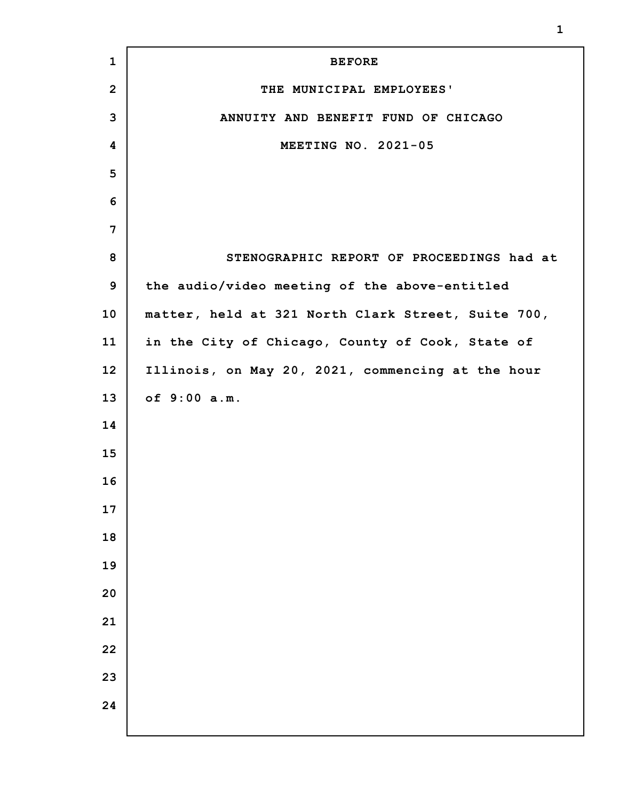| $\mathbf{1}$   | <b>BEFORE</b>                                      |
|----------------|----------------------------------------------------|
| $\overline{2}$ | THE MUNICIPAL EMPLOYEES'                           |
| 3              | ANNUITY AND BENEFIT FUND OF CHICAGO                |
| 4              | MEETING NO. 2021-05                                |
| 5              |                                                    |
| 6              |                                                    |
| 7              |                                                    |
| 8              | STENOGRAPHIC REPORT OF PROCEEDINGS had at          |
| 9              | the audio/video meeting of the above-entitled      |
| 10             | matter, held at 321 North Clark Street, Suite 700, |
| 11             | in the City of Chicago, County of Cook, State of   |
| 12             | Illinois, on May 20, 2021, commencing at the hour  |
| 13             | of 9:00 a.m.                                       |
| 14             |                                                    |
| 15             |                                                    |
| 16             |                                                    |
| 17             |                                                    |
| 18             |                                                    |
| 19             |                                                    |
| 20             |                                                    |
| 21             |                                                    |
| 22             |                                                    |
| 23             |                                                    |
| 24             |                                                    |
|                |                                                    |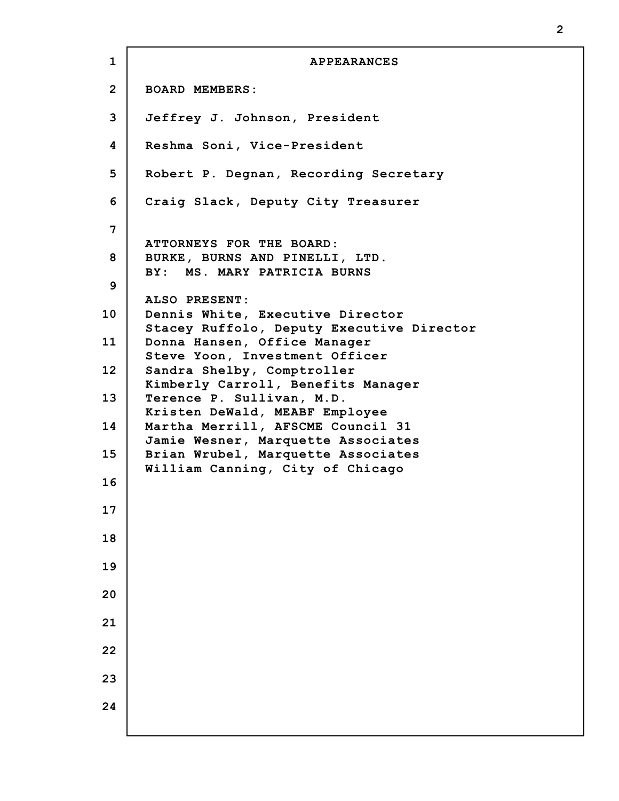**1 2 3 4 5 6 7 8 9 10 11 12 13 14 15 16 17 18 19 20 21 22 23 24 APPEARANCES BOARD MEMBERS: Jeffrey J. Johnson, President Reshma Soni, Vice-President Robert P. Degnan, Recording Secretary Craig Slack, Deputy City Treasurer ATTORNEYS FOR THE BOARD: BURKE, BURNS AND PINELLI, LTD. BY: MS. MARY PATRICIA BURNS ALSO PRESENT: Dennis White, Executive Director Stacey Ruffolo, Deputy Executive Director Donna Hansen, Office Manager Steve Yoon, Investment Officer Sandra Shelby, Comptroller Kimberly Carroll, Benefits Manager Terence P. Sullivan, M.D. Kristen DeWald, MEABF Employee Martha Merrill, AFSCME Council 31 Jamie Wesner, Marquette Associates Brian Wrubel, Marquette Associates William Canning, City of Chicago**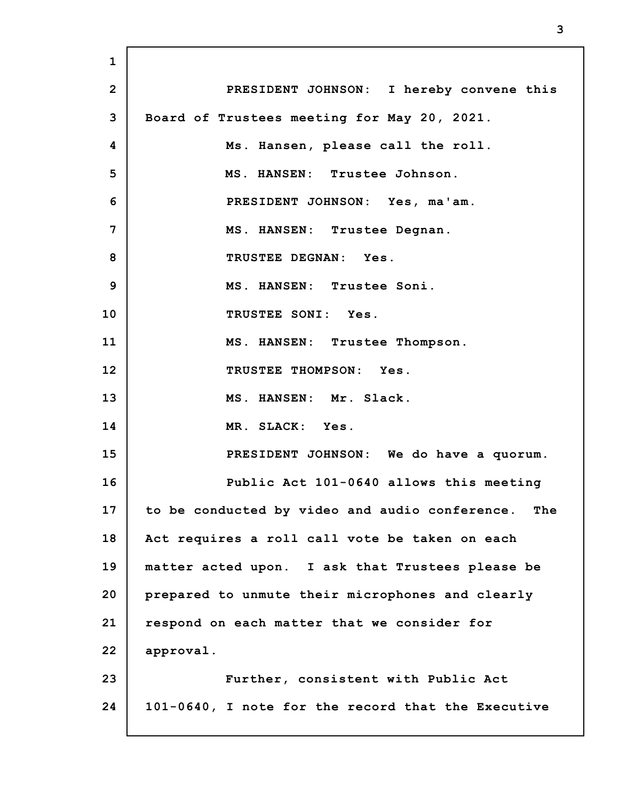**1 2 3 4 5 6 7 8 9 10 11 12 13 14 15 16 17 18 19 20 21 22 23 24 PRESIDENT JOHNSON: I hereby convene this Board of Trustees meeting for May 20, 2021. Ms. Hansen, please call the roll. MS. HANSEN: Trustee Johnson. PRESIDENT JOHNSON: Yes, ma'am. MS. HANSEN: Trustee Degnan. TRUSTEE DEGNAN: Yes. MS. HANSEN: Trustee Soni. TRUSTEE SONI: Yes. MS. HANSEN: Trustee Thompson. TRUSTEE THOMPSON: Yes. MS. HANSEN: Mr. Slack. MR. SLACK: Yes. PRESIDENT JOHNSON: We do have a quorum. Public Act 101-0640 allows this meeting to be conducted by video and audio conference. The Act requires a roll call vote be taken on each matter acted upon. I ask that Trustees please be prepared to unmute their microphones and clearly respond on each matter that we consider for approval. Further, consistent with Public Act 101-0640, I note for the record that the Executive**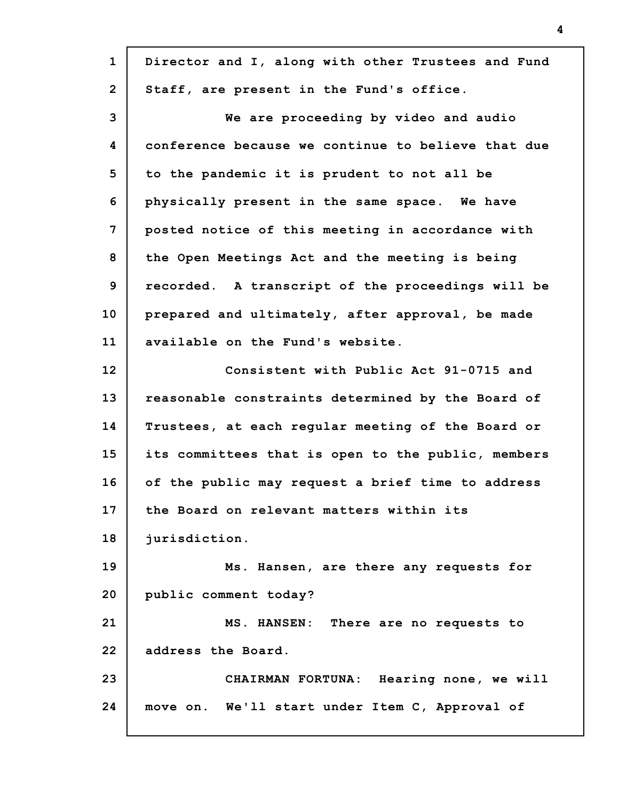| $\mathbf{1}$   | Director and I, along with other Trustees and Fund |
|----------------|----------------------------------------------------|
| $\overline{2}$ | Staff, are present in the Fund's office.           |
| 3              | We are proceeding by video and audio               |
| 4              | conference because we continue to believe that due |
| 5              | to the pandemic it is prudent to not all be        |
| 6              | physically present in the same space. We have      |
| 7              | posted notice of this meeting in accordance with   |
| 8              | the Open Meetings Act and the meeting is being     |
| 9              | recorded. A transcript of the proceedings will be  |
| 10             | prepared and ultimately, after approval, be made   |
| 11             | available on the Fund's website.                   |
| 12             | Consistent with Public Act 91-0715 and             |
| 13             | reasonable constraints determined by the Board of  |
| 14             | Trustees, at each regular meeting of the Board or  |
| 15             | its committees that is open to the public, members |
| 16             | of the public may request a brief time to address  |
| 17             | the Board on relevant matters within its           |
| 18             | jurisdiction.                                      |
| 19             | Ms. Hansen, are there any requests for             |
| 20             | public comment today?                              |
| 21             | MS. HANSEN: There are no requests to               |
| 22             | address the Board.                                 |
| 23             | CHAIRMAN FORTUNA: Hearing none, we will            |
| 24             | move on. We'll start under Item C, Approval of     |
|                |                                                    |

I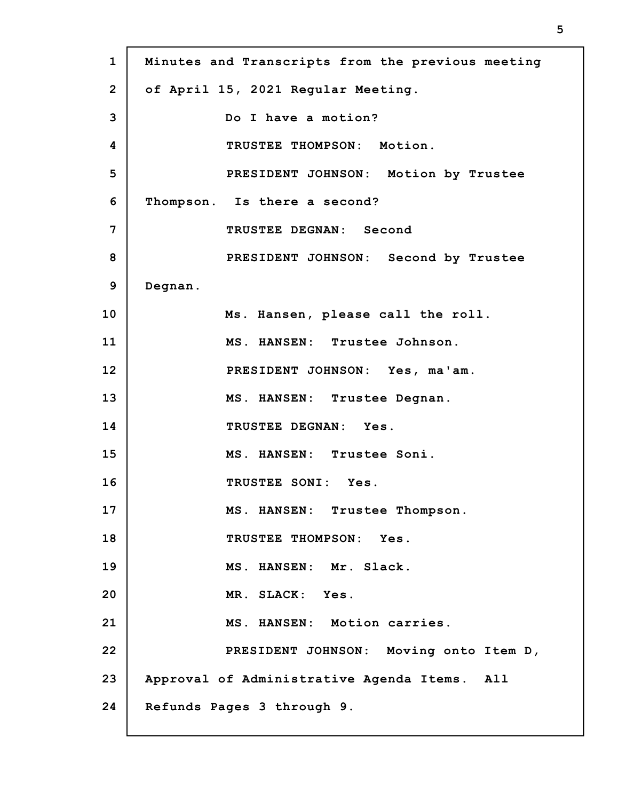| $\mathbf{1}$   | Minutes and Transcripts from the previous meeting |
|----------------|---------------------------------------------------|
| $\overline{2}$ | of April 15, 2021 Regular Meeting.                |
| 3              | Do I have a motion?                               |
| 4              | TRUSTEE THOMPSON: Motion.                         |
| 5              | PRESIDENT JOHNSON: Motion by Trustee              |
| 6              | Thompson. Is there a second?                      |
| 7              | TRUSTEE DEGNAN: Second                            |
| 8              | PRESIDENT JOHNSON: Second by Trustee              |
| 9              | Degnan.                                           |
| 10             | Ms. Hansen, please call the roll.                 |
| 11             | MS. HANSEN: Trustee Johnson.                      |
| 12             | PRESIDENT JOHNSON: Yes, ma'am.                    |
| 13             | MS. HANSEN: Trustee Degnan.                       |
| 14             | TRUSTEE DEGNAN: Yes.                              |
| 15             | MS. HANSEN: Trustee Soni.                         |
| 16             | TRUSTEE SONI: Yes.                                |
| 17             | MS. HANSEN: Trustee Thompson.                     |
| 18             | TRUSTEE THOMPSON: Yes.                            |
| 19             | MS. HANSEN: Mr. Slack.                            |
| 20             | MR. SLACK: Yes.                                   |
| 21             | MS. HANSEN: Motion carries.                       |
| 22             | PRESIDENT JOHNSON: Moving onto Item D,            |
| 23             | Approval of Administrative Agenda Items. All      |
| 24             | Refunds Pages 3 through 9.                        |

Г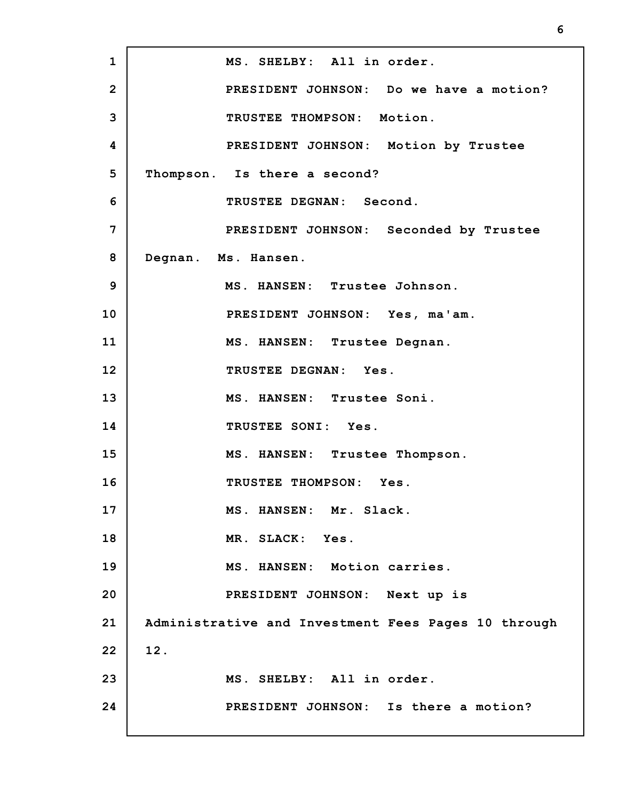**1 2 3 4 5 6 7 8 9 10 11 12 13 14 15 16 17 18 19 20 21 22 23 24 MS. SHELBY: All in order. PRESIDENT JOHNSON: Do we have a motion? TRUSTEE THOMPSON: Motion. PRESIDENT JOHNSON: Motion by Trustee Thompson. Is there a second? TRUSTEE DEGNAN: Second. PRESIDENT JOHNSON: Seconded by Trustee Degnan. Ms. Hansen. MS. HANSEN: Trustee Johnson. PRESIDENT JOHNSON: Yes, ma'am. MS. HANSEN: Trustee Degnan. TRUSTEE DEGNAN: Yes. MS. HANSEN: Trustee Soni. TRUSTEE SONI: Yes. MS. HANSEN: Trustee Thompson. TRUSTEE THOMPSON: Yes. MS. HANSEN: Mr. Slack. MR. SLACK: Yes. MS. HANSEN: Motion carries. PRESIDENT JOHNSON: Next up is Administrative and Investment Fees Pages 10 through 12. MS. SHELBY: All in order. PRESIDENT JOHNSON: Is there a motion?**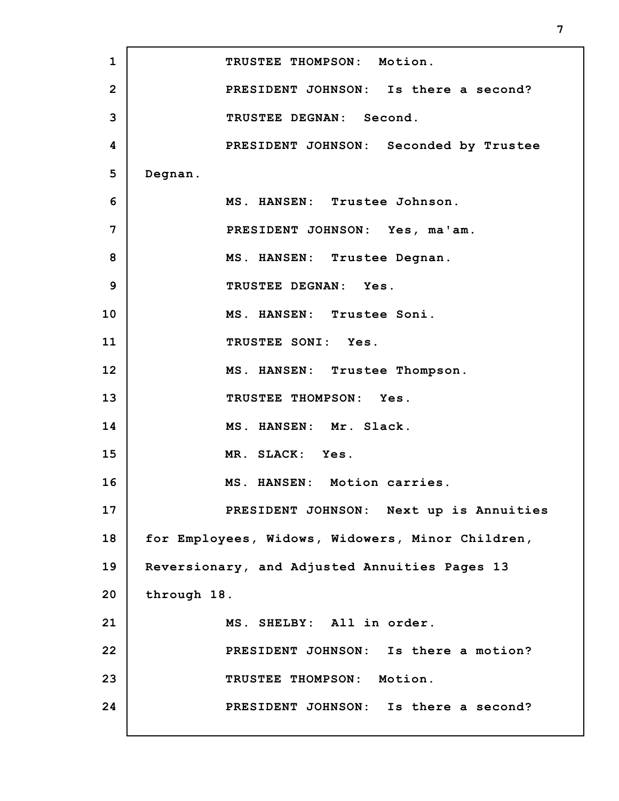**1 2 3 4 5 6 7 8 9 10 11 12 13 14 15 16 17 18 19 20 21 22 23 24 TRUSTEE THOMPSON: Motion. PRESIDENT JOHNSON: Is there a second? TRUSTEE DEGNAN: Second. PRESIDENT JOHNSON: Seconded by Trustee Degnan. MS. HANSEN: Trustee Johnson. PRESIDENT JOHNSON: Yes, ma'am. MS. HANSEN: Trustee Degnan. TRUSTEE DEGNAN: Yes. MS. HANSEN: Trustee Soni. TRUSTEE SONI: Yes. MS. HANSEN: Trustee Thompson. TRUSTEE THOMPSON: Yes. MS. HANSEN: Mr. Slack. MR. SLACK: Yes. MS. HANSEN: Motion carries. PRESIDENT JOHNSON: Next up is Annuities for Employees, Widows, Widowers, Minor Children, Reversionary, and Adjusted Annuities Pages 13 through 18. MS. SHELBY: All in order. PRESIDENT JOHNSON: Is there a motion? TRUSTEE THOMPSON: Motion. PRESIDENT JOHNSON: Is there a second?**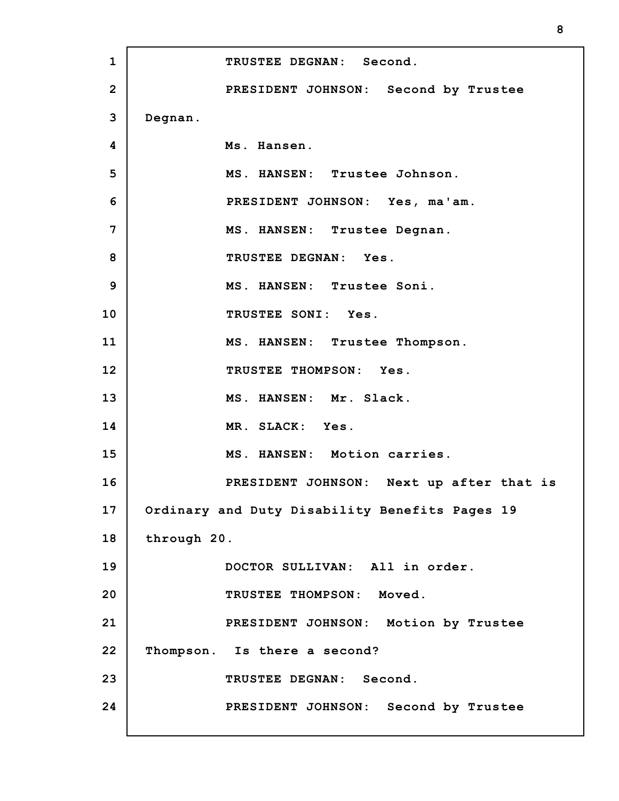**1 2 3 4 5 6 7 8 9 10 11 12 13 14 15 16 17 18 19 20 21 22 23 24 TRUSTEE DEGNAN: Second. PRESIDENT JOHNSON: Second by Trustee Degnan. Ms. Hansen. MS. HANSEN: Trustee Johnson. PRESIDENT JOHNSON: Yes, ma'am. MS. HANSEN: Trustee Degnan. TRUSTEE DEGNAN: Yes. MS. HANSEN: Trustee Soni. TRUSTEE SONI: Yes. MS. HANSEN: Trustee Thompson. TRUSTEE THOMPSON: Yes. MS. HANSEN: Mr. Slack. MR. SLACK: Yes. MS. HANSEN: Motion carries. PRESIDENT JOHNSON: Next up after that is Ordinary and Duty Disability Benefits Pages 19 through 20. DOCTOR SULLIVAN: All in order. TRUSTEE THOMPSON: Moved. PRESIDENT JOHNSON: Motion by Trustee Thompson. Is there a second? TRUSTEE DEGNAN: Second. PRESIDENT JOHNSON: Second by Trustee**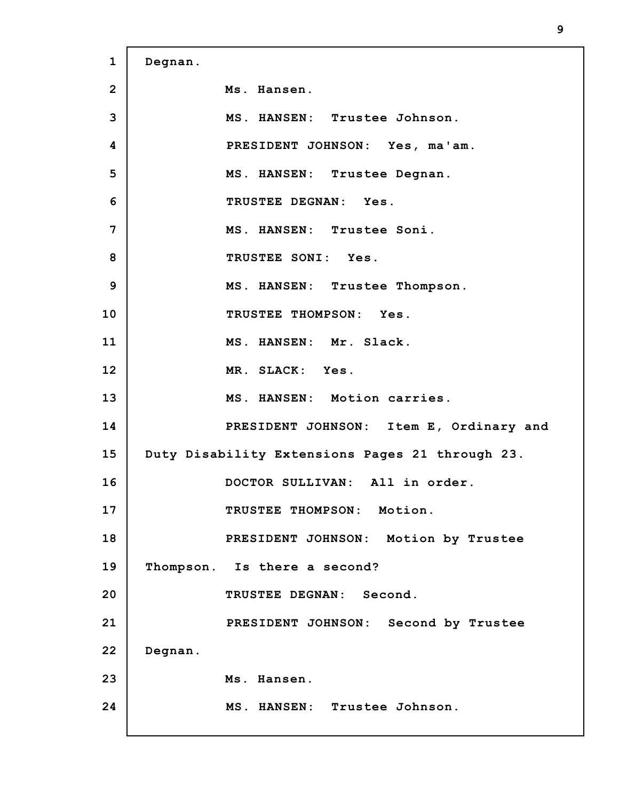**1 2 3 4 5 6 7 8 9 10 11 12 13 14 15 16 17 18 19 20 21 22 23 24 Degnan. Ms. Hansen. MS. HANSEN: Trustee Johnson. PRESIDENT JOHNSON: Yes, ma'am. MS. HANSEN: Trustee Degnan. TRUSTEE DEGNAN: Yes. MS. HANSEN: Trustee Soni. TRUSTEE SONI: Yes. MS. HANSEN: Trustee Thompson. TRUSTEE THOMPSON: Yes. MS. HANSEN: Mr. Slack. MR. SLACK: Yes. MS. HANSEN: Motion carries. PRESIDENT JOHNSON: Item E, Ordinary and Duty Disability Extensions Pages 21 through 23. DOCTOR SULLIVAN: All in order. TRUSTEE THOMPSON: Motion. PRESIDENT JOHNSON: Motion by Trustee Thompson. Is there a second? TRUSTEE DEGNAN: Second. PRESIDENT JOHNSON: Second by Trustee Degnan. Ms. Hansen. MS. HANSEN: Trustee Johnson.**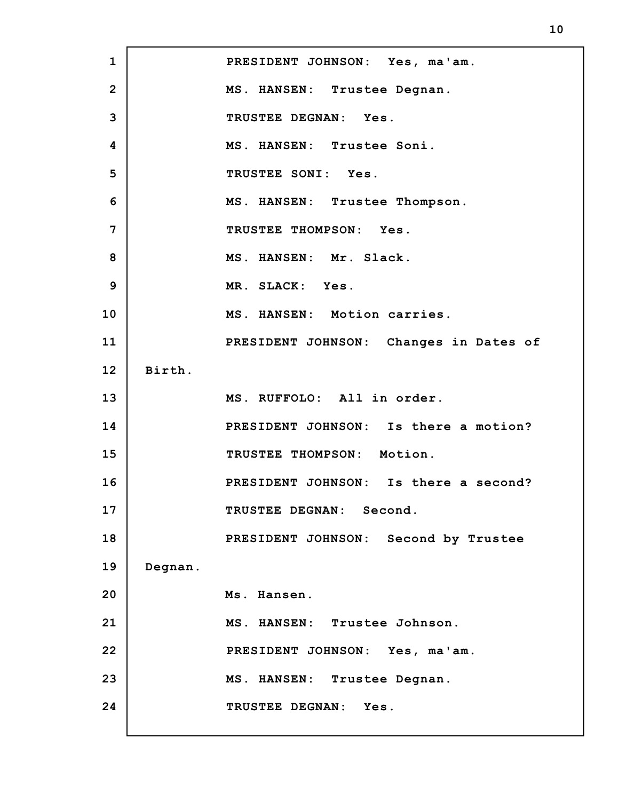**1 2 3 4 5 6 7 8 9 10 11 12 13 14 15 16 17 18 19 20 21 22 23 24 PRESIDENT JOHNSON: Yes, ma'am. MS. HANSEN: Trustee Degnan. TRUSTEE DEGNAN: Yes. MS. HANSEN: Trustee Soni. TRUSTEE SONI: Yes. MS. HANSEN: Trustee Thompson. TRUSTEE THOMPSON: Yes. MS. HANSEN: Mr. Slack. MR. SLACK: Yes. MS. HANSEN: Motion carries. PRESIDENT JOHNSON: Changes in Dates of Birth. MS. RUFFOLO: All in order. PRESIDENT JOHNSON: Is there a motion? TRUSTEE THOMPSON: Motion. PRESIDENT JOHNSON: Is there a second? TRUSTEE DEGNAN: Second. PRESIDENT JOHNSON: Second by Trustee Degnan. Ms. Hansen. MS. HANSEN: Trustee Johnson. PRESIDENT JOHNSON: Yes, ma'am. MS. HANSEN: Trustee Degnan. TRUSTEE DEGNAN: Yes.**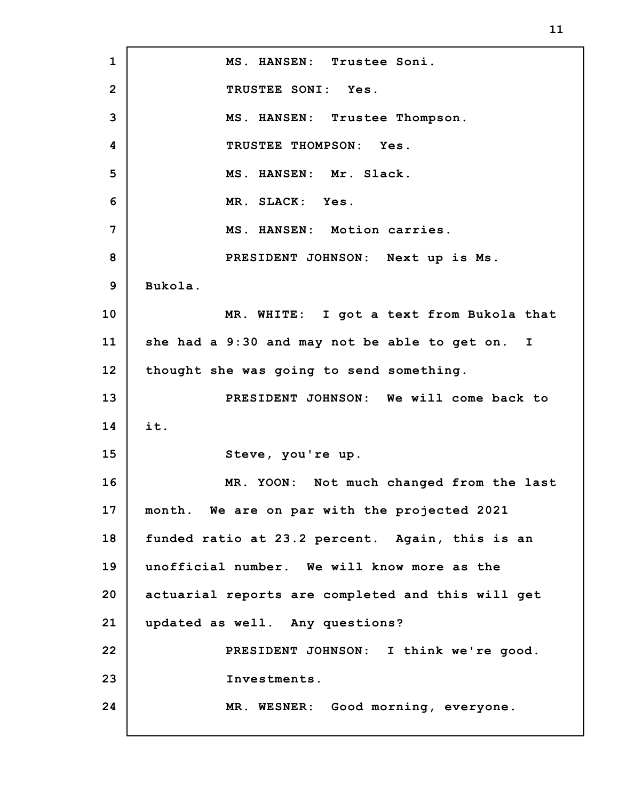**1 2 3 4 5 6 7 8 9 10 11 12 13 14 15 16 17 18 19 20 21 22 23 24 MS. HANSEN: Trustee Soni. TRUSTEE SONI: Yes. MS. HANSEN: Trustee Thompson. TRUSTEE THOMPSON: Yes. MS. HANSEN: Mr. Slack. MR. SLACK: Yes. MS. HANSEN: Motion carries. PRESIDENT JOHNSON: Next up is Ms. Bukola. MR. WHITE: I got a text from Bukola that she had a 9:30 and may not be able to get on. I thought she was going to send something. PRESIDENT JOHNSON: We will come back to it. Steve, you're up. MR. YOON: Not much changed from the last month. We are on par with the projected 2021 funded ratio at 23.2 percent. Again, this is an unofficial number. We will know more as the actuarial reports are completed and this will get updated as well. Any questions? PRESIDENT JOHNSON: I think we're good. Investments. MR. WESNER: Good morning, everyone.**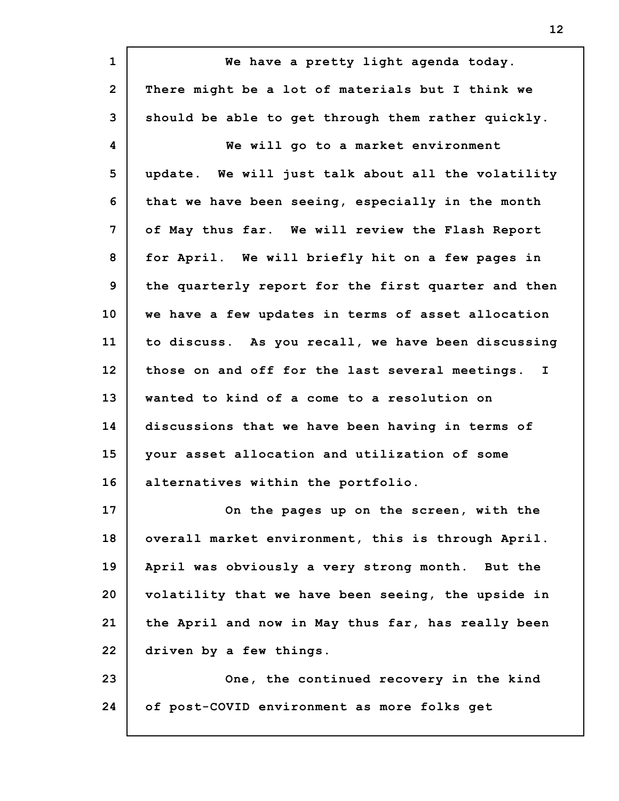| $\mathbf{1}$   | We have a pretty light agenda today.                            |
|----------------|-----------------------------------------------------------------|
| $\overline{2}$ | There might be a lot of materials but I think we                |
| 3              | should be able to get through them rather quickly.              |
| 4              | We will go to a market environment                              |
| 5              | update. We will just talk about all the volatility              |
| 6              | that we have been seeing, especially in the month               |
| 7              | of May thus far. We will review the Flash Report                |
| 8              | for April. We will briefly hit on a few pages in                |
| 9              | the quarterly report for the first quarter and then             |
| 10             | we have a few updates in terms of asset allocation              |
| 11             | to discuss. As you recall, we have been discussing              |
| 12             | those on and off for the last several meetings.<br>$\mathbf{I}$ |
| 13             | wanted to kind of a come to a resolution on                     |
| 14             | discussions that we have been having in terms of                |
| 15             | your asset allocation and utilization of some                   |
| 16             | alternatives within the portfolio.                              |
| 17             | On the pages up on the screen, with the                         |
| 18             | overall market environment, this is through April.              |
| 19             | April was obviously a very strong month. But the                |
| 20             | volatility that we have been seeing, the upside in              |
| 21             | the April and now in May thus far, has really been              |
| 22             | driven by a few things.                                         |
| 23             | One, the continued recovery in the kind                         |
| 24             | of post-COVID environment as more folks get                     |
|                |                                                                 |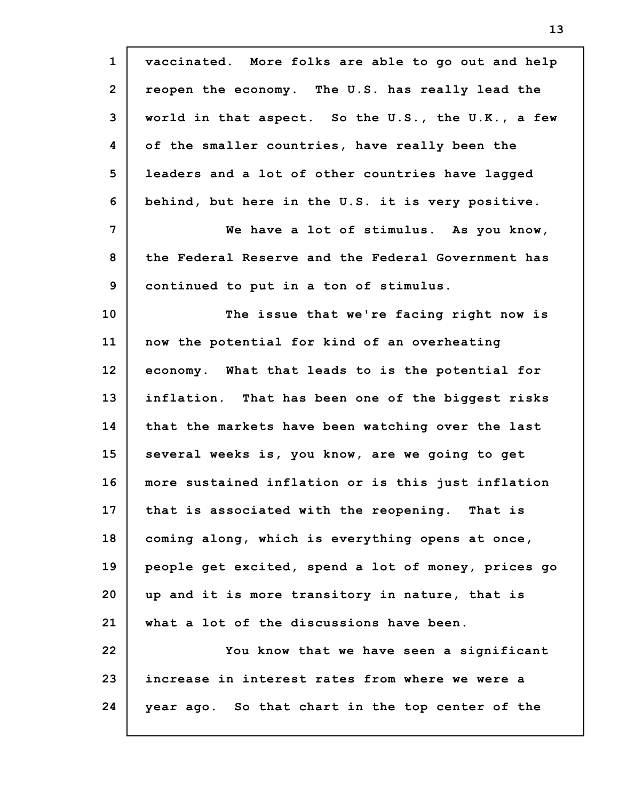| $\mathbf{1}$    | vaccinated. More folks are able to go out and help  |
|-----------------|-----------------------------------------------------|
| $\overline{2}$  | reopen the economy. The U.S. has really lead the    |
| 3               | world in that aspect. So the U.S., the U.K., a few  |
| 4               | of the smaller countries, have really been the      |
| 5               | leaders and a lot of other countries have lagged    |
| 6               | behind, but here in the U.S. it is very positive.   |
| 7               | We have a lot of stimulus. As you know,             |
| 8               | the Federal Reserve and the Federal Government has  |
| 9               | continued to put in a ton of stimulus.              |
| 10 <sub>1</sub> | The issue that we're facing right now is            |
| 11              | now the potential for kind of an overheating        |
| 12              | economy. What that leads to is the potential for    |
| 13              | inflation. That has been one of the biggest risks   |
| 14              | that the markets have been watching over the last   |
| 15              | several weeks is, you know, are we going to get     |
| 16              | more sustained inflation or is this just inflation  |
| 17              | that is associated with the reopening. That is      |
| 18              | coming along, which is everything opens at once,    |
| 19              | people get excited, spend a lot of money, prices go |
| 20              | up and it is more transitory in nature, that is     |
| 21              | what a lot of the discussions have been.            |
| 22              | You know that we have seen a significant            |
| 23              | increase in interest rates from where we were a     |
| 24              | year ago. So that chart in the top center of the    |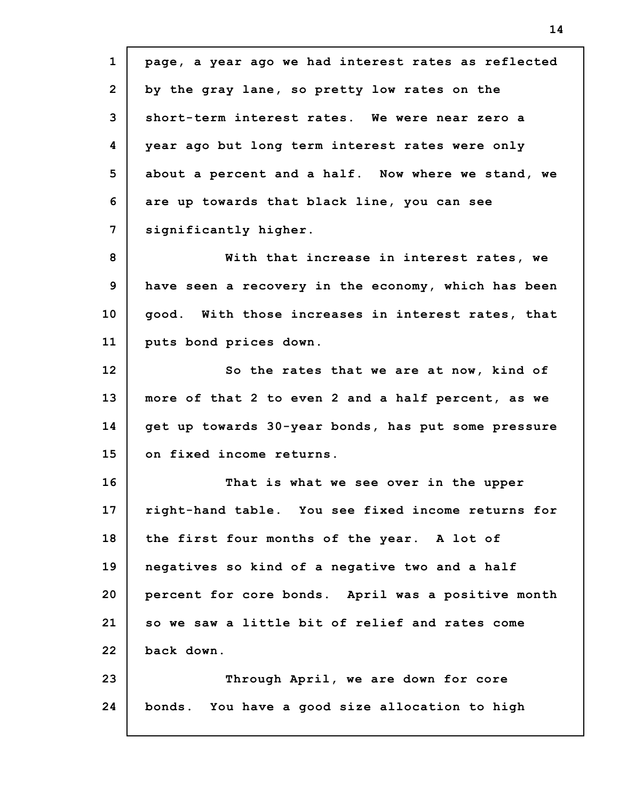**1 2 3 4 5 6 7 8 9 10 11 12 13 14 15 16 17 18 19 20 21 22 23 24 page, a year ago we had interest rates as reflected by the gray lane, so pretty low rates on the short-term interest rates. We were near zero a year ago but long term interest rates were only about a percent and a half. Now where we stand, we are up towards that black line, you can see significantly higher. With that increase in interest rates, we have seen a recovery in the economy, which has been good. With those increases in interest rates, that puts bond prices down. So the rates that we are at now, kind of more of that 2 to even 2 and a half percent, as we get up towards 30-year bonds, has put some pressure on fixed income returns. That is what we see over in the upper right-hand table. You see fixed income returns for the first four months of the year. A lot of negatives so kind of a negative two and a half percent for core bonds. April was a positive month so we saw a little bit of relief and rates come back down. Through April, we are down for core bonds. You have a good size allocation to high**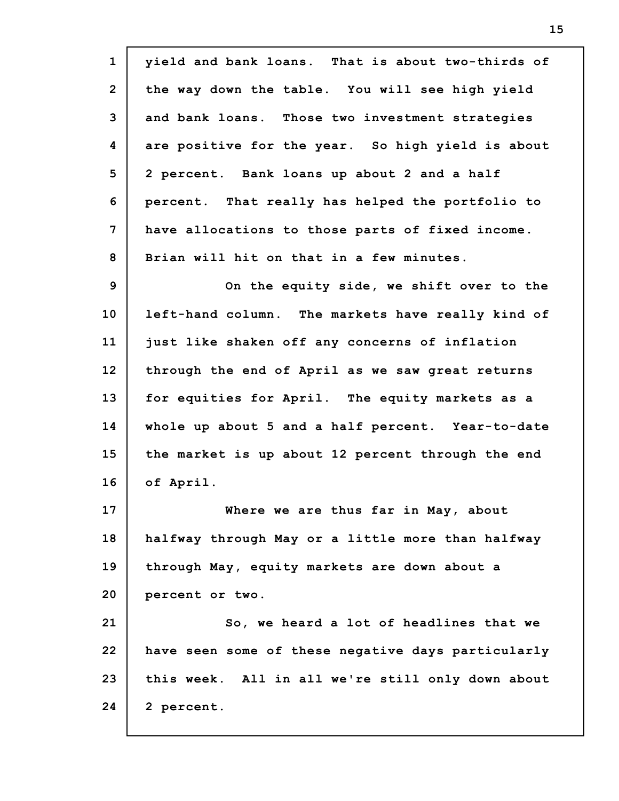| $\mathbf{1}$   | yield and bank loans. That is about two-thirds of  |
|----------------|----------------------------------------------------|
| $\overline{2}$ | the way down the table. You will see high yield    |
| 3              | and bank loans. Those two investment strategies    |
| 4              | are positive for the year. So high yield is about  |
| 5              | 2 percent. Bank loans up about 2 and a half        |
| 6              | percent. That really has helped the portfolio to   |
| 7              | have allocations to those parts of fixed income.   |
| 8              | Brian will hit on that in a few minutes.           |
| $\mathbf{9}$   | On the equity side, we shift over to the           |
| 10             | left-hand column. The markets have really kind of  |
| 11             | just like shaken off any concerns of inflation     |
| 12             | through the end of April as we saw great returns   |
| 13             | for equities for April. The equity markets as a    |
| 14             | whole up about 5 and a half percent. Year-to-date  |
| 15             | the market is up about 12 percent through the end  |
| 16             | of April.                                          |
| 17             | Where we are thus far in May, about                |
| 18             | halfway through May or a little more than halfway  |
| 19             | through May, equity markets are down about a       |
| 20             | percent or two.                                    |
| 21             | So, we heard a lot of headlines that we            |
| 22             | have seen some of these negative days particularly |
| 23             | this week. All in all we're still only down about  |
| 24             | 2 percent.                                         |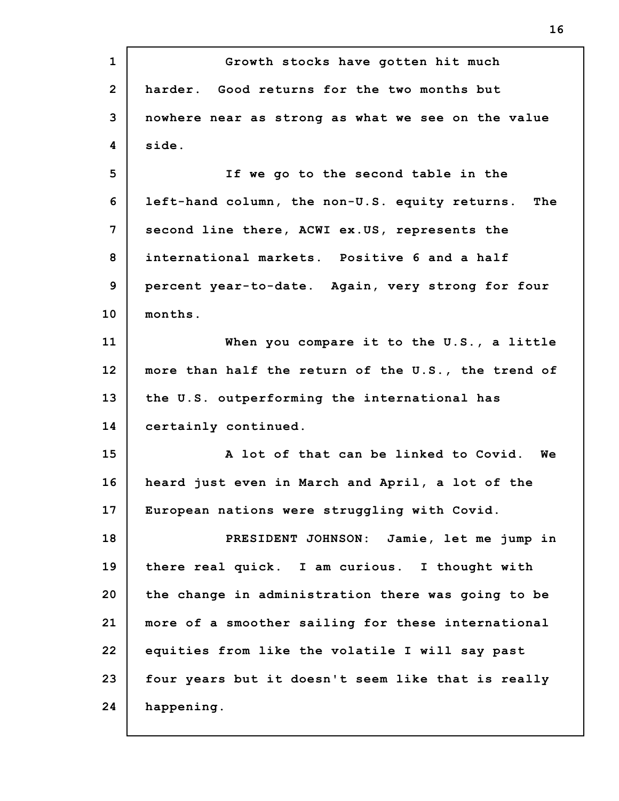**1 2 3 4 5 6 7 8 9 10 11 12 13 14 15 16 17 18 19 20 21 22 23 24 Growth stocks have gotten hit much harder. Good returns for the two months but nowhere near as strong as what we see on the value side. If we go to the second table in the left-hand column, the non-U.S. equity returns. The second line there, ACWI ex.US, represents the international markets. Positive 6 and a half percent year-to-date. Again, very strong for four months. When you compare it to the U.S., a little more than half the return of the U.S., the trend of the U.S. outperforming the international has certainly continued. A lot of that can be linked to Covid. We heard just even in March and April, a lot of the European nations were struggling with Covid. PRESIDENT JOHNSON: Jamie, let me jump in there real quick. I am curious. I thought with the change in administration there was going to be more of a smoother sailing for these international equities from like the volatile I will say past four years but it doesn't seem like that is really happening.**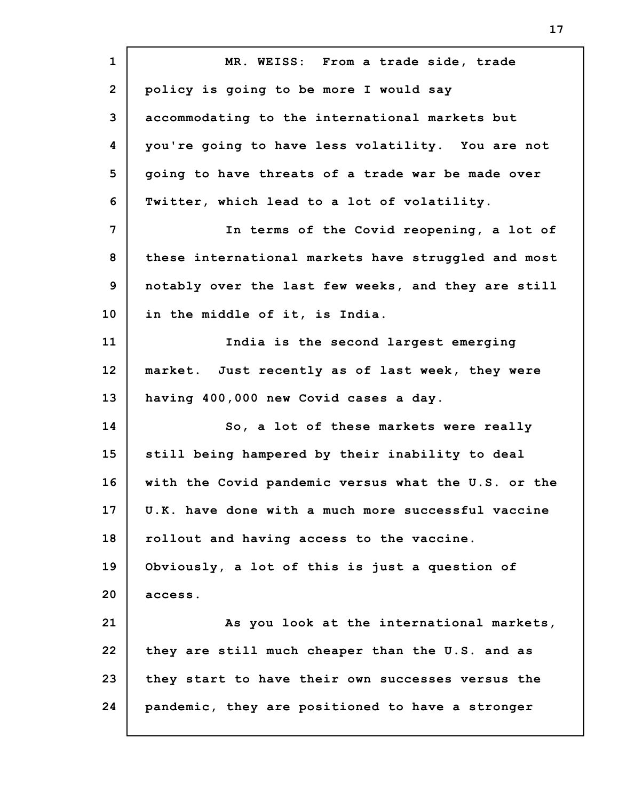| $\mathbf{1}$   | MR. WEISS: From a trade side, trade                 |
|----------------|-----------------------------------------------------|
| $\overline{2}$ | policy is going to be more I would say              |
| 3              | accommodating to the international markets but      |
| 4              | you're going to have less volatility. You are not   |
| 5              | going to have threats of a trade war be made over   |
| 6              | Twitter, which lead to a lot of volatility.         |
| 7              | In terms of the Covid reopening, a lot of           |
| 8              | these international markets have struggled and most |
| 9              | notably over the last few weeks, and they are still |
| 10             | in the middle of it, is India.                      |
| 11             | India is the second largest emerging                |
| 12             | market. Just recently as of last week, they were    |
| 13             | having 400,000 new Covid cases a day.               |
| 14             | So, a lot of these markets were really              |
| 15             | still being hampered by their inability to deal     |
| 16             | with the Covid pandemic versus what the U.S. or the |
| 17             | U.K. have done with a much more successful vaccine  |
| 18             | rollout and having access to the vaccine.           |
| 19             | Obviously, a lot of this is just a question of      |
| 20             | access.                                             |
| 21             | As you look at the international markets,           |
| 22             | they are still much cheaper than the U.S. and as    |
| 23             | they start to have their own successes versus the   |
| 24             | pandemic, they are positioned to have a stronger    |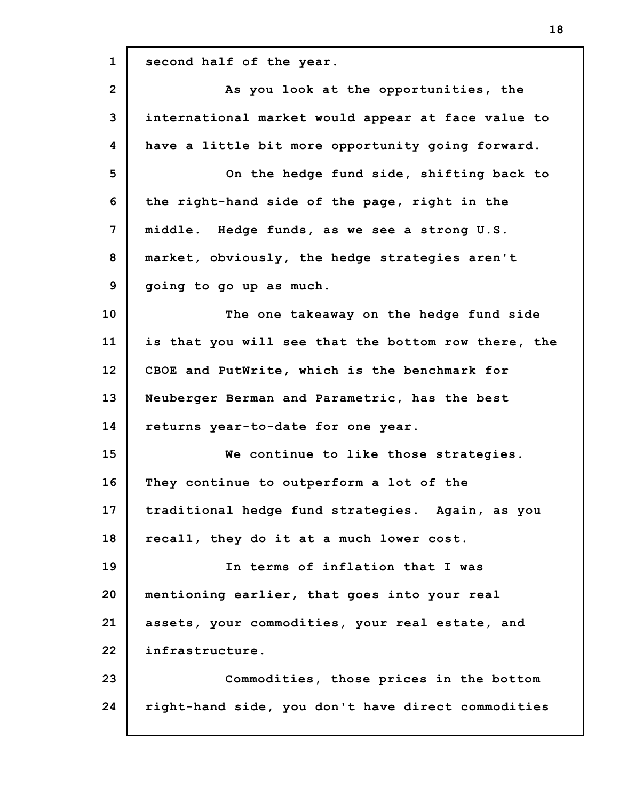**1 2 3 4 5 6 7 8 9 10 11 12 13 14 15 16 17 18 19 20 21 22 23 24 second half of the year. As you look at the opportunities, the international market would appear at face value to have a little bit more opportunity going forward. On the hedge fund side, shifting back to the right-hand side of the page, right in the middle. Hedge funds, as we see a strong U.S. market, obviously, the hedge strategies aren't going to go up as much. The one takeaway on the hedge fund side is that you will see that the bottom row there, the CBOE and PutWrite, which is the benchmark for Neuberger Berman and Parametric, has the best returns year-to-date for one year. We continue to like those strategies. They continue to outperform a lot of the traditional hedge fund strategies. Again, as you recall, they do it at a much lower cost. In terms of inflation that I was mentioning earlier, that goes into your real assets, your commodities, your real estate, and infrastructure. Commodities, those prices in the bottom right-hand side, you don't have direct commodities**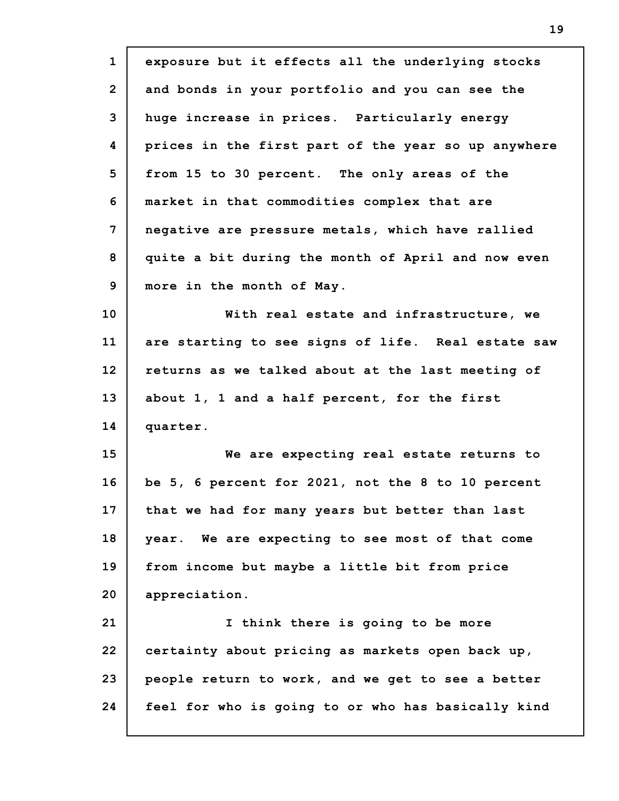| $\mathbf{1}$    | exposure but it effects all the underlying stocks   |
|-----------------|-----------------------------------------------------|
| $\overline{2}$  | and bonds in your portfolio and you can see the     |
| 3               | huge increase in prices. Particularly energy        |
| 4               | prices in the first part of the year so up anywhere |
| 5               | from 15 to 30 percent. The only areas of the        |
| 6               | market in that commodities complex that are         |
| $\overline{7}$  | negative are pressure metals, which have rallied    |
| 8               | quite a bit during the month of April and now even  |
| 9               | more in the month of May.                           |
| 10              | With real estate and infrastructure, we             |
| 11              | are starting to see signs of life. Real estate saw  |
| 12              | returns as we talked about at the last meeting of   |
| 13              | about 1, 1 and a half percent, for the first        |
| 14              | quarter.                                            |
| 15 <sub>2</sub> | We are expecting real estate returns to             |
| 16              | be 5, 6 percent for 2021, not the 8 to 10 percent   |
| 17              | that we had for many years but better than last     |
| 18              | year. We are expecting to see most of that come     |
| 19              | from income but maybe a little bit from price       |
| 20              | appreciation.                                       |
| 21              | I think there is going to be more                   |
| 22              | certainty about pricing as markets open back up,    |
| 23              | people return to work, and we get to see a better   |
| 24              | feel for who is going to or who has basically kind  |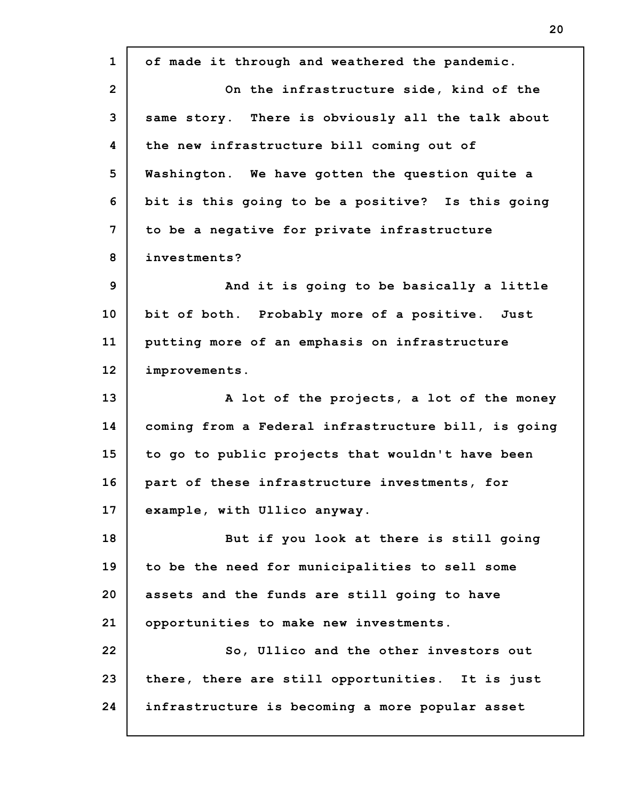**1 2 3 4 5 6 7 8 9 10 11 12 13 14 15 16 17 18 19 20 21 22 23 24 of made it through and weathered the pandemic. On the infrastructure side, kind of the same story. There is obviously all the talk about the new infrastructure bill coming out of Washington. We have gotten the question quite a bit is this going to be a positive? Is this going to be a negative for private infrastructure investments? And it is going to be basically a little bit of both. Probably more of a positive. Just putting more of an emphasis on infrastructure improvements. A lot of the projects, a lot of the money coming from a Federal infrastructure bill, is going to go to public projects that wouldn't have been part of these infrastructure investments, for example, with Ullico anyway. But if you look at there is still going to be the need for municipalities to sell some assets and the funds are still going to have opportunities to make new investments. So, Ullico and the other investors out there, there are still opportunities. It is just infrastructure is becoming a more popular asset**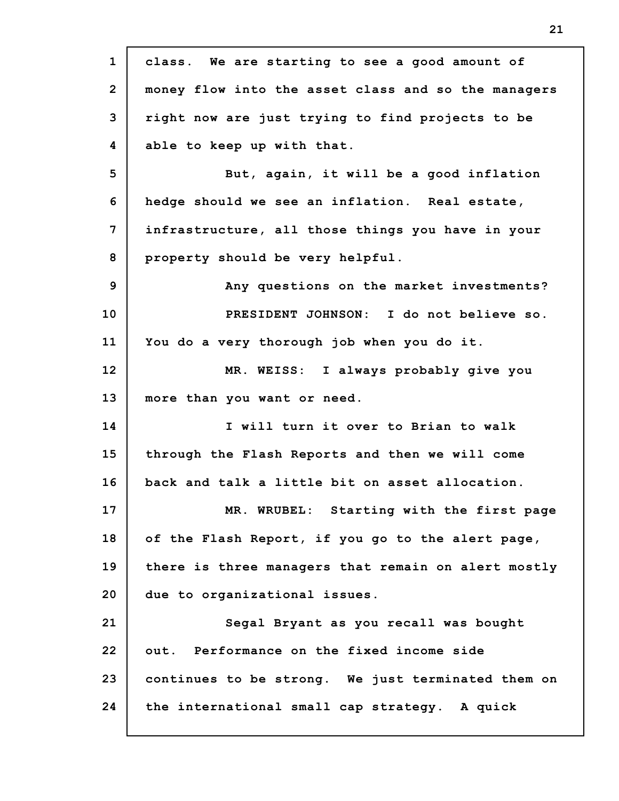| $\mathbf{1}$   | class. We are starting to see a good amount of      |
|----------------|-----------------------------------------------------|
| $\overline{2}$ | money flow into the asset class and so the managers |
| 3              | right now are just trying to find projects to be    |
| 4              | able to keep up with that.                          |
| 5              | But, again, it will be a good inflation             |
| 6              | hedge should we see an inflation. Real estate,      |
| $\overline{7}$ | infrastructure, all those things you have in your   |
| 8              | property should be very helpful.                    |
| 9              | Any questions on the market investments?            |
| 10             | PRESIDENT JOHNSON: I do not believe so.             |
| 11             | You do a very thorough job when you do it.          |
| 12             | MR. WEISS: I always probably give you               |
| 13             | more than you want or need.                         |
| 14             | I will turn it over to Brian to walk                |
| 15             | through the Flash Reports and then we will come     |
| 16             | back and talk a little bit on asset allocation.     |
| 17             | MR. WRUBEL: Starting with the first page            |
| 18             | of the Flash Report, if you go to the alert page,   |
| 19             | there is three managers that remain on alert mostly |
| 20             | due to organizational issues.                       |
| 21             | Segal Bryant as you recall was bought               |
| 22             | out. Performance on the fixed income side           |
| 23             | continues to be strong. We just terminated them on  |
| 24             | the international small cap strategy. A quick       |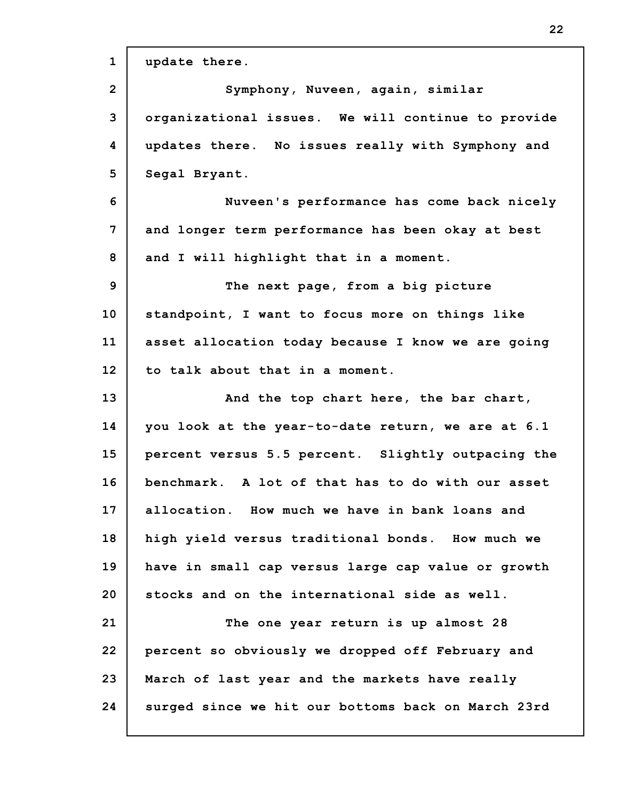| $\mathbf{1}$    | update there.                                      |
|-----------------|----------------------------------------------------|
| $\overline{2}$  | Symphony, Nuveen, again, similar                   |
| 3               | organizational issues. We will continue to provide |
| 4               | updates there. No issues really with Symphony and  |
| 5               | Segal Bryant.                                      |
| 6               | Nuveen's performance has come back nicely          |
| 7               | and longer term performance has been okay at best  |
| 8               | and I will highlight that in a moment.             |
| 9               | The next page, from a big picture                  |
| 10 <sub>1</sub> | standpoint, I want to focus more on things like    |
| 11              | asset allocation today because I know we are going |
| 12 <sub>2</sub> | to talk about that in a moment.                    |
| 13              | And the top chart here, the bar chart,             |
| 14              | you look at the year-to-date return, we are at 6.1 |
| 15              | percent versus 5.5 percent. Slightly outpacing the |
| 16              | benchmark. A lot of that has to do with our asset  |
| 17              | allocation. How much we have in bank loans and     |
| 18              | high yield versus traditional bonds. How much we   |
| 19              | have in small cap versus large cap value or growth |
| 20              | stocks and on the international side as well.      |
| 21              | The one year return is up almost 28                |
| 22              | percent so obviously we dropped off February and   |
| 23              | March of last year and the markets have really     |
| 24              | surged since we hit our bottoms back on March 23rd |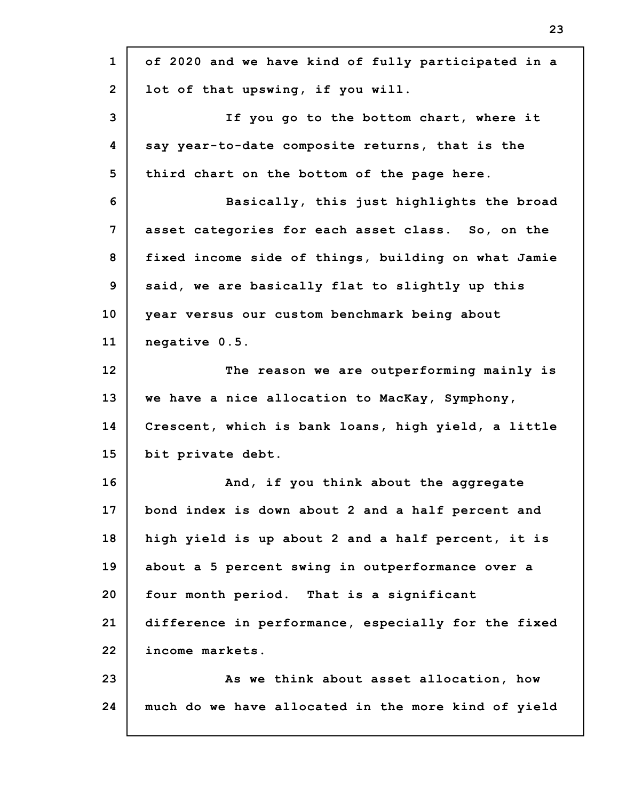| $\mathbf{1}$   | of 2020 and we have kind of fully participated in a |
|----------------|-----------------------------------------------------|
| $\overline{2}$ | lot of that upswing, if you will.                   |
| 3              | If you go to the bottom chart, where it             |
| 4              | say year-to-date composite returns, that is the     |
| 5              | third chart on the bottom of the page here.         |
| 6              | Basically, this just highlights the broad           |
| 7              | asset categories for each asset class. So, on the   |
| 8              | fixed income side of things, building on what Jamie |
| 9              | said, we are basically flat to slightly up this     |
| 10             | year versus our custom benchmark being about        |
| 11             | negative 0.5.                                       |
| 12             | The reason we are outperforming mainly is           |
| 13             | we have a nice allocation to MacKay, Symphony,      |
| 14             | Crescent, which is bank loans, high yield, a little |
| 15             | bit private debt.                                   |
| 16             | And, if you think about the aggregate               |
| 17             | bond index is down about 2 and a half percent and   |
| 18             | high yield is up about 2 and a half percent, it is  |
| 19             | about a 5 percent swing in outperformance over a    |
| 20             | four month period. That is a significant            |
| 21             | difference in performance, especially for the fixed |
| 22             | income markets.                                     |
| 23             | As we think about asset allocation, how             |
| 24             | much do we have allocated in the more kind of yield |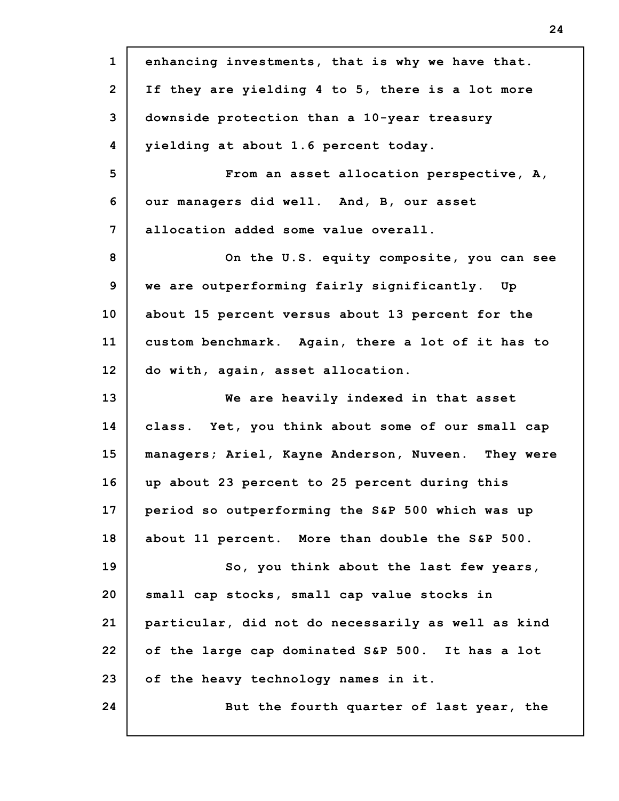| $\mathbf{1}$   | enhancing investments, that is why we have that.   |
|----------------|----------------------------------------------------|
| $\overline{2}$ | If they are yielding 4 to 5, there is a lot more   |
| 3              | downside protection than a 10-year treasury        |
| 4              | yielding at about 1.6 percent today.               |
| 5              | From an asset allocation perspective, A,           |
| 6              | our managers did well. And, B, our asset           |
| 7              | allocation added some value overall.               |
| 8              | On the U.S. equity composite, you can see          |
| 9              | we are outperforming fairly significantly. Up      |
| 10             | about 15 percent versus about 13 percent for the   |
| 11             | custom benchmark. Again, there a lot of it has to  |
| 12             | do with, again, asset allocation.                  |
| 13             | We are heavily indexed in that asset               |
| 14             | class. Yet, you think about some of our small cap  |
| 15             | managers; Ariel, Kayne Anderson, Nuveen. They were |
| 16             | up about 23 percent to 25 percent during this      |
| 17             | period so outperforming the S&P 500 which was up   |
| 18             | about 11 percent. More than double the S&P 500.    |
| 19             | So, you think about the last few years,            |
| 20             | small cap stocks, small cap value stocks in        |
| 21             | particular, did not do necessarily as well as kind |
| 22             | of the large cap dominated S&P 500. It has a lot   |
| 23             | of the heavy technology names in it.               |
| 24             | But the fourth quarter of last year, the           |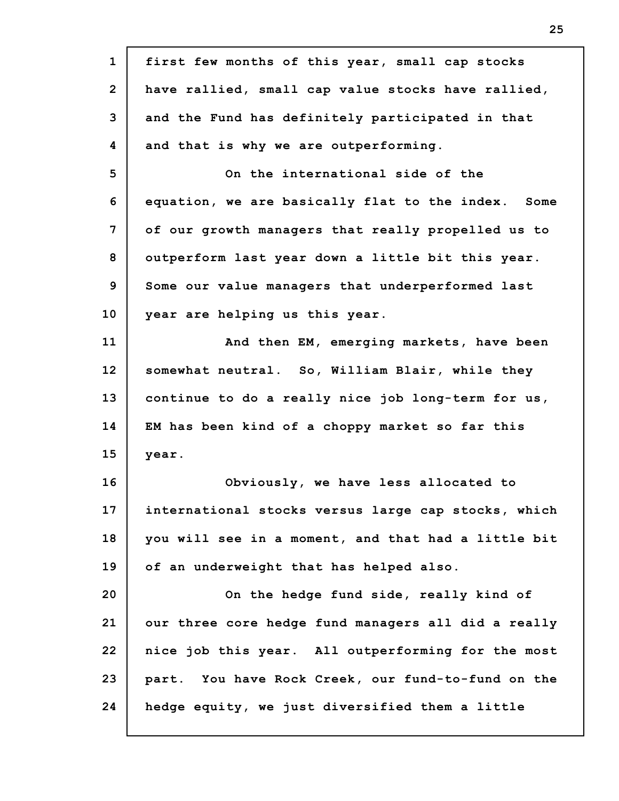| $\mathbf{1}$   | first few months of this year, small cap stocks     |
|----------------|-----------------------------------------------------|
| $\overline{2}$ | have rallied, small cap value stocks have rallied,  |
| 3              | and the Fund has definitely participated in that    |
| 4              | and that is why we are outperforming.               |
| 5              | On the international side of the                    |
| 6              | equation, we are basically flat to the index. Some  |
| 7              | of our growth managers that really propelled us to  |
| 8              | outperform last year down a little bit this year.   |
| 9              | Some our value managers that underperformed last    |
| 10             | year are helping us this year.                      |
| 11             | And then EM, emerging markets, have been            |
| 12             | somewhat neutral. So, William Blair, while they     |
| 13             | continue to do a really nice job long-term for us,  |
| 14             | EM has been kind of a choppy market so far this     |
| 15             | year.                                               |
| 16             | Obviously, we have less allocated to                |
| 17             | international stocks versus large cap stocks, which |
| 18             | you will see in a moment, and that had a little bit |
| 19             | of an underweight that has helped also.             |
| 20             | On the hedge fund side, really kind of              |
| 21             | our three core hedge fund managers all did a really |
| 22             | nice job this year. All outperforming for the most  |
| 23             | part. You have Rock Creek, our fund-to-fund on the  |
| 24             | hedge equity, we just diversified them a little     |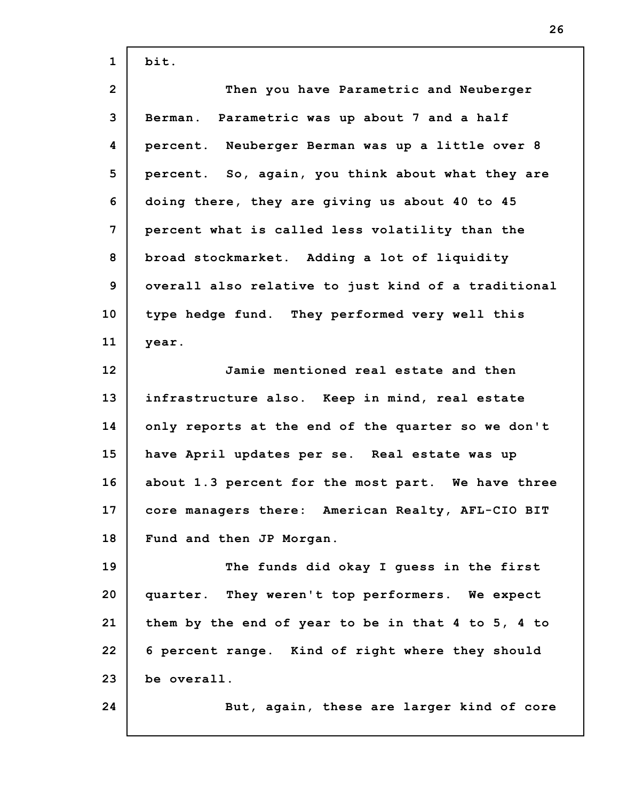| $\mathbf{1}$    | bit.                                                |
|-----------------|-----------------------------------------------------|
| $\overline{2}$  | Then you have Parametric and Neuberger              |
| 3               | Berman. Parametric was up about 7 and a half        |
| 4               | percent. Neuberger Berman was up a little over 8    |
| 5               | percent. So, again, you think about what they are   |
| 6               | doing there, they are giving us about 40 to 45      |
| 7               | percent what is called less volatility than the     |
| 8               | broad stockmarket. Adding a lot of liquidity        |
| 9               | overall also relative to just kind of a traditional |
| 10              | type hedge fund. They performed very well this      |
| 11              | year.                                               |
| 12 <sub>2</sub> | Jamie mentioned real estate and then                |
| 13              | infrastructure also. Keep in mind, real estate      |
| 14              | only reports at the end of the quarter so we don't  |
| 15              | have April updates per se. Real estate was up       |
| 16              | about 1.3 percent for the most part. We have three  |
| 17              | core managers there: American Realty, AFL-CIO BIT   |
| 18              | Fund and then JP Morgan.                            |
| 19              | The funds did okay I guess in the first             |
| 20              | quarter. They weren't top performers. We expect     |
| 21              | them by the end of year to be in that 4 to 5, 4 to  |
| 22              | 6 percent range. Kind of right where they should    |
| 23              | be overall.                                         |
| 24              | But, again, these are larger kind of core           |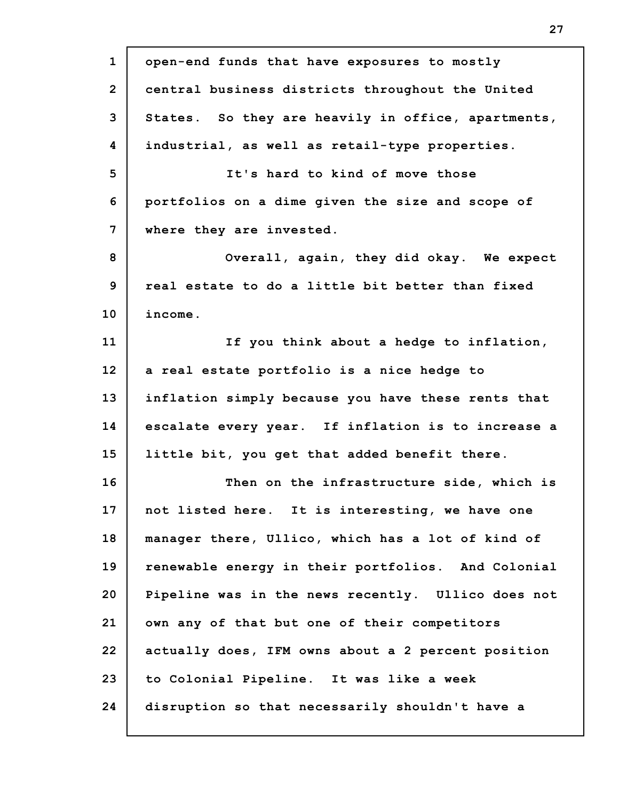**1 2 3 4 5 6 7 8 9 10 11 12 13 14 15 16 17 18 19 20 21 22 23 24 open-end funds that have exposures to mostly central business districts throughout the United States. So they are heavily in office, apartments, industrial, as well as retail-type properties. It's hard to kind of move those portfolios on a dime given the size and scope of where they are invested. Overall, again, they did okay. We expect real estate to do a little bit better than fixed income. If you think about a hedge to inflation, a real estate portfolio is a nice hedge to inflation simply because you have these rents that escalate every year. If inflation is to increase a little bit, you get that added benefit there. Then on the infrastructure side, which is not listed here. It is interesting, we have one manager there, Ullico, which has a lot of kind of renewable energy in their portfolios. And Colonial Pipeline was in the news recently. Ullico does not own any of that but one of their competitors actually does, IFM owns about a 2 percent position to Colonial Pipeline. It was like a week disruption so that necessarily shouldn't have a**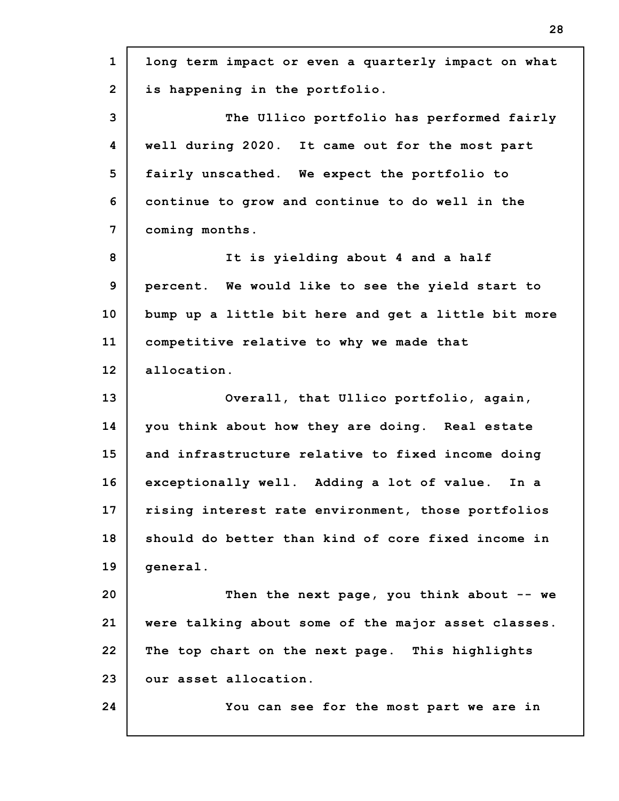**1 2 3 4 5 6 7 8 9 10 11 12 13 14 15 16 17 18 19 20 21 22 23 24 long term impact or even a quarterly impact on what is happening in the portfolio. The Ullico portfolio has performed fairly well during 2020. It came out for the most part fairly unscathed. We expect the portfolio to continue to grow and continue to do well in the coming months. It is yielding about 4 and a half percent. We would like to see the yield start to bump up a little bit here and get a little bit more competitive relative to why we made that allocation. Overall, that Ullico portfolio, again, you think about how they are doing. Real estate and infrastructure relative to fixed income doing exceptionally well. Adding a lot of value. In a rising interest rate environment, those portfolios should do better than kind of core fixed income in general. Then the next page, you think about -- we were talking about some of the major asset classes. The top chart on the next page. This highlights our asset allocation. You can see for the most part we are in**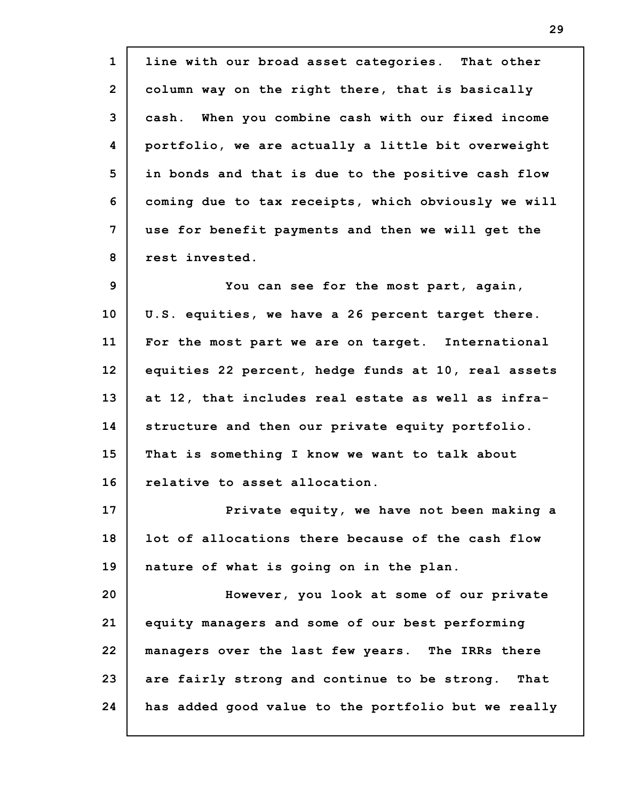**1 2 3 4 5 6 7 8 9 10 11 12 13 14 15 16 17 18 19 20 21 22 23 24 line with our broad asset categories. That other column way on the right there, that is basically cash. When you combine cash with our fixed income portfolio, we are actually a little bit overweight in bonds and that is due to the positive cash flow coming due to tax receipts, which obviously we will use for benefit payments and then we will get the rest invested. You can see for the most part, again, U.S. equities, we have a 26 percent target there. For the most part we are on target. International equities 22 percent, hedge funds at 10, real assets at 12, that includes real estate as well as infrastructure and then our private equity portfolio. That is something I know we want to talk about relative to asset allocation. Private equity, we have not been making a lot of allocations there because of the cash flow nature of what is going on in the plan. However, you look at some of our private equity managers and some of our best performing managers over the last few years. The IRRs there are fairly strong and continue to be strong. That has added good value to the portfolio but we really**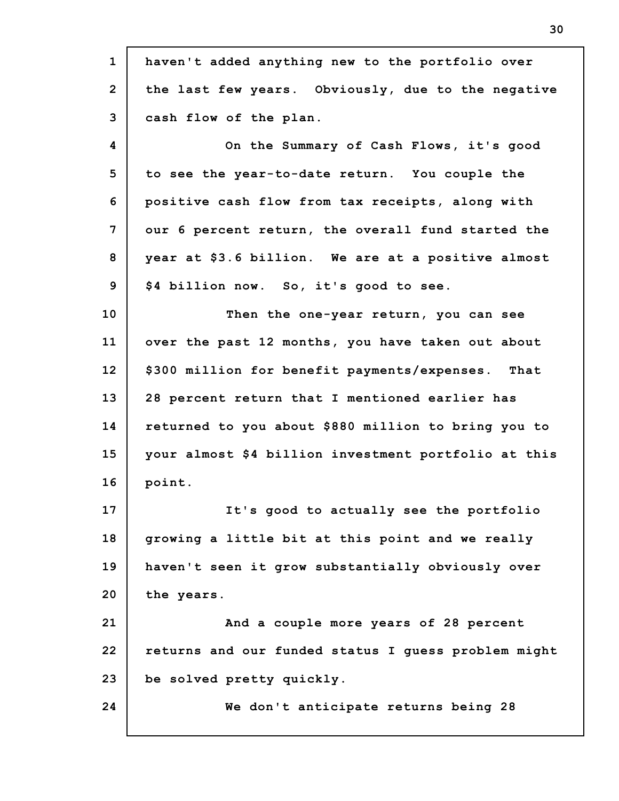| $\mathbf{1}$   | haven't added anything new to the portfolio over     |
|----------------|------------------------------------------------------|
| $\overline{2}$ | the last few years. Obviously, due to the negative   |
| 3              | cash flow of the plan.                               |
| 4              | On the Summary of Cash Flows, it's good              |
| 5              | to see the year-to-date return. You couple the       |
| 6              | positive cash flow from tax receipts, along with     |
| $\overline{7}$ | our 6 percent return, the overall fund started the   |
| 8              | year at \$3.6 billion. We are at a positive almost   |
| 9              | \$4 billion now. So, it's good to see.               |
| 10             | Then the one-year return, you can see                |
| 11             | over the past 12 months, you have taken out about    |
| 12             | \$300 million for benefit payments/expenses. That    |
| 13             | 28 percent return that I mentioned earlier has       |
| 14             | returned to you about \$880 million to bring you to  |
| 15             | your almost \$4 billion investment portfolio at this |
| 16             | point.                                               |
| 17             | It's good to actually see the portfolio              |
| 18             | growing a little bit at this point and we really     |
| 19             | haven't seen it grow substantially obviously over    |
| 20             | the years.                                           |
| 21             | And a couple more years of 28 percent                |
| 22             | returns and our funded status I guess problem might  |
| 23             | be solved pretty quickly.                            |
| 24             | We don't anticipate returns being 28                 |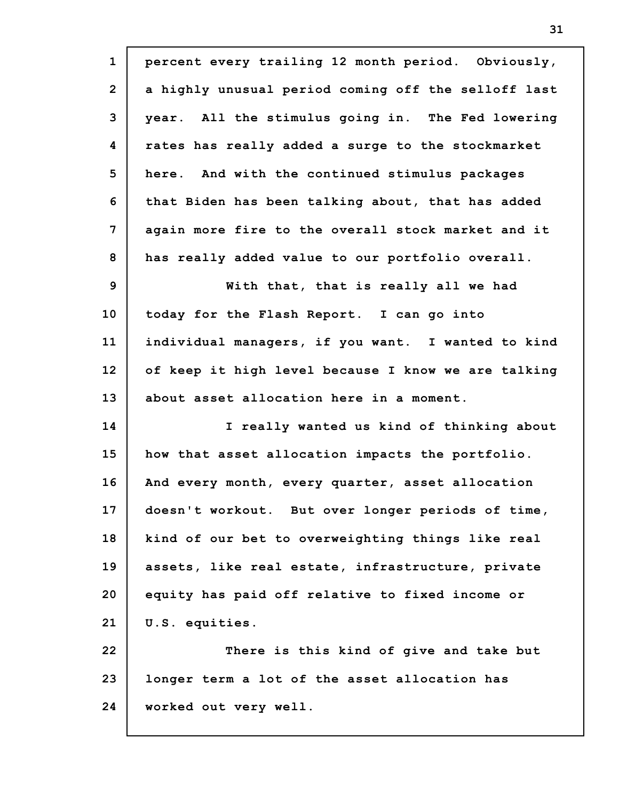| $\mathbf{1}$   | percent every trailing 12 month period. Obviously,  |
|----------------|-----------------------------------------------------|
| $\overline{2}$ | a highly unusual period coming off the selloff last |
| 3              | year. All the stimulus going in. The Fed lowering   |
| 4              | rates has really added a surge to the stockmarket   |
| 5              | here. And with the continued stimulus packages      |
| 6              | that Biden has been talking about, that has added   |
| 7              | again more fire to the overall stock market and it  |
| 8              | has really added value to our portfolio overall.    |
| 9              | With that, that is really all we had                |
| 10             | today for the Flash Report. I can go into           |
| 11             | individual managers, if you want. I wanted to kind  |
| 12             | of keep it high level because I know we are talking |
| 13             | about asset allocation here in a moment.            |
| 14             | I really wanted us kind of thinking about           |
| 15             | how that asset allocation impacts the portfolio.    |
| 16             | And every month, every quarter, asset allocation    |
| 17             | doesn't workout. But over longer periods of time,   |
| 18             | kind of our bet to overweighting things like real   |
| 19             | assets, like real estate, infrastructure, private   |
| 20             | equity has paid off relative to fixed income or     |
| 21             | U.S. equities.                                      |
| 22             | There is this kind of give and take but             |
| 23             | longer term a lot of the asset allocation has       |
| 24             | worked out very well.                               |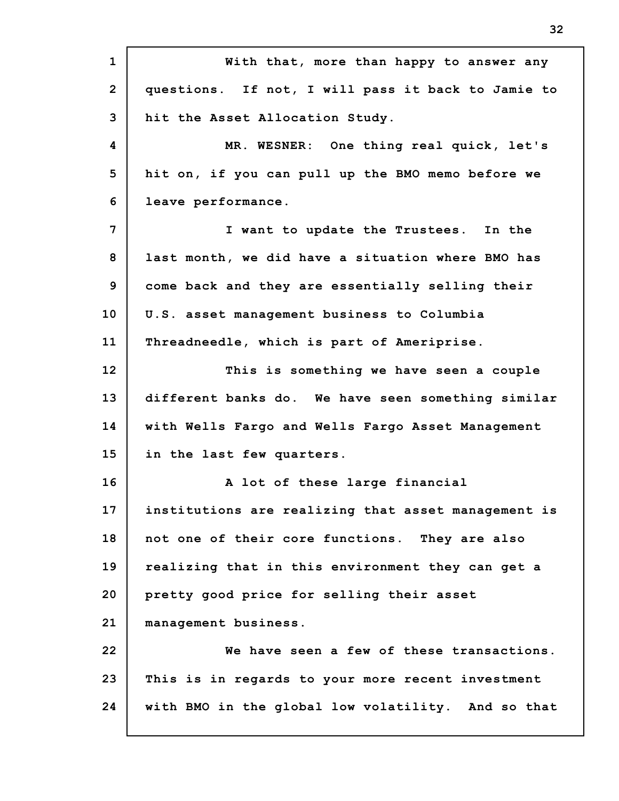**1 2 3 4 5 6 7 8 9 10 11 12 13 14 15 16 17 18 19 20 21 22 23 24 With that, more than happy to answer any questions. If not, I will pass it back to Jamie to hit the Asset Allocation Study. MR. WESNER: One thing real quick, let's hit on, if you can pull up the BMO memo before we leave performance. I want to update the Trustees. In the last month, we did have a situation where BMO has come back and they are essentially selling their U.S. asset management business to Columbia Threadneedle, which is part of Ameriprise. This is something we have seen a couple different banks do. We have seen something similar with Wells Fargo and Wells Fargo Asset Management in the last few quarters. A lot of these large financial institutions are realizing that asset management is not one of their core functions. They are also realizing that in this environment they can get a pretty good price for selling their asset management business. We have seen a few of these transactions. This is in regards to your more recent investment with BMO in the global low volatility. And so that**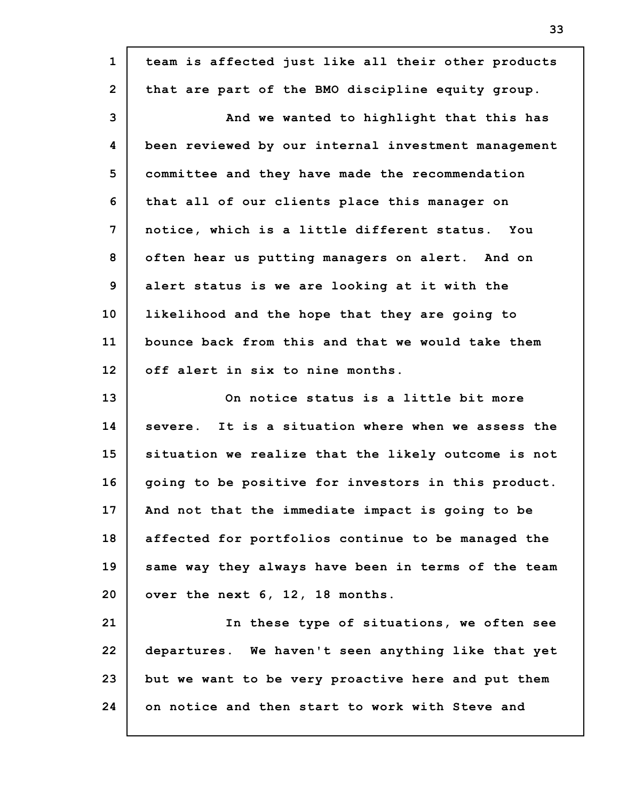| $\mathbf{1}$   | team is affected just like all their other products |
|----------------|-----------------------------------------------------|
| $\overline{2}$ | that are part of the BMO discipline equity group.   |
| 3              | And we wanted to highlight that this has            |
| 4              | been reviewed by our internal investment management |
| 5              | committee and they have made the recommendation     |
| 6              | that all of our clients place this manager on       |
| 7              | notice, which is a little different status. You     |
| 8              | often hear us putting managers on alert. And on     |
| 9              | alert status is we are looking at it with the       |
| 10             | likelihood and the hope that they are going to      |
| 11             | bounce back from this and that we would take them   |
| 12             | off alert in six to nine months.                    |
| 13             | On notice status is a little bit more               |
| 14             | severe. It is a situation where when we assess the  |
| 15             | situation we realize that the likely outcome is not |
| 16             | going to be positive for investors in this product. |
| 17             | And not that the immediate impact is going to be    |
| 18             | affected for portfolios continue to be managed the  |
| 19             | same way they always have been in terms of the team |
| 20             | over the next 6, 12, 18 months.                     |
| 21             | In these type of situations, we often see           |
| 22             | departures. We haven't seen anything like that yet  |
| 23             |                                                     |
|                | but we want to be very proactive here and put them  |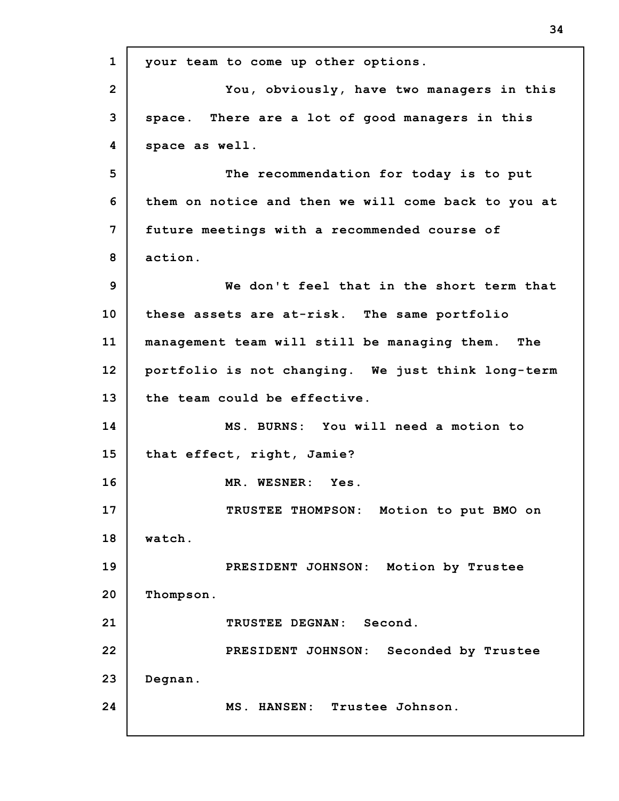**1 2 3 4 5 6 7 8 9 10 11 12 13 14 15 16 17 18 19 20 21 22 23 24 your team to come up other options. You, obviously, have two managers in this space. There are a lot of good managers in this space as well. The recommendation for today is to put them on notice and then we will come back to you at future meetings with a recommended course of action. We don't feel that in the short term that these assets are at-risk. The same portfolio management team will still be managing them. The portfolio is not changing. We just think long-term the team could be effective. MS. BURNS: You will need a motion to that effect, right, Jamie? MR. WESNER: Yes. TRUSTEE THOMPSON: Motion to put BMO on watch. PRESIDENT JOHNSON: Motion by Trustee Thompson. TRUSTEE DEGNAN: Second. PRESIDENT JOHNSON: Seconded by Trustee Degnan. MS. HANSEN: Trustee Johnson.**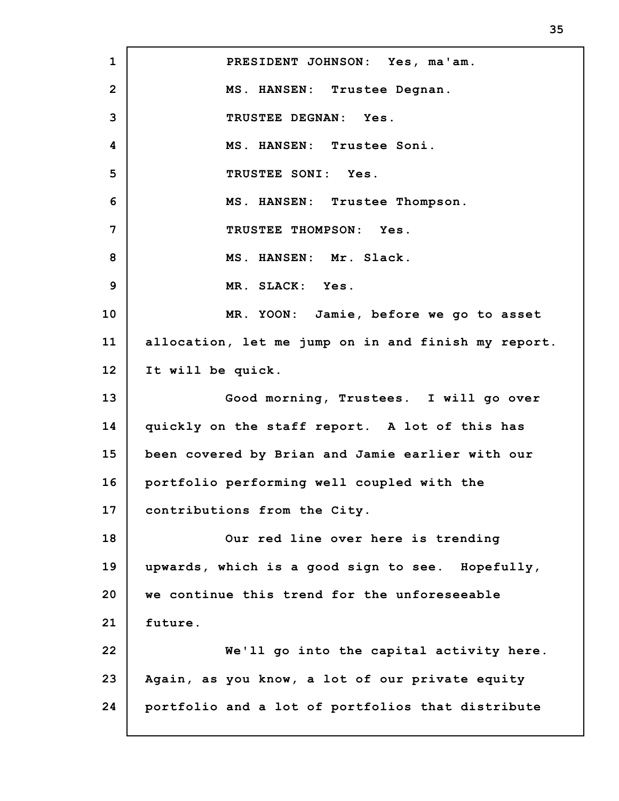**1 2 3 4 5 6 7 8 9 10 11 12 13 14 15 16 17 18 19 20 21 22 23 24 PRESIDENT JOHNSON: Yes, ma'am. MS. HANSEN: Trustee Degnan. TRUSTEE DEGNAN: Yes. MS. HANSEN: Trustee Soni. TRUSTEE SONI: Yes. MS. HANSEN: Trustee Thompson. TRUSTEE THOMPSON: Yes. MS. HANSEN: Mr. Slack. MR. SLACK: Yes. MR. YOON: Jamie, before we go to asset allocation, let me jump on in and finish my report. It will be quick. Good morning, Trustees. I will go over quickly on the staff report. A lot of this has been covered by Brian and Jamie earlier with our portfolio performing well coupled with the contributions from the City. Our red line over here is trending upwards, which is a good sign to see. Hopefully, we continue this trend for the unforeseeable future. We'll go into the capital activity here. Again, as you know, a lot of our private equity portfolio and a lot of portfolios that distribute**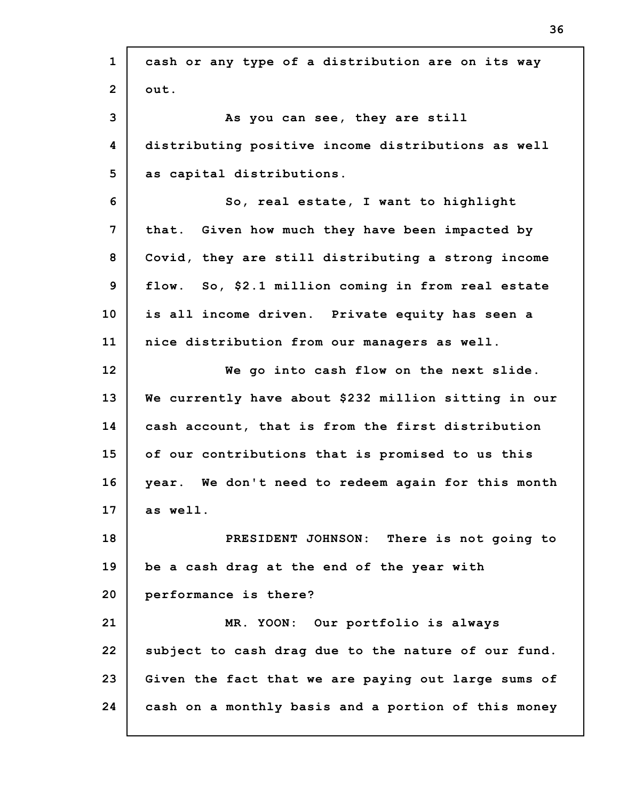| $\mathbf{1}$   | cash or any type of a distribution are on its way    |
|----------------|------------------------------------------------------|
| $\overline{2}$ | out.                                                 |
| 3              | As you can see, they are still                       |
| 4              | distributing positive income distributions as well   |
| 5              | as capital distributions.                            |
| 6              | So, real estate, I want to highlight                 |
| $\overline{7}$ | that. Given how much they have been impacted by      |
| 8              | Covid, they are still distributing a strong income   |
| 9              | flow. So, \$2.1 million coming in from real estate   |
| 10             | is all income driven. Private equity has seen a      |
| 11             | nice distribution from our managers as well.         |
| 12             | We go into cash flow on the next slide.              |
| 13             | We currently have about \$232 million sitting in our |
| 14             | cash account, that is from the first distribution    |
| 15             | of our contributions that is promised to us this     |
| 16             | year. We don't need to redeem again for this month   |
| 17             | as well.                                             |
| 18             | PRESIDENT JOHNSON: There is not going to             |
| 19             | be a cash drag at the end of the year with           |
| 20             | performance is there?                                |
| 21             | MR. YOON: Our portfolio is always                    |
| 22             | subject to cash drag due to the nature of our fund.  |
| 23             | Given the fact that we are paying out large sums of  |
| 24             | cash on a monthly basis and a portion of this money  |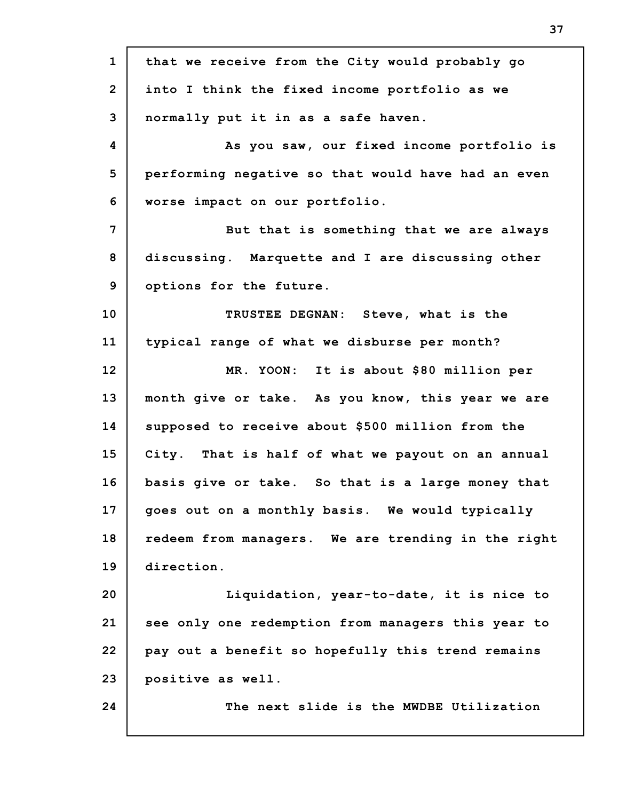**1 2 3 4 5 6 7 8 9 10 11 12 13 14 15 16 17 18 19 20 21 22 23 24 that we receive from the City would probably go into I think the fixed income portfolio as we normally put it in as a safe haven. As you saw, our fixed income portfolio is performing negative so that would have had an even worse impact on our portfolio. But that is something that we are always discussing. Marquette and I are discussing other options for the future. TRUSTEE DEGNAN: Steve, what is the typical range of what we disburse per month? MR. YOON: It is about \$80 million per month give or take. As you know, this year we are supposed to receive about \$500 million from the City. That is half of what we payout on an annual basis give or take. So that is a large money that goes out on a monthly basis. We would typically redeem from managers. We are trending in the right direction. Liquidation, year-to-date, it is nice to see only one redemption from managers this year to pay out a benefit so hopefully this trend remains positive as well. The next slide is the MWDBE Utilization**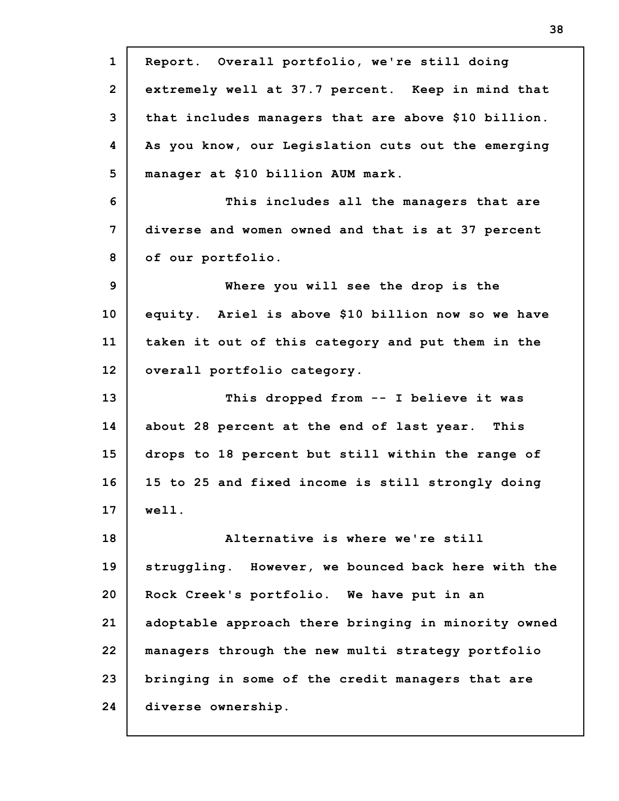| $\mathbf{1}$   | Report. Overall portfolio, we're still doing        |
|----------------|-----------------------------------------------------|
| $\overline{2}$ | extremely well at 37.7 percent. Keep in mind that   |
| 3              | that includes managers that are above \$10 billion. |
| 4              | As you know, our Legislation cuts out the emerging  |
| 5              | manager at \$10 billion AUM mark.                   |
| 6              | This includes all the managers that are             |
| $\overline{7}$ | diverse and women owned and that is at 37 percent   |
| 8              | of our portfolio.                                   |
| 9              | Where you will see the drop is the                  |
| 10             | equity. Ariel is above \$10 billion now so we have  |
| 11             | taken it out of this category and put them in the   |
| 12             | overall portfolio category.                         |
| 13             | This dropped from -- I believe it was               |
| 14             | about 28 percent at the end of last year. This      |
| 15             | drops to 18 percent but still within the range of   |
| 16             | 15 to 25 and fixed income is still strongly doing   |
| 17             | well.                                               |
| 18             | Alternative is where we're still                    |
| 19             | struggling. However, we bounced back here with the  |
| 20             | Rock Creek's portfolio. We have put in an           |
| 21             | adoptable approach there bringing in minority owned |
| 22             | managers through the new multi strategy portfolio   |
| 23             | bringing in some of the credit managers that are    |
| 24             | diverse ownership.                                  |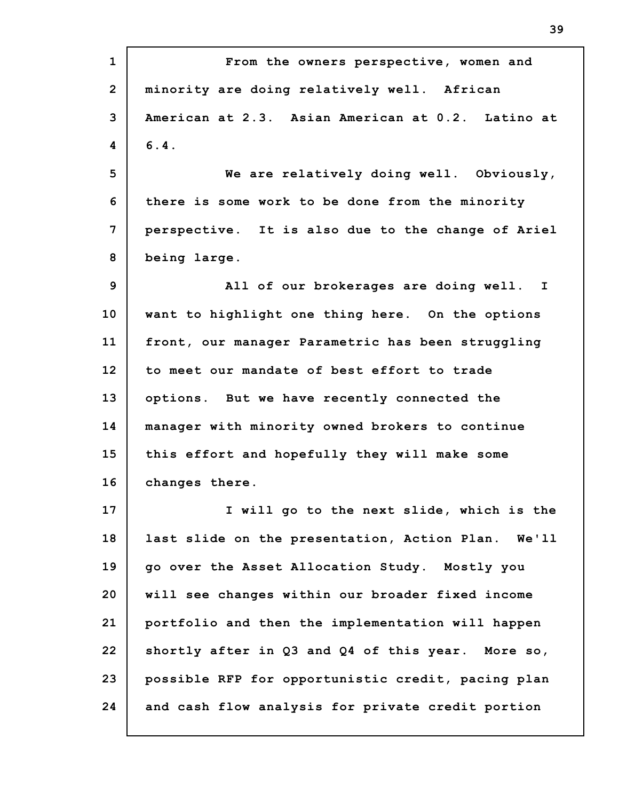**1 2 3 4 5 6 7 8 9 10 11 12 13 14 15 16 17 18 19 20 21 22 23 24 From the owners perspective, women and minority are doing relatively well. African American at 2.3. Asian American at 0.2. Latino at 6.4. We are relatively doing well. Obviously, there is some work to be done from the minority perspective. It is also due to the change of Ariel being large. All of our brokerages are doing well. I want to highlight one thing here. On the options front, our manager Parametric has been struggling to meet our mandate of best effort to trade options. But we have recently connected the manager with minority owned brokers to continue this effort and hopefully they will make some changes there. I will go to the next slide, which is the last slide on the presentation, Action Plan. We'll go over the Asset Allocation Study. Mostly you will see changes within our broader fixed income portfolio and then the implementation will happen shortly after in Q3 and Q4 of this year. More so, possible RFP for opportunistic credit, pacing plan and cash flow analysis for private credit portion**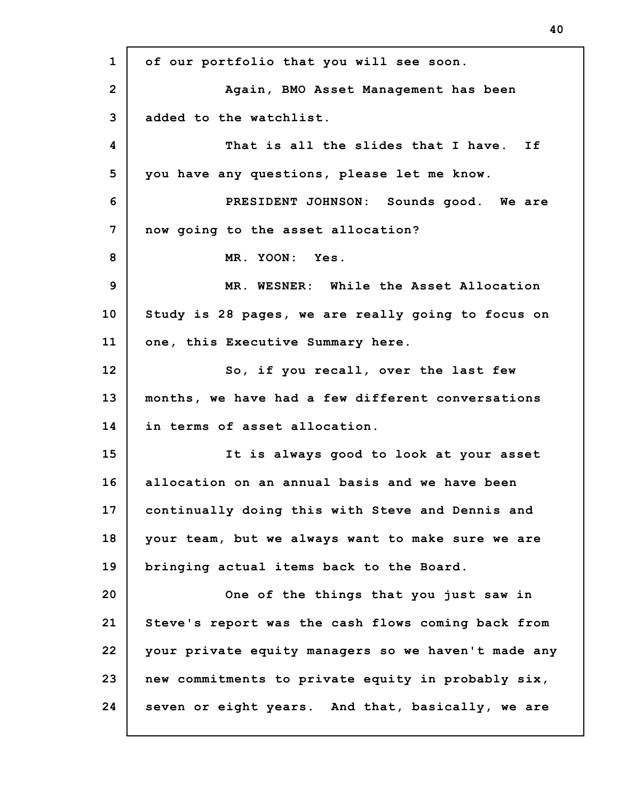**1 2 3 4 5 6 7 8 9 10 11 12 13 14 15 16 17 18 19 20 21 22 23 24 of our portfolio that you will see soon. Again, BMO Asset Management has been added to the watchlist. That is all the slides that I have. If you have any questions, please let me know. PRESIDENT JOHNSON: Sounds good. We are now going to the asset allocation? MR. YOON: Yes. MR. WESNER: While the Asset Allocation Study is 28 pages, we are really going to focus on one, this Executive Summary here. So, if you recall, over the last few months, we have had a few different conversations in terms of asset allocation. It is always good to look at your asset allocation on an annual basis and we have been continually doing this with Steve and Dennis and your team, but we always want to make sure we are bringing actual items back to the Board. One of the things that you just saw in Steve's report was the cash flows coming back from your private equity managers so we haven't made any new commitments to private equity in probably six, seven or eight years. And that, basically, we are**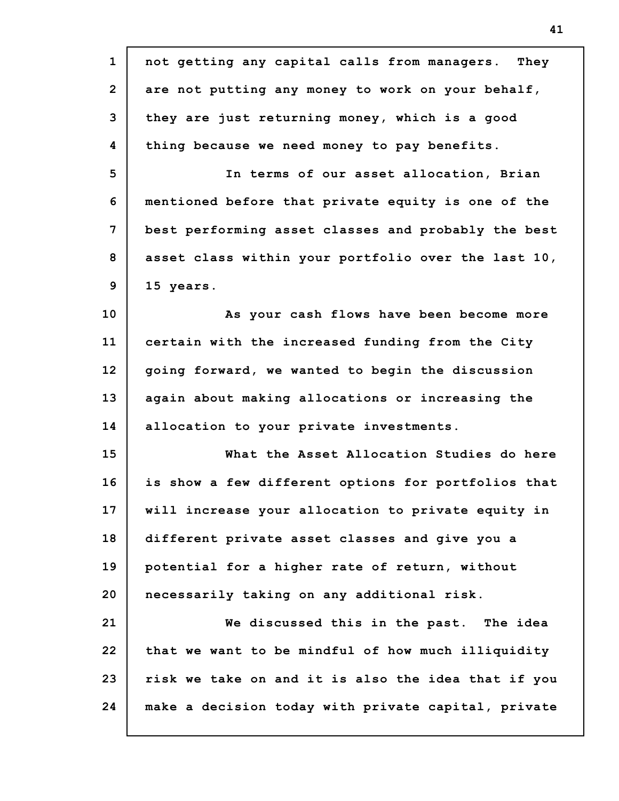| $\mathbf{1}$   | not getting any capital calls from managers. They   |
|----------------|-----------------------------------------------------|
| $\overline{2}$ | are not putting any money to work on your behalf,   |
| 3              | they are just returning money, which is a good      |
| 4              | thing because we need money to pay benefits.        |
| 5              | In terms of our asset allocation, Brian             |
| 6              | mentioned before that private equity is one of the  |
| 7              | best performing asset classes and probably the best |
| 8              | asset class within your portfolio over the last 10, |
| 9              | 15 years.                                           |
| 10             | As your cash flows have been become more            |
| 11             | certain with the increased funding from the City    |
| 12             | going forward, we wanted to begin the discussion    |
| 13             | again about making allocations or increasing the    |
| 14             | allocation to your private investments.             |
| 15             | What the Asset Allocation Studies do here           |
| 16             | is show a few different options for portfolios that |
| 17             | will increase your allocation to private equity in  |
| 18             | different private asset classes and give you a      |
| 19             | potential for a higher rate of return, without      |
| 20             | necessarily taking on any additional risk.          |
| 21             | We discussed this in the past. The idea             |
| 22             | that we want to be mindful of how much illiquidity  |
| 23             | risk we take on and it is also the idea that if you |
| 24             | make a decision today with private capital, private |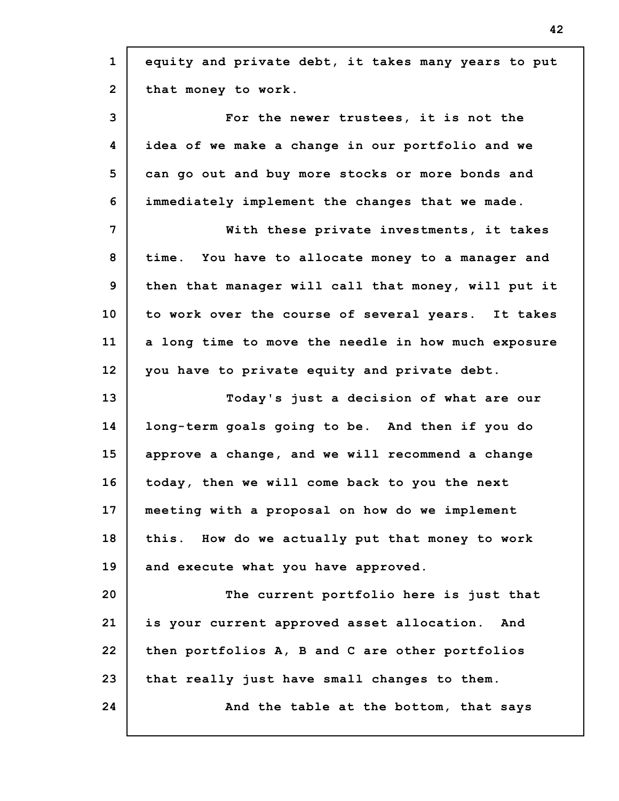| $\mathbf{1}$   | equity and private debt, it takes many years to put |
|----------------|-----------------------------------------------------|
| $\overline{2}$ | that money to work.                                 |
| 3              | For the newer trustees, it is not the               |
| 4              | idea of we make a change in our portfolio and we    |
| 5              | can go out and buy more stocks or more bonds and    |
| 6              | immediately implement the changes that we made.     |
| $\overline{7}$ | With these private investments, it takes            |
| 8              | time. You have to allocate money to a manager and   |
| 9              | then that manager will call that money, will put it |
| 10             | to work over the course of several years. It takes  |
| 11             | a long time to move the needle in how much exposure |
| 12             | you have to private equity and private debt.        |
| 13             | Today's just a decision of what are our             |
| 14             | long-term goals going to be. And then if you do     |
| 15             | approve a change, and we will recommend a change    |
| 16             | today, then we will come back to you the next       |
| 17             | meeting with a proposal on how do we implement      |
| 18             | this. How do we actually put that money to work     |
| 19             | and execute what you have approved.                 |
| 20             | The current portfolio here is just that             |
| 21             | is your current approved asset allocation.<br>And   |
| 22             | then portfolios A, B and C are other portfolios     |
| 23             | that really just have small changes to them.        |
| 24             | And the table at the bottom, that says              |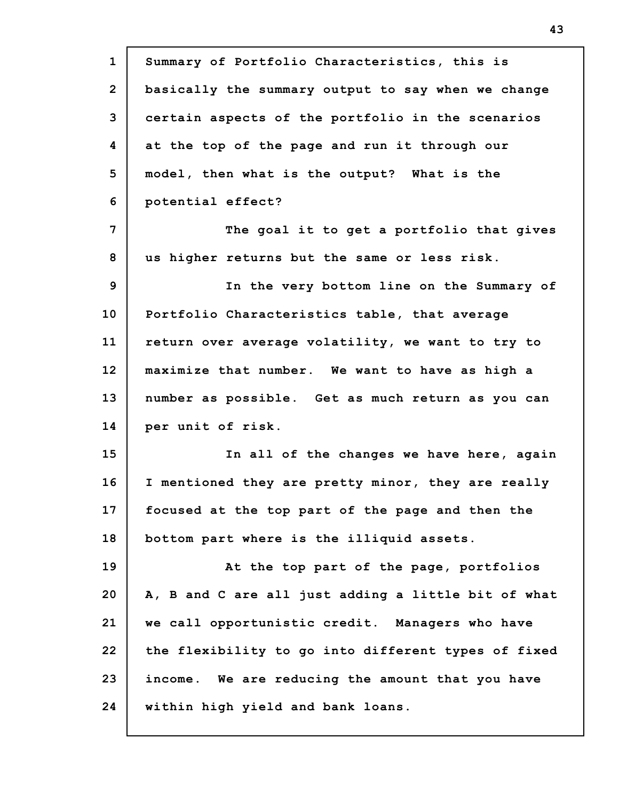| $\mathbf{1}$   | Summary of Portfolio Characteristics, this is       |
|----------------|-----------------------------------------------------|
| $\overline{2}$ | basically the summary output to say when we change  |
| 3              | certain aspects of the portfolio in the scenarios   |
| 4              | at the top of the page and run it through our       |
| 5              | model, then what is the output? What is the         |
| 6              | potential effect?                                   |
| 7              | The goal it to get a portfolio that gives           |
| 8              | us higher returns but the same or less risk.        |
| 9              | In the very bottom line on the Summary of           |
| 10             | Portfolio Characteristics table, that average       |
| 11             | return over average volatility, we want to try to   |
| 12             | maximize that number. We want to have as high a     |
| 13             | number as possible. Get as much return as you can   |
| 14             | per unit of risk.                                   |
| 15             | In all of the changes we have here, again           |
| 16             | I mentioned they are pretty minor, they are really  |
| 17             | focused at the top part of the page and then the    |
| 18             | bottom part where is the illiquid assets.           |
| 19             | At the top part of the page, portfolios             |
| 20             | A, B and C are all just adding a little bit of what |
| 21             | we call opportunistic credit. Managers who have     |
| 22             | the flexibility to go into different types of fixed |
| 23             | income. We are reducing the amount that you have    |
| 24             | within high yield and bank loans.                   |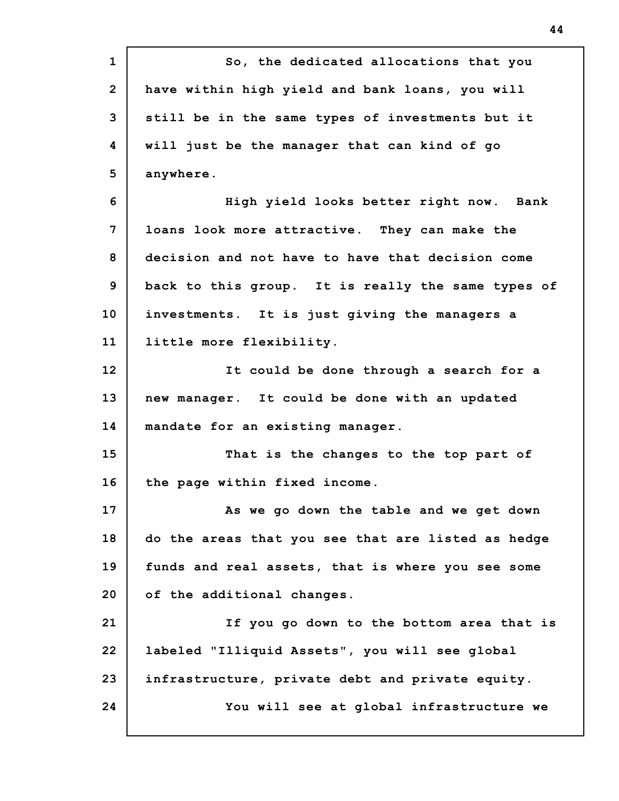| $\mathbf{1}$   | So, the dedicated allocations that you             |
|----------------|----------------------------------------------------|
| $\overline{2}$ | have within high yield and bank loans, you will    |
| 3              | still be in the same types of investments but it   |
| 4              | will just be the manager that can kind of go       |
| 5              | anywhere.                                          |
| 6              | High yield looks better right now. Bank            |
| 7              | loans look more attractive. They can make the      |
| 8              | decision and not have to have that decision come   |
| 9              | back to this group. It is really the same types of |
| 10             | investments. It is just giving the managers a      |
| 11             | little more flexibility.                           |
| 12             | It could be done through a search for a            |
| 13             | new manager. It could be done with an updated      |
| 14             | mandate for an existing manager.                   |
| 15             | That is the changes to the top part of             |
| 16             | the page within fixed income.                      |
| 17             | As we go down the table and we get down            |
| 18             | do the areas that you see that are listed as hedge |
| 19             | funds and real assets, that is where you see some  |
| 20             | of the additional changes.                         |
| 21             | If you go down to the bottom area that is          |
| 22             | labeled "Illiquid Assets", you will see global     |
| 23             | infrastructure, private debt and private equity.   |
| 24             | You will see at global infrastructure we           |
|                |                                                    |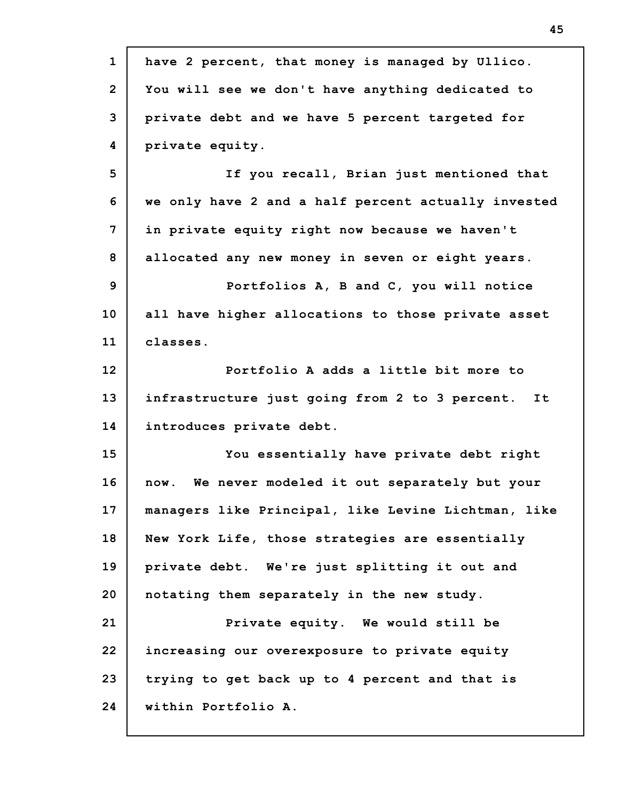| $\mathbf{1}$   | have 2 percent, that money is managed by Ullico.     |
|----------------|------------------------------------------------------|
| $\overline{2}$ | You will see we don't have anything dedicated to     |
| 3              | private debt and we have 5 percent targeted for      |
| 4              | private equity.                                      |
| 5              | If you recall, Brian just mentioned that             |
| 6              | we only have 2 and a half percent actually invested  |
| 7              | in private equity right now because we haven't       |
| 8              | allocated any new money in seven or eight years.     |
| 9              | Portfolios A, B and C, you will notice               |
| 10             | all have higher allocations to those private asset   |
| 11             | classes.                                             |
| 12             | Portfolio A adds a little bit more to                |
| 13             | infrastructure just going from 2 to 3 percent.<br>It |
| 14             | introduces private debt.                             |
| 15             | You essentially have private debt right              |
| 16             | We never modeled it out separately but your<br>now.  |
| 17             | managers like Principal, like Levine Lichtman, like  |
| 18             | New York Life, those strategies are essentially      |
| 19             | private debt. We're just splitting it out and        |
| 20             | notating them separately in the new study.           |
| 21             | Private equity. We would still be                    |
| 22             | increasing our overexposure to private equity        |
| 23             | trying to get back up to 4 percent and that is       |
| 24             | within Portfolio A.                                  |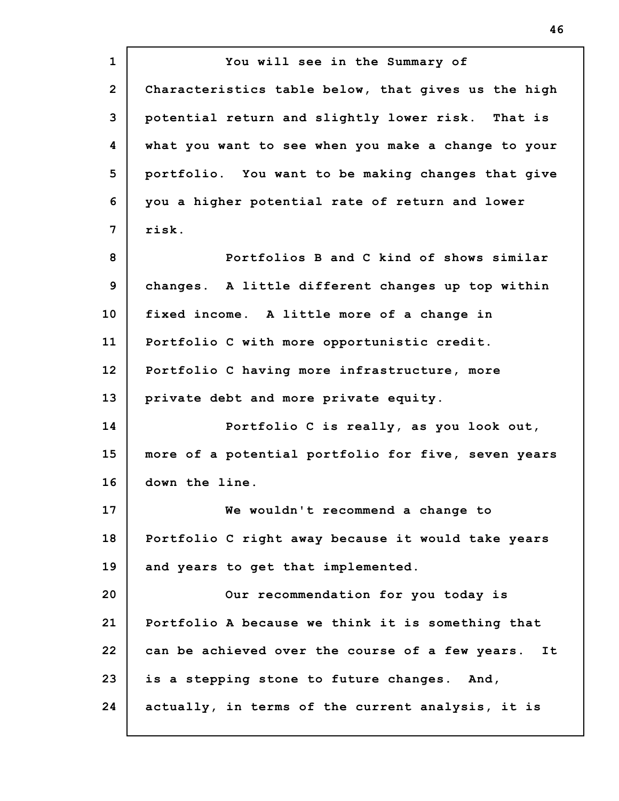**1 2 3 4 5 6 7 8 9 10 11 12 13 14 15 16 17 18 19 20 21 22 23 24 You will see in the Summary of Characteristics table below, that gives us the high potential return and slightly lower risk. That is what you want to see when you make a change to your portfolio. You want to be making changes that give you a higher potential rate of return and lower risk. Portfolios B and C kind of shows similar changes. A little different changes up top within fixed income. A little more of a change in Portfolio C with more opportunistic credit. Portfolio C having more infrastructure, more private debt and more private equity. Portfolio C is really, as you look out, more of a potential portfolio for five, seven years down the line. We wouldn't recommend a change to Portfolio C right away because it would take years and years to get that implemented. Our recommendation for you today is Portfolio A because we think it is something that can be achieved over the course of a few years. It is a stepping stone to future changes. And, actually, in terms of the current analysis, it is**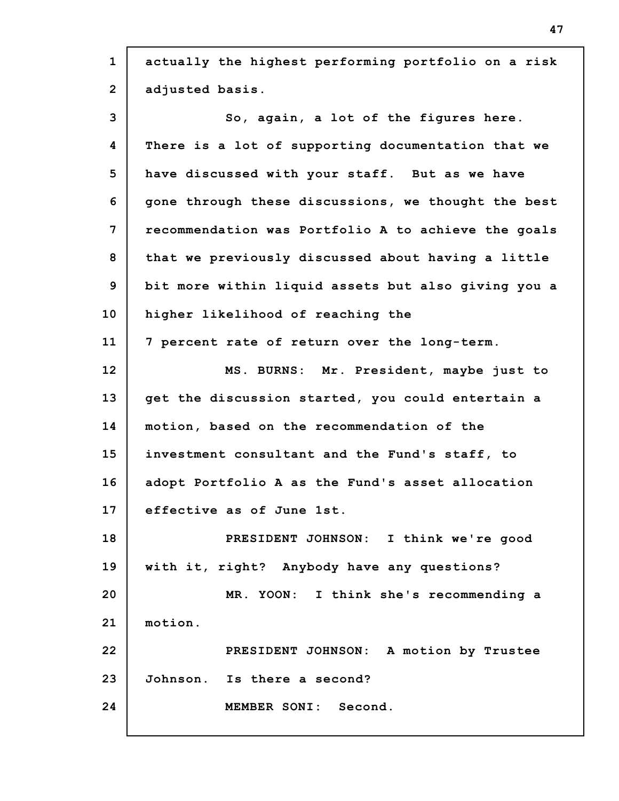| $\mathbf{1}$   | actually the highest performing portfolio on a risk |
|----------------|-----------------------------------------------------|
| $\overline{2}$ | adjusted basis.                                     |
| 3              | So, again, a lot of the figures here.               |
| 4              | There is a lot of supporting documentation that we  |
| 5              | have discussed with your staff. But as we have      |
| 6              | gone through these discussions, we thought the best |
| 7              | recommendation was Portfolio A to achieve the goals |
| 8              | that we previously discussed about having a little  |
| 9              | bit more within liquid assets but also giving you a |
| 10             | higher likelihood of reaching the                   |
| 11             | 7 percent rate of return over the long-term.        |
| 12             | MS. BURNS: Mr. President, maybe just to             |
| 13             | get the discussion started, you could entertain a   |
| 14             | motion, based on the recommendation of the          |
| 15             | investment consultant and the Fund's staff, to      |
| 16             | adopt Portfolio A as the Fund's asset allocation    |
| 17             | effective as of June 1st.                           |
| 18             | PRESIDENT JOHNSON: I think we're good               |
| 19             | with it, right? Anybody have any questions?         |
| 20             | MR. YOON: I think she's recommending a              |
| 21             | motion.                                             |
| 22             | PRESIDENT JOHNSON: A motion by Trustee              |
| 23             | Johnson. Is there a second?                         |
| 24             | MEMBER SONI: Second.                                |
|                |                                                     |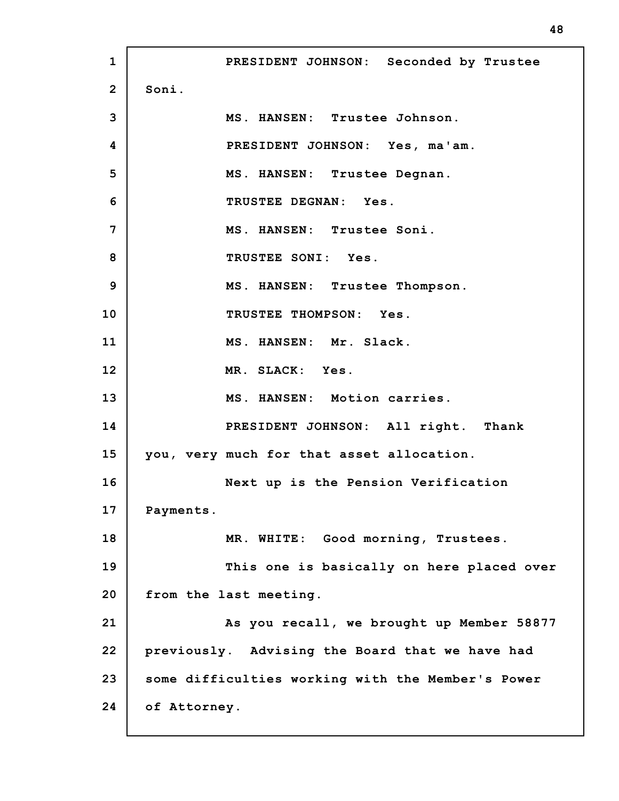**1 2 3 4 5 6 7 8 9 10 11 12 13 14 15 16 17 18 19 20 21 22 23 24 PRESIDENT JOHNSON: Seconded by Trustee Soni. MS. HANSEN: Trustee Johnson. PRESIDENT JOHNSON: Yes, ma'am. MS. HANSEN: Trustee Degnan. TRUSTEE DEGNAN: Yes. MS. HANSEN: Trustee Soni. TRUSTEE SONI: Yes. MS. HANSEN: Trustee Thompson. TRUSTEE THOMPSON: Yes. MS. HANSEN: Mr. Slack. MR. SLACK: Yes. MS. HANSEN: Motion carries. PRESIDENT JOHNSON: All right. Thank you, very much for that asset allocation. Next up is the Pension Verification Payments. MR. WHITE: Good morning, Trustees. This one is basically on here placed over from the last meeting. As you recall, we brought up Member 58877 previously. Advising the Board that we have had some difficulties working with the Member's Power of Attorney.**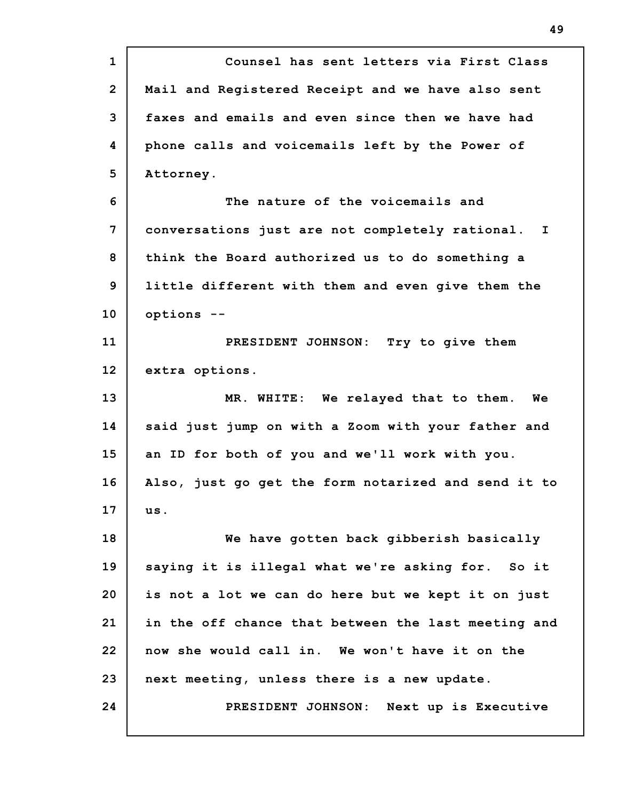| $\mathbf{1}$   | Counsel has sent letters via First Class            |
|----------------|-----------------------------------------------------|
| $\overline{2}$ | Mail and Registered Receipt and we have also sent   |
| 3              | faxes and emails and even since then we have had    |
| 4              | phone calls and voicemails left by the Power of     |
| 5              | Attorney.                                           |
| 6              | The nature of the voicemails and                    |
| 7              | conversations just are not completely rational. I   |
| 8              | think the Board authorized us to do something a     |
| 9              | little different with them and even give them the   |
| 10             | options --                                          |
| 11             | PRESIDENT JOHNSON: Try to give them                 |
| 12             | extra options.                                      |
| 13             | MR. WHITE: We relayed that to them.<br>Wе           |
| 14             | said just jump on with a Zoom with your father and  |
| 15             | an ID for both of you and we'll work with you.      |
| 16             | Also, just go get the form notarized and send it to |
| 17             | us.                                                 |
| 18             | We have gotten back gibberish basically             |
| 19             | saying it is illegal what we're asking for. So it   |
| 20             | is not a lot we can do here but we kept it on just  |
| 21             |                                                     |
|                | in the off chance that between the last meeting and |
|                | now she would call in. We won't have it on the      |
| 22<br>23       | next meeting, unless there is a new update.         |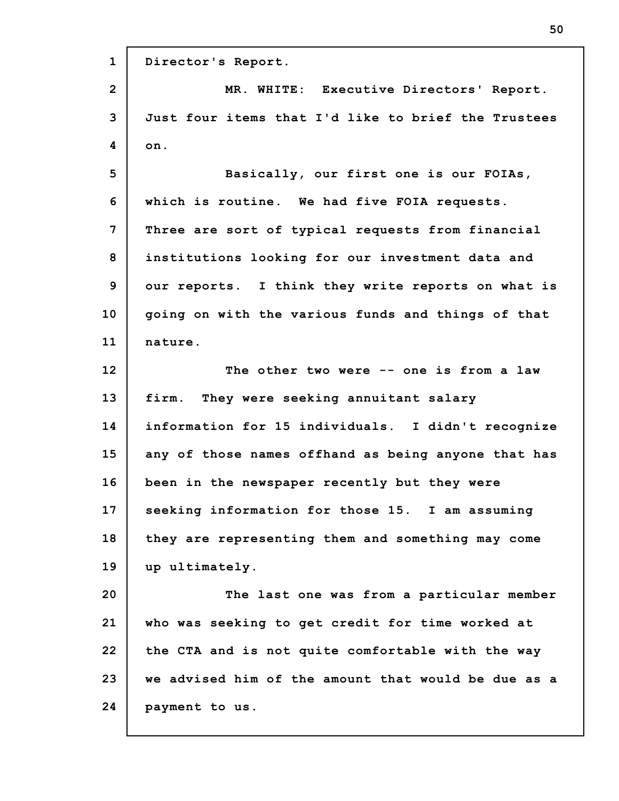**1 2 3 4 5 6 7 8 9 10 11 12 13 14 15 16 17 18 19 20 21 22 23 24 Director's Report. MR. WHITE: Executive Directors' Report. Just four items that I'd like to brief the Trustees on. Basically, our first one is our FOIAs, which is routine. We had five FOIA requests. Three are sort of typical requests from financial institutions looking for our investment data and our reports. I think they write reports on what is going on with the various funds and things of that nature. The other two were -- one is from a law firm. They were seeking annuitant salary information for 15 individuals. I didn't recognize any of those names offhand as being anyone that has been in the newspaper recently but they were seeking information for those 15. I am assuming they are representing them and something may come up ultimately. The last one was from a particular member who was seeking to get credit for time worked at the CTA and is not quite comfortable with the way we advised him of the amount that would be due as a payment to us.**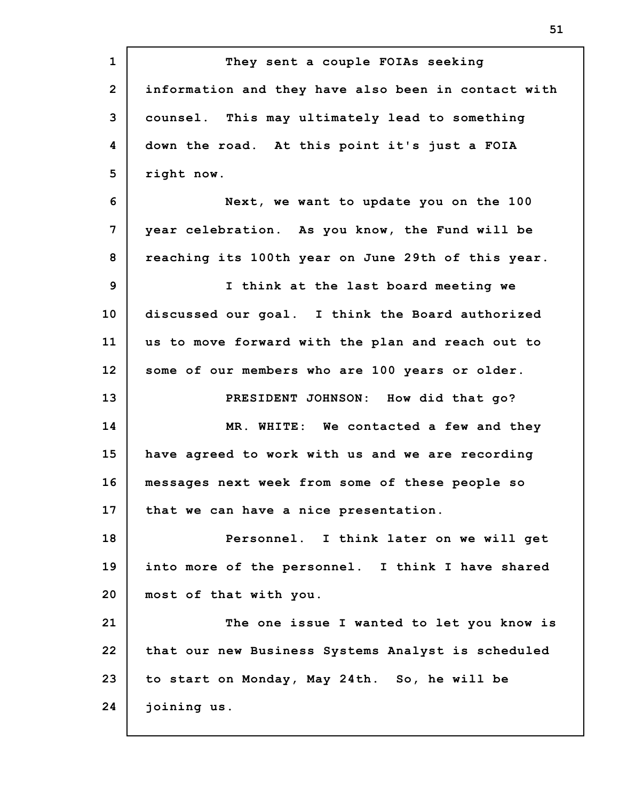**1 2 3 4 5 6 7 8 9 10 11 12 13 14 15 16 17 18 19 20 21 22 23 24 They sent a couple FOIAs seeking information and they have also been in contact with counsel. This may ultimately lead to something down the road. At this point it's just a FOIA right now. Next, we want to update you on the 100 year celebration. As you know, the Fund will be reaching its 100th year on June 29th of this year. I think at the last board meeting we discussed our goal. I think the Board authorized us to move forward with the plan and reach out to some of our members who are 100 years or older. PRESIDENT JOHNSON: How did that go? MR. WHITE: We contacted a few and they have agreed to work with us and we are recording messages next week from some of these people so that we can have a nice presentation. Personnel. I think later on we will get into more of the personnel. I think I have shared most of that with you. The one issue I wanted to let you know is that our new Business Systems Analyst is scheduled to start on Monday, May 24th. So, he will be joining us.**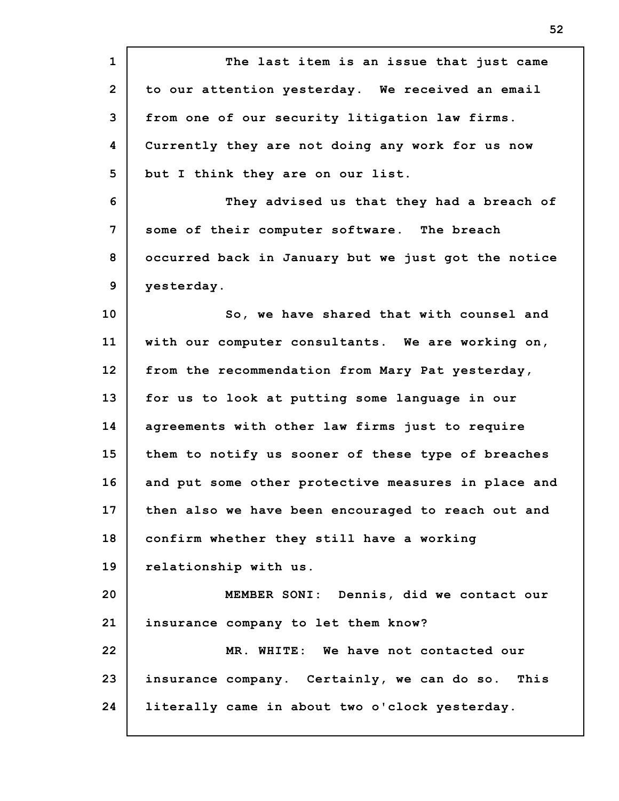| $\mathbf{1}$   | The last item is an issue that just came            |
|----------------|-----------------------------------------------------|
| $\overline{2}$ | to our attention yesterday. We received an email    |
| 3              | from one of our security litigation law firms.      |
| 4              | Currently they are not doing any work for us now    |
| 5              | but I think they are on our list.                   |
| 6              | They advised us that they had a breach of           |
| 7              | some of their computer software. The breach         |
| 8              | occurred back in January but we just got the notice |
| 9              | yesterday.                                          |
| 10             | So, we have shared that with counsel and            |
| 11             | with our computer consultants. We are working on,   |
| 12             | from the recommendation from Mary Pat yesterday,    |
| 13             | for us to look at putting some language in our      |
| 14             | agreements with other law firms just to require     |
| 15             | them to notify us sooner of these type of breaches  |
| 16             | and put some other protective measures in place and |
| 17             | then also we have been encouraged to reach out and  |
| 18             | confirm whether they still have a working           |
| 19             | relationship with us.                               |
| 20             | MEMBER SONI: Dennis, did we contact our             |
| 21             | insurance company to let them know?                 |
| 22             | MR. WHITE: We have not contacted our                |
| 23             | insurance company. Certainly, we can do so. This    |
| 24             | literally came in about two o'clock yesterday.      |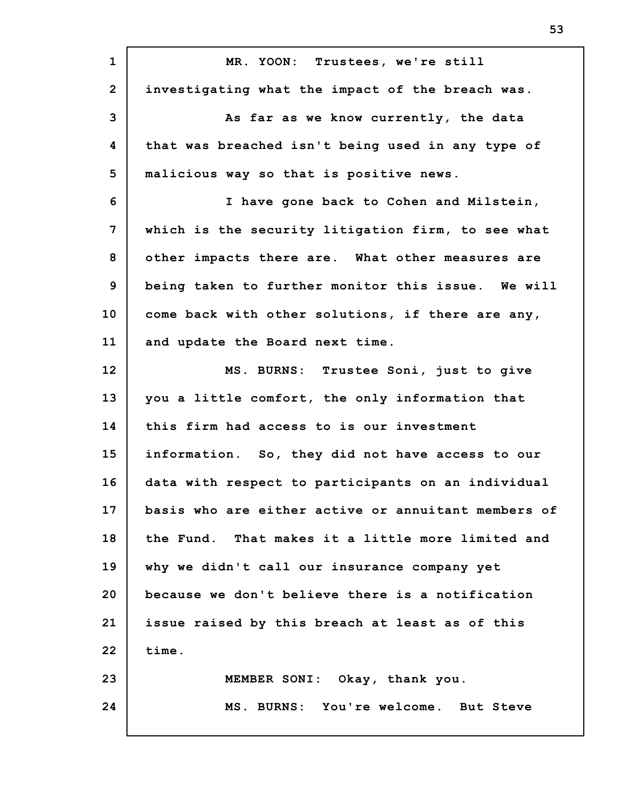| $\mathbf{1}$   | MR. YOON: Trustees, we're still                     |
|----------------|-----------------------------------------------------|
| $\overline{2}$ | investigating what the impact of the breach was.    |
| 3              | As far as we know currently, the data               |
| 4              | that was breached isn't being used in any type of   |
| 5              | malicious way so that is positive news.             |
| 6              | I have gone back to Cohen and Milstein,             |
| $\overline{7}$ | which is the security litigation firm, to see what  |
| 8              | other impacts there are. What other measures are    |
| 9              | being taken to further monitor this issue. We will  |
| 10             | come back with other solutions, if there are any,   |
| 11             | and update the Board next time.                     |
| 12             | MS. BURNS: Trustee Soni, just to give               |
| 13             | you a little comfort, the only information that     |
| 14             | this firm had access to is our investment           |
| 15             | information. So, they did not have access to our    |
| 16             | data with respect to participants on an individual  |
| 17             | basis who are either active or annuitant members of |
| 18             | the Fund. That makes it a little more limited and   |
| 19             | why we didn't call our insurance company yet        |
| 20             | because we don't believe there is a notification    |
| 21             | issue raised by this breach at least as of this     |
| 22             | time.                                               |
| 23             | MEMBER SONI: Okay, thank you.                       |
| 24             | MS. BURNS: You're welcome. But Steve                |
|                |                                                     |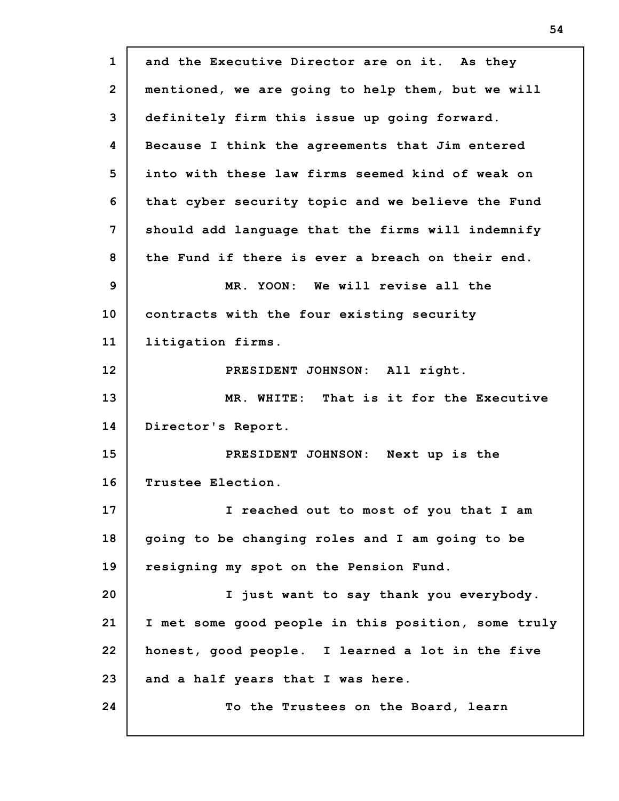**1 2 3 4 5 6 7 8 9 10 11 12 13 14 15 16 17 18 19 20 21 22 23 24 and the Executive Director are on it. As they mentioned, we are going to help them, but we will definitely firm this issue up going forward. Because I think the agreements that Jim entered into with these law firms seemed kind of weak on that cyber security topic and we believe the Fund should add language that the firms will indemnify the Fund if there is ever a breach on their end. MR. YOON: We will revise all the contracts with the four existing security litigation firms. PRESIDENT JOHNSON: All right. MR. WHITE: That is it for the Executive Director's Report. PRESIDENT JOHNSON: Next up is the Trustee Election. I reached out to most of you that I am going to be changing roles and I am going to be resigning my spot on the Pension Fund. I just want to say thank you everybody. I met some good people in this position, some truly honest, good people. I learned a lot in the five and a half years that I was here. To the Trustees on the Board, learn**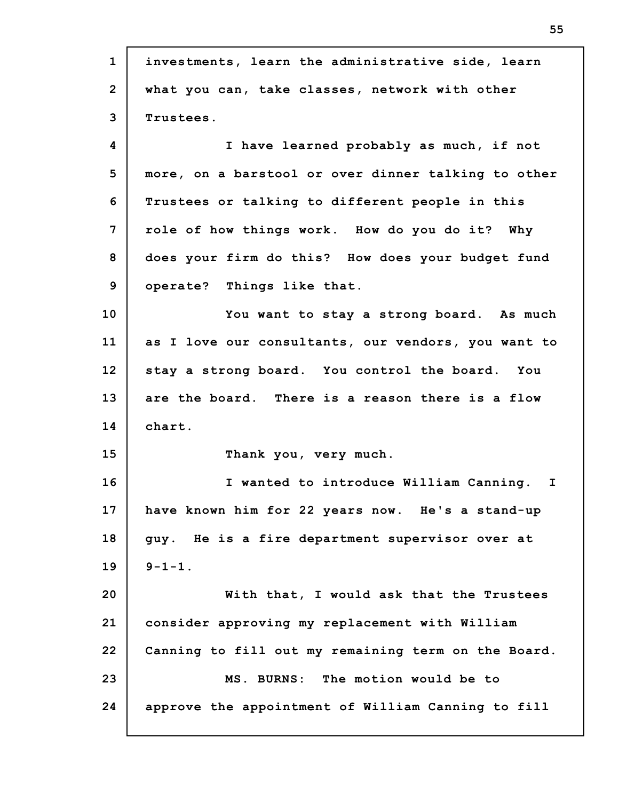**1 2 3 4 5 6 7 8 9 10 11 12 13 14 15 16 17 18 19 20 21 22 23 24 investments, learn the administrative side, learn what you can, take classes, network with other Trustees. I have learned probably as much, if not more, on a barstool or over dinner talking to other Trustees or talking to different people in this role of how things work. How do you do it? Why does your firm do this? How does your budget fund operate? Things like that. You want to stay a strong board. As much as I love our consultants, our vendors, you want to stay a strong board. You control the board. You are the board. There is a reason there is a flow chart. Thank you, very much. I wanted to introduce William Canning. I have known him for 22 years now. He's a stand-up guy. He is a fire department supervisor over at 9-1-1. With that, I would ask that the Trustees consider approving my replacement with William Canning to fill out my remaining term on the Board. MS. BURNS: The motion would be to approve the appointment of William Canning to fill**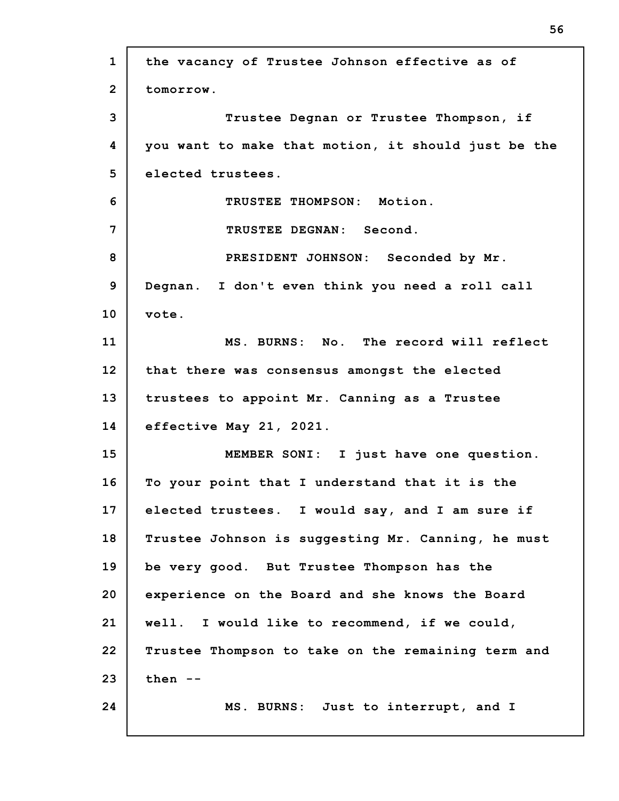**1 2 3 4 5 6 7 8 9 10 11 12 13 14 15 16 17 18 19 20 21 22 23 24 the vacancy of Trustee Johnson effective as of tomorrow. Trustee Degnan or Trustee Thompson, if you want to make that motion, it should just be the elected trustees. TRUSTEE THOMPSON: Motion. TRUSTEE DEGNAN: Second. PRESIDENT JOHNSON: Seconded by Mr. Degnan. I don't even think you need a roll call vote. MS. BURNS: No. The record will reflect that there was consensus amongst the elected trustees to appoint Mr. Canning as a Trustee effective May 21, 2021. MEMBER SONI: I just have one question. To your point that I understand that it is the elected trustees. I would say, and I am sure if Trustee Johnson is suggesting Mr. Canning, he must be very good. But Trustee Thompson has the experience on the Board and she knows the Board well. I would like to recommend, if we could, Trustee Thompson to take on the remaining term and then -- MS. BURNS: Just to interrupt, and I**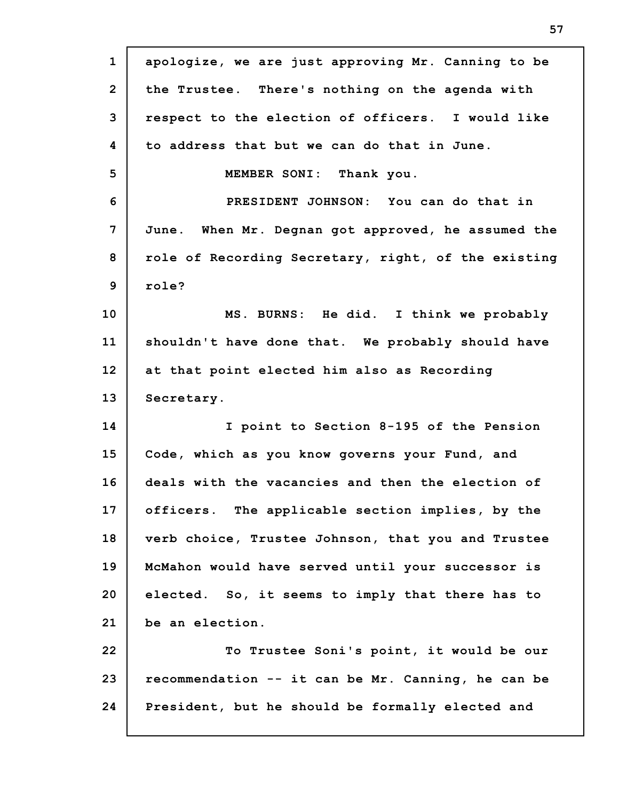**1 2 3 4 5 6 7 8 9 10 11 12 13 14 15 16 17 18 19 20 21 22 23 24 apologize, we are just approving Mr. Canning to be the Trustee. There's nothing on the agenda with respect to the election of officers. I would like to address that but we can do that in June. MEMBER SONI: Thank you. PRESIDENT JOHNSON: You can do that in June. When Mr. Degnan got approved, he assumed the role of Recording Secretary, right, of the existing role? MS. BURNS: He did. I think we probably shouldn't have done that. We probably should have at that point elected him also as Recording Secretary. I point to Section 8-195 of the Pension Code, which as you know governs your Fund, and deals with the vacancies and then the election of officers. The applicable section implies, by the verb choice, Trustee Johnson, that you and Trustee McMahon would have served until your successor is elected. So, it seems to imply that there has to be an election. To Trustee Soni's point, it would be our recommendation -- it can be Mr. Canning, he can be President, but he should be formally elected and**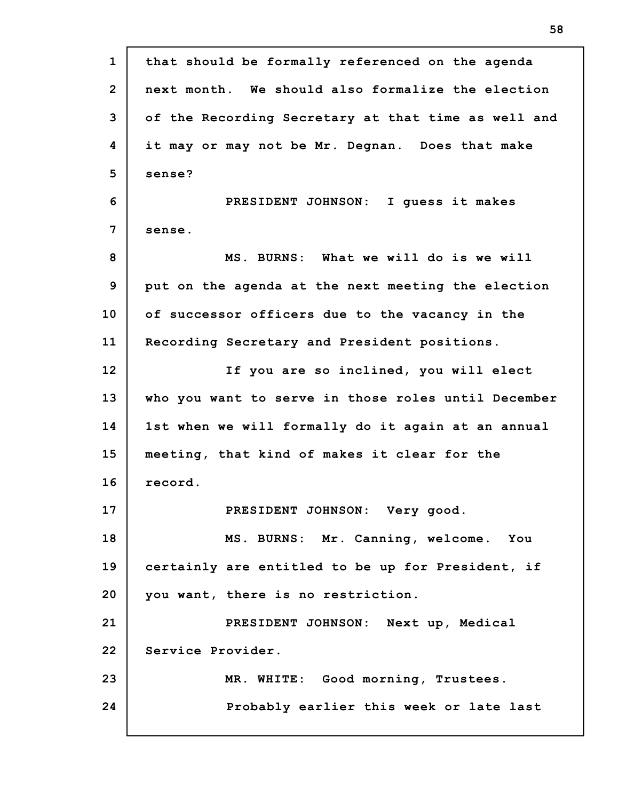| $\mathbf{1}$   | that should be formally referenced on the agenda    |
|----------------|-----------------------------------------------------|
| $\overline{2}$ | next month. We should also formalize the election   |
| 3              | of the Recording Secretary at that time as well and |
| 4              | it may or may not be Mr. Degnan. Does that make     |
| 5              | sense?                                              |
| 6              | PRESIDENT JOHNSON: I guess it makes                 |
| 7              | sense.                                              |
| 8              | MS. BURNS: What we will do is we will               |
| 9              | put on the agenda at the next meeting the election  |
| 10             | of successor officers due to the vacancy in the     |
| 11             | Recording Secretary and President positions.        |
| 12             | If you are so inclined, you will elect              |
| 13             | who you want to serve in those roles until December |
| 14             | 1st when we will formally do it again at an annual  |
| 15             | meeting, that kind of makes it clear for the        |
| 16             | record.                                             |
| 17             | PRESIDENT JOHNSON: Very good.                       |
| 18             | MS. BURNS: Mr. Canning, welcome. You                |
| 19             | certainly are entitled to be up for President, if   |
| 20             | you want, there is no restriction.                  |
| 21             | PRESIDENT JOHNSON: Next up, Medical                 |
| 22             | Service Provider.                                   |
| 23             | MR. WHITE: Good morning, Trustees.                  |
| 24             | Probably earlier this week or late last             |
|                |                                                     |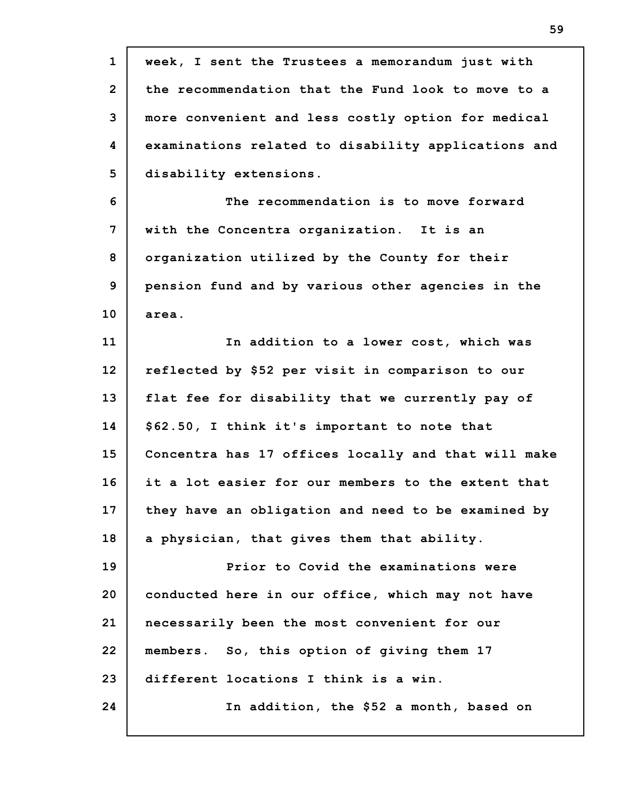| $\mathbf{1}$   | week, I sent the Trustees a memorandum just with    |
|----------------|-----------------------------------------------------|
| $\overline{2}$ | the recommendation that the Fund look to move to a  |
| 3              | more convenient and less costly option for medical  |
| 4              | examinations related to disability applications and |
| 5              | disability extensions.                              |
| 6              | The recommendation is to move forward               |
| 7              | with the Concentra organization. It is an           |
| 8              | organization utilized by the County for their       |
| 9              | pension fund and by various other agencies in the   |
| 10             | area.                                               |
| 11             | In addition to a lower cost, which was              |
| 12             | reflected by \$52 per visit in comparison to our    |
| 13             | flat fee for disability that we currently pay of    |
| 14             | \$62.50, I think it's important to note that        |
| 15             | Concentra has 17 offices locally and that will make |
| 16             | it a lot easier for our members to the extent that  |
| 17             | they have an obligation and need to be examined by  |
| 18             | a physician, that gives them that ability.          |
| 19             | Prior to Covid the examinations were                |
| 20             | conducted here in our office, which may not have    |
| 21             | necessarily been the most convenient for our        |
| 22             | members. So, this option of giving them 17          |
| 23             | different locations I think is a win.               |
| 24             | In addition, the \$52 a month, based on             |
|                |                                                     |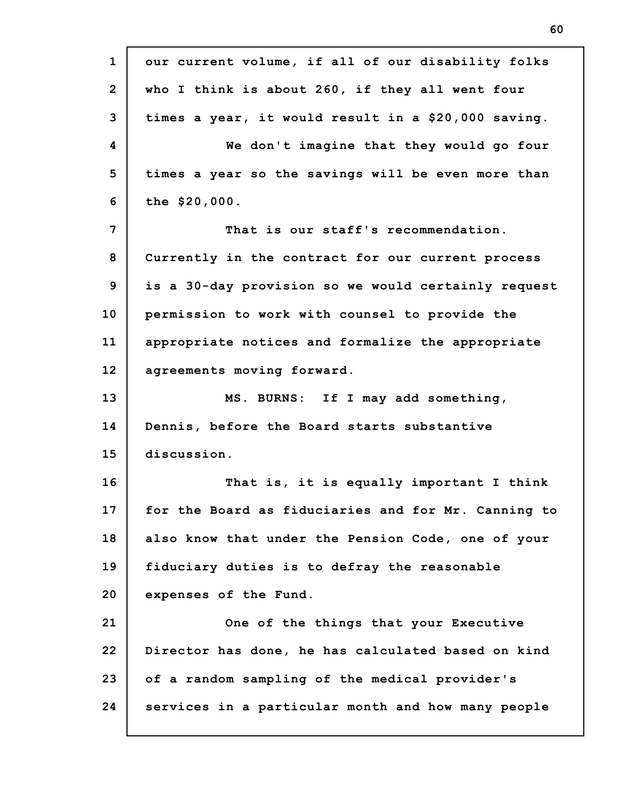**1 2 3 4 5 6 7 8 9 10 11 12 13 14 15 16 17 18 19 20 21 22 23 24 our current volume, if all of our disability folks who I think is about 260, if they all went four times a year, it would result in a \$20,000 saving. We don't imagine that they would go four times a year so the savings will be even more than the \$20,000. That is our staff's recommendation. Currently in the contract for our current process is a 30-day provision so we would certainly request permission to work with counsel to provide the appropriate notices and formalize the appropriate agreements moving forward. MS. BURNS: If I may add something, Dennis, before the Board starts substantive discussion. That is, it is equally important I think for the Board as fiduciaries and for Mr. Canning to also know that under the Pension Code, one of your fiduciary duties is to defray the reasonable expenses of the Fund. One of the things that your Executive Director has done, he has calculated based on kind of a random sampling of the medical provider's services in a particular month and how many people**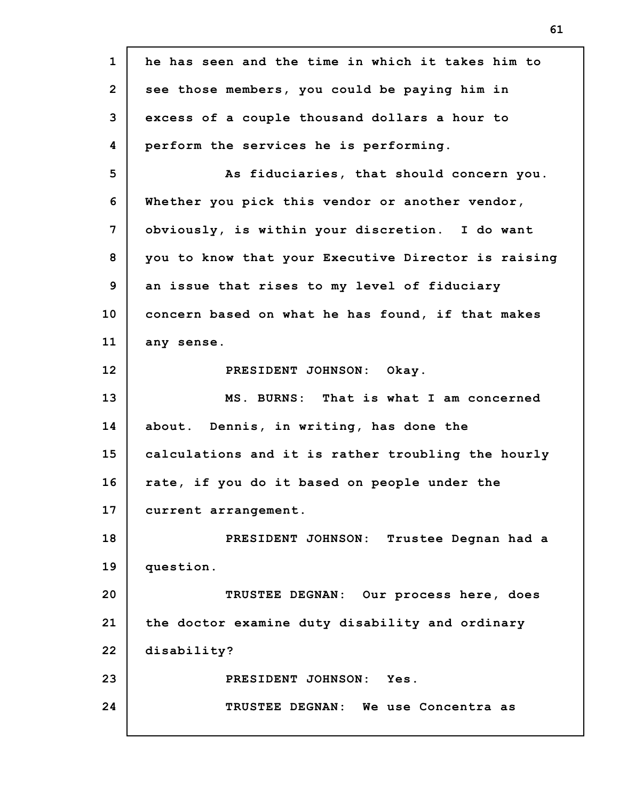**1 2 3 4 5 6 7 8 9 10 11 12 13 14 15 16 17 18 19 20 21 22 23 24 he has seen and the time in which it takes him to see those members, you could be paying him in excess of a couple thousand dollars a hour to perform the services he is performing. As fiduciaries, that should concern you. Whether you pick this vendor or another vendor, obviously, is within your discretion. I do want you to know that your Executive Director is raising an issue that rises to my level of fiduciary concern based on what he has found, if that makes any sense. PRESIDENT JOHNSON: Okay. MS. BURNS: That is what I am concerned about. Dennis, in writing, has done the calculations and it is rather troubling the hourly rate, if you do it based on people under the current arrangement. PRESIDENT JOHNSON: Trustee Degnan had a question. TRUSTEE DEGNAN: Our process here, does the doctor examine duty disability and ordinary disability? PRESIDENT JOHNSON: Yes. TRUSTEE DEGNAN: We use Concentra as**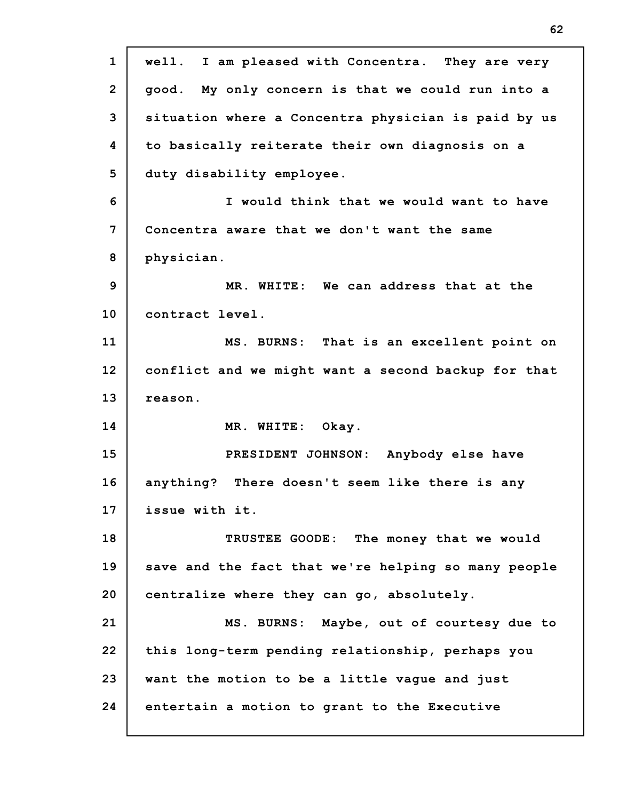| $\mathbf{1}$   | well. I am pleased with Concentra. They are very    |
|----------------|-----------------------------------------------------|
| $\overline{2}$ | good. My only concern is that we could run into a   |
| 3              | situation where a Concentra physician is paid by us |
| 4              | to basically reiterate their own diagnosis on a     |
| 5              | duty disability employee.                           |
| 6              | I would think that we would want to have            |
| 7              | Concentra aware that we don't want the same         |
| 8              | physician.                                          |
| 9              | MR. WHITE: We can address that at the               |
| 10             | contract level.                                     |
| 11             | MS. BURNS: That is an excellent point on            |
| 12             | conflict and we might want a second backup for that |
| 13             | reason.                                             |
| 14             | MR. WHITE: Okay.                                    |
| 15             | PRESIDENT JOHNSON: Anybody else have                |
| 16             |                                                     |
|                | anything? There doesn't seem like there is any      |
|                | issue with it.                                      |
|                | TRUSTEE GOODE: The money that we would              |
| 17<br>18<br>19 | save and the fact that we're helping so many people |
| 20             | centralize where they can go, absolutely.           |
| 21             | MS. BURNS: Maybe, out of courtesy due to            |
| 22             | this long-term pending relationship, perhaps you    |
| 23             | want the motion to be a little vague and just       |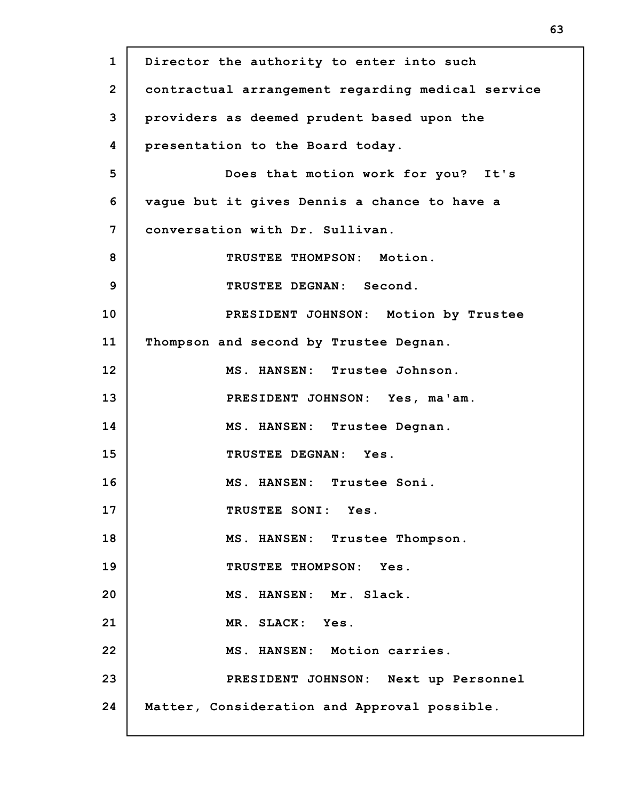| $\mathbf{1}$   | Director the authority to enter into such         |  |  |  |  |  |
|----------------|---------------------------------------------------|--|--|--|--|--|
| $\overline{2}$ | contractual arrangement regarding medical service |  |  |  |  |  |
| 3              | providers as deemed prudent based upon the        |  |  |  |  |  |
| 4              | presentation to the Board today.                  |  |  |  |  |  |
| 5              | Does that motion work for you? It's               |  |  |  |  |  |
| 6              | vague but it gives Dennis a chance to have a      |  |  |  |  |  |
| 7              | conversation with Dr. Sullivan.                   |  |  |  |  |  |
| 8              | TRUSTEE THOMPSON: Motion.                         |  |  |  |  |  |
| 9              | TRUSTEE DEGNAN: Second.                           |  |  |  |  |  |
| 10             | PRESIDENT JOHNSON: Motion by Trustee              |  |  |  |  |  |
| 11             | Thompson and second by Trustee Degnan.            |  |  |  |  |  |
| 12             | MS. HANSEN: Trustee Johnson.                      |  |  |  |  |  |
| 13             | PRESIDENT JOHNSON: Yes, ma'am.                    |  |  |  |  |  |
| 14             | MS. HANSEN: Trustee Degnan.                       |  |  |  |  |  |
| 15             | TRUSTEE DEGNAN: Yes.                              |  |  |  |  |  |
| 16             | MS. HANSEN: Trustee Soni.                         |  |  |  |  |  |
| 17             | TRUSTEE SONI: Yes.                                |  |  |  |  |  |
| 18             | MS. HANSEN: Trustee Thompson.                     |  |  |  |  |  |
| 19             | TRUSTEE THOMPSON: Yes.                            |  |  |  |  |  |
| 20             | MS. HANSEN: Mr. Slack.                            |  |  |  |  |  |
| 21             | MR. SLACK: Yes.                                   |  |  |  |  |  |
| 22             | MS. HANSEN: Motion carries.                       |  |  |  |  |  |
| 23             | PRESIDENT JOHNSON: Next up Personnel              |  |  |  |  |  |
| 24             | Matter, Consideration and Approval possible.      |  |  |  |  |  |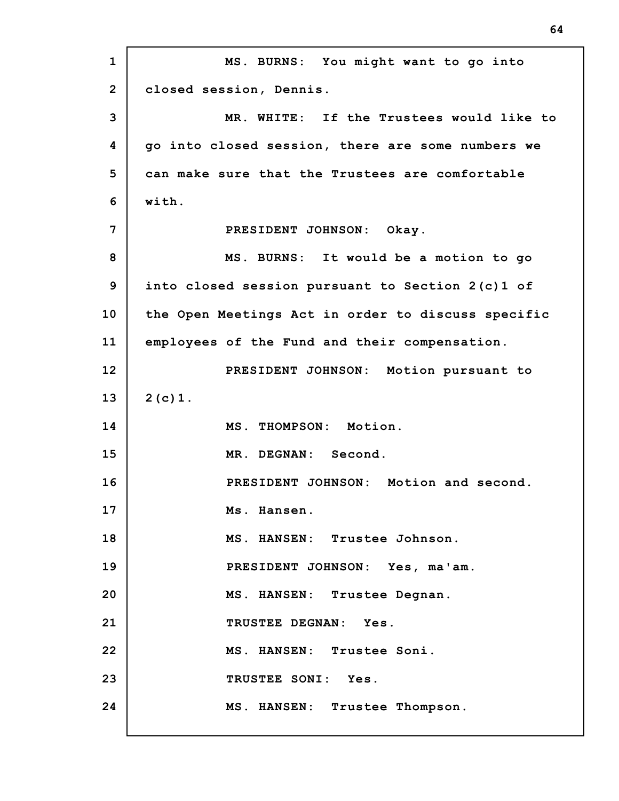**1 2 3 4 5 6 7 8 9 10 11 12 13 14 15 16 17 18 19 20 21 22 23 24 MS. BURNS: You might want to go into closed session, Dennis. MR. WHITE: If the Trustees would like to go into closed session, there are some numbers we can make sure that the Trustees are comfortable with. PRESIDENT JOHNSON: Okay. MS. BURNS: It would be a motion to go into closed session pursuant to Section 2(c)1 of the Open Meetings Act in order to discuss specific employees of the Fund and their compensation. PRESIDENT JOHNSON: Motion pursuant to 2(c)1. MS. THOMPSON: Motion. MR. DEGNAN: Second. PRESIDENT JOHNSON: Motion and second. Ms. Hansen. MS. HANSEN: Trustee Johnson. PRESIDENT JOHNSON: Yes, ma'am. MS. HANSEN: Trustee Degnan. TRUSTEE DEGNAN: Yes. MS. HANSEN: Trustee Soni. TRUSTEE SONI: Yes. MS. HANSEN: Trustee Thompson.**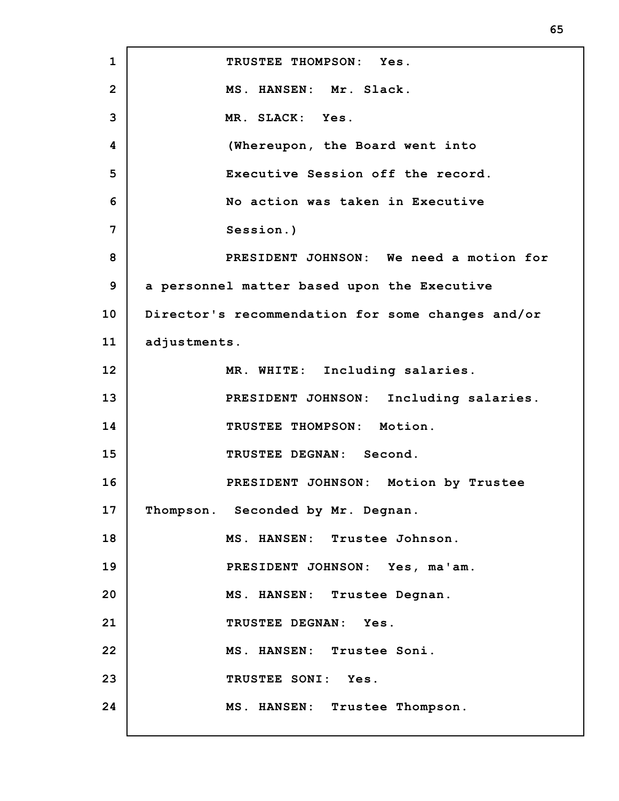**1 2 3 4 5 6 7 8 9 10 11 12 13 14 15 16 17 18 19 20 21 22 23 24 TRUSTEE THOMPSON: Yes. MS. HANSEN: Mr. Slack. MR. SLACK: Yes. (Whereupon, the Board went into Executive Session off the record. No action was taken in Executive Session.) PRESIDENT JOHNSON: We need a motion for a personnel matter based upon the Executive Director's recommendation for some changes and/or adjustments. MR. WHITE: Including salaries. PRESIDENT JOHNSON: Including salaries. TRUSTEE THOMPSON: Motion. TRUSTEE DEGNAN: Second. PRESIDENT JOHNSON: Motion by Trustee Thompson. Seconded by Mr. Degnan. MS. HANSEN: Trustee Johnson. PRESIDENT JOHNSON: Yes, ma'am. MS. HANSEN: Trustee Degnan. TRUSTEE DEGNAN: Yes. MS. HANSEN: Trustee Soni. TRUSTEE SONI: Yes. MS. HANSEN: Trustee Thompson.**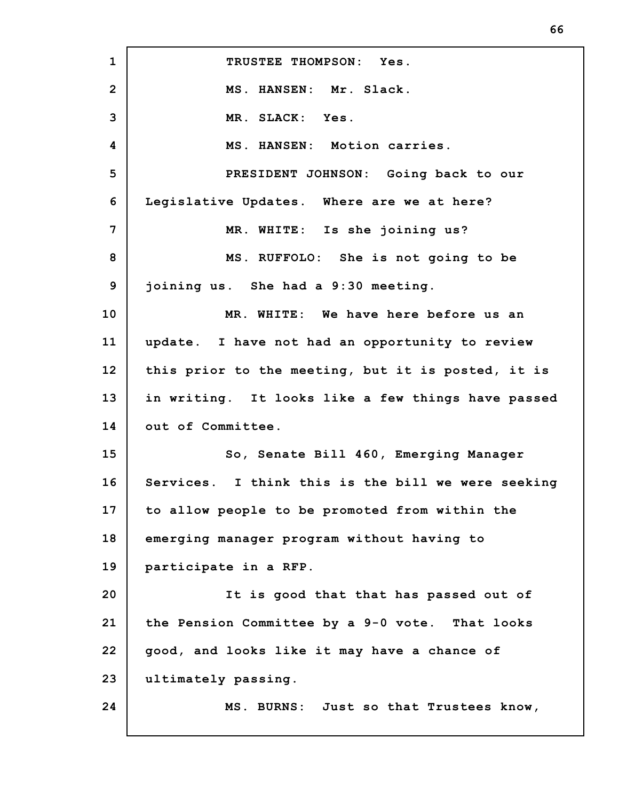| $\mathbf{1}$   | TRUSTEE THOMPSON: Yes.                             |  |  |  |  |
|----------------|----------------------------------------------------|--|--|--|--|
| $\overline{2}$ | MS. HANSEN: Mr. Slack.                             |  |  |  |  |
| 3              | MR. SLACK: Yes.                                    |  |  |  |  |
| 4              | MS. HANSEN: Motion carries.                        |  |  |  |  |
| 5              | PRESIDENT JOHNSON: Going back to our               |  |  |  |  |
| 6              | Legislative Updates. Where are we at here?         |  |  |  |  |
| 7              | MR. WHITE: Is she joining us?                      |  |  |  |  |
| 8              | MS. RUFFOLO: She is not going to be                |  |  |  |  |
| 9              | joining us. She had a 9:30 meeting.                |  |  |  |  |
| 10             | MR. WHITE: We have here before us an               |  |  |  |  |
| 11             | update. I have not had an opportunity to review    |  |  |  |  |
| 12             | this prior to the meeting, but it is posted, it is |  |  |  |  |
| 13             | in writing. It looks like a few things have passed |  |  |  |  |
| 14             | out of Committee.                                  |  |  |  |  |
| 15             | So, Senate Bill 460, Emerging Manager              |  |  |  |  |
| 16             | Services. I think this is the bill we were seeking |  |  |  |  |
| 17             | to allow people to be promoted from within the     |  |  |  |  |
| 18             | emerging manager program without having to         |  |  |  |  |
| 19             | participate in a RFP.                              |  |  |  |  |
| 20             | It is good that that has passed out of             |  |  |  |  |
| 21             | the Pension Committee by a 9-0 vote. That looks    |  |  |  |  |
| 22             | good, and looks like it may have a chance of       |  |  |  |  |
| 23             | ultimately passing.                                |  |  |  |  |
| 24             | MS. BURNS: Just so that Trustees know,             |  |  |  |  |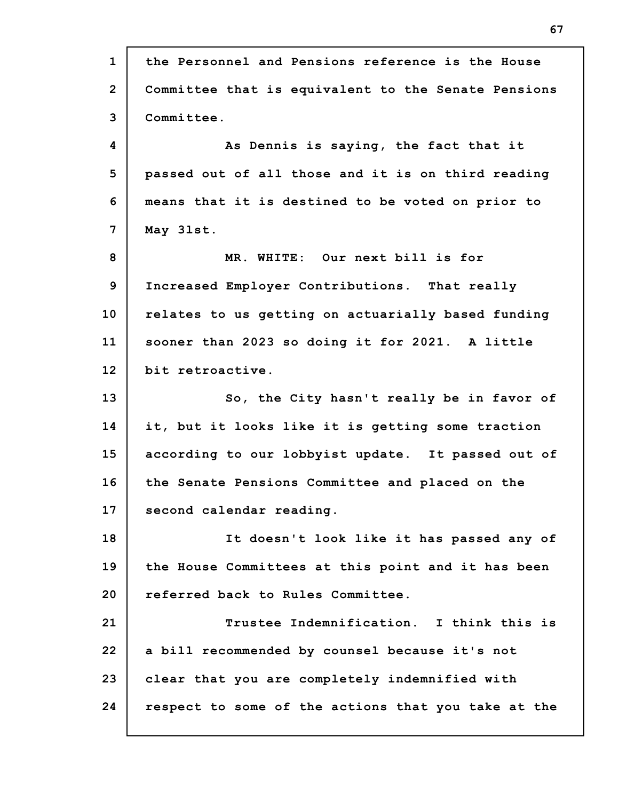**1 2 3 4 5 6 7 8 9 10 11 12 13 14 15 16 17 18 19 20 21 22 23 24 the Personnel and Pensions reference is the House Committee that is equivalent to the Senate Pensions Committee. As Dennis is saying, the fact that it passed out of all those and it is on third reading means that it is destined to be voted on prior to May 3lst. MR. WHITE: Our next bill is for Increased Employer Contributions. That really relates to us getting on actuarially based funding sooner than 2023 so doing it for 2021. A little bit retroactive. So, the City hasn't really be in favor of it, but it looks like it is getting some traction according to our lobbyist update. It passed out of the Senate Pensions Committee and placed on the second calendar reading. It doesn't look like it has passed any of the House Committees at this point and it has been referred back to Rules Committee. Trustee Indemnification. I think this is a bill recommended by counsel because it's not clear that you are completely indemnified with respect to some of the actions that you take at the**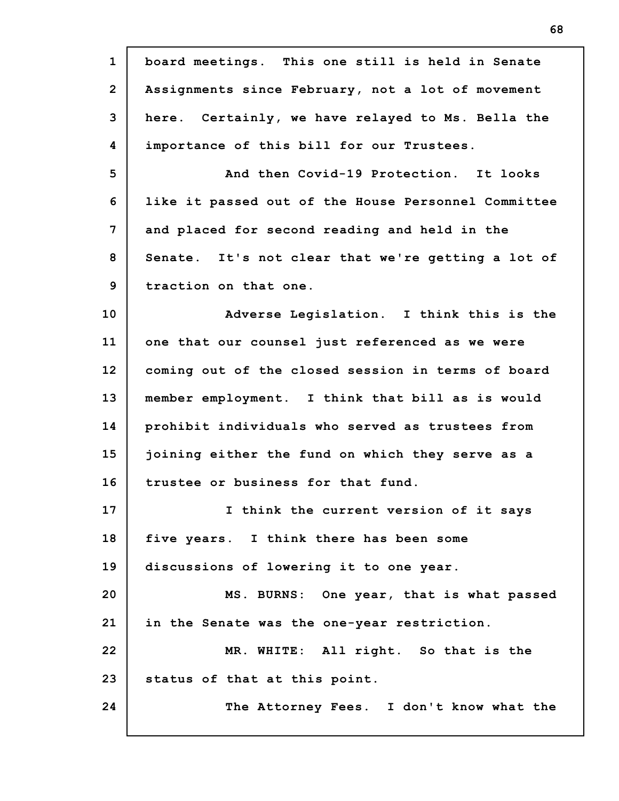| $\mathbf{1}$   | board meetings. This one still is held in Senate    |
|----------------|-----------------------------------------------------|
| $\overline{2}$ | Assignments since February, not a lot of movement   |
| 3              | here. Certainly, we have relayed to Ms. Bella the   |
| 4              | importance of this bill for our Trustees.           |
| 5              | And then Covid-19 Protection. It looks              |
| 6              | like it passed out of the House Personnel Committee |
| 7              | and placed for second reading and held in the       |
| 8              | Senate. It's not clear that we're getting a lot of  |
| 9              | traction on that one.                               |
| 10             | Adverse Legislation. I think this is the            |
| 11             | one that our counsel just referenced as we were     |
| 12             | coming out of the closed session in terms of board  |
| 13             | member employment. I think that bill as is would    |
| 14             | prohibit individuals who served as trustees from    |
| 15             | joining either the fund on which they serve as a    |
| 16             | trustee or business for that fund.                  |
| 17             | I think the current version of it says              |
| 18             | five years. I think there has been some             |
| 19             | discussions of lowering it to one year.             |
| 20             | MS. BURNS: One year, that is what passed            |
| 21             | in the Senate was the one-year restriction.         |
| 22             | MR. WHITE: All right. So that is the                |
| 23             | status of that at this point.                       |
| 24             | The Attorney Fees. I don't know what the            |
|                |                                                     |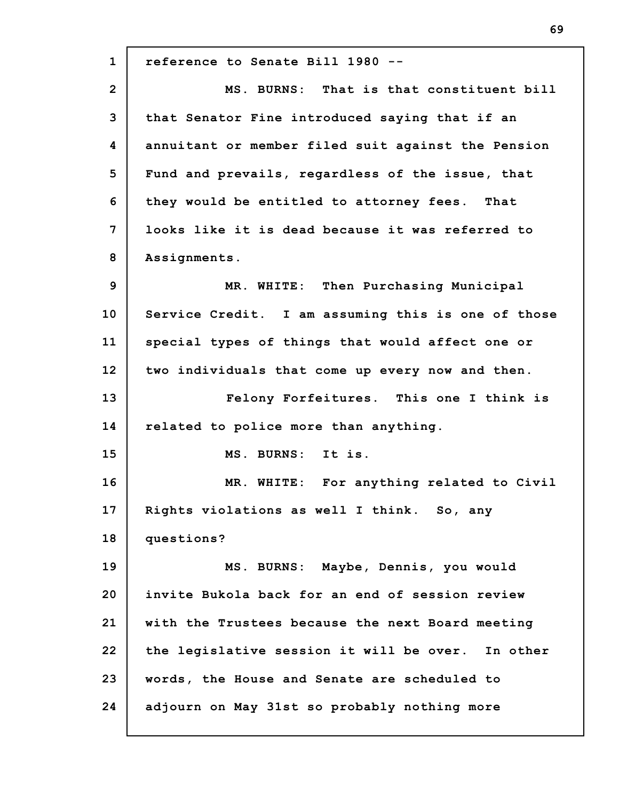**1 2 3 4 5 6 7 8 9 10 11 12 13 14 15 16 17 18 19 20 21 22 23 24 reference to Senate Bill 1980 -- MS. BURNS: That is that constituent bill that Senator Fine introduced saying that if an annuitant or member filed suit against the Pension Fund and prevails, regardless of the issue, that they would be entitled to attorney fees. That looks like it is dead because it was referred to Assignments. MR. WHITE: Then Purchasing Municipal Service Credit. I am assuming this is one of those special types of things that would affect one or two individuals that come up every now and then. Felony Forfeitures. This one I think is related to police more than anything. MS. BURNS: It is. MR. WHITE: For anything related to Civil Rights violations as well I think. So, any questions? MS. BURNS: Maybe, Dennis, you would invite Bukola back for an end of session review with the Trustees because the next Board meeting the legislative session it will be over. In other words, the House and Senate are scheduled to adjourn on May 31st so probably nothing more**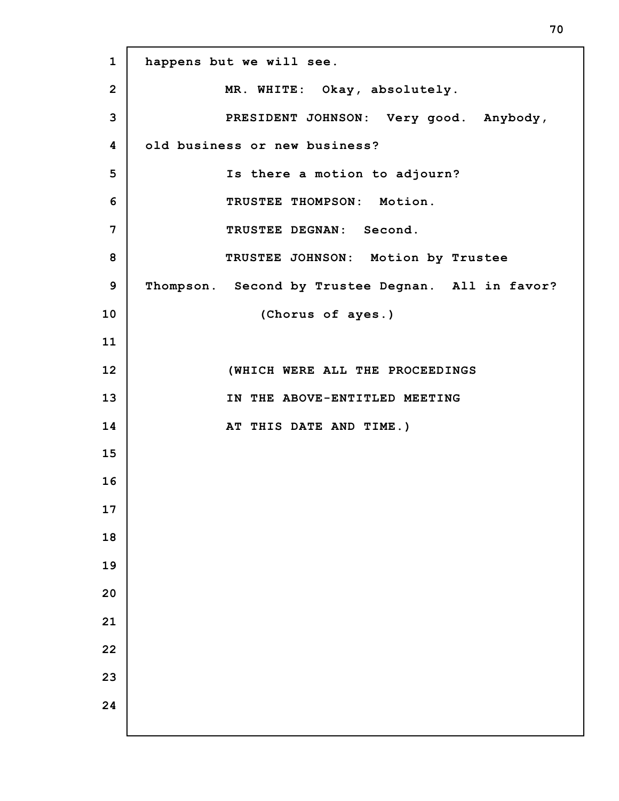**happens but we will see. MR. WHITE: Okay, absolutely. PRESIDENT JOHNSON: Very good. Anybody, old business or new business? Is there a motion to adjourn? TRUSTEE THOMPSON: Motion. TRUSTEE DEGNAN: Second. TRUSTEE JOHNSON: Motion by Trustee Thompson. Second by Trustee Degnan. All in favor? (Chorus of ayes.) (WHICH WERE ALL THE PROCEEDINGS IN THE ABOVE-ENTITLED MEETING AT THIS DATE AND TIME.)**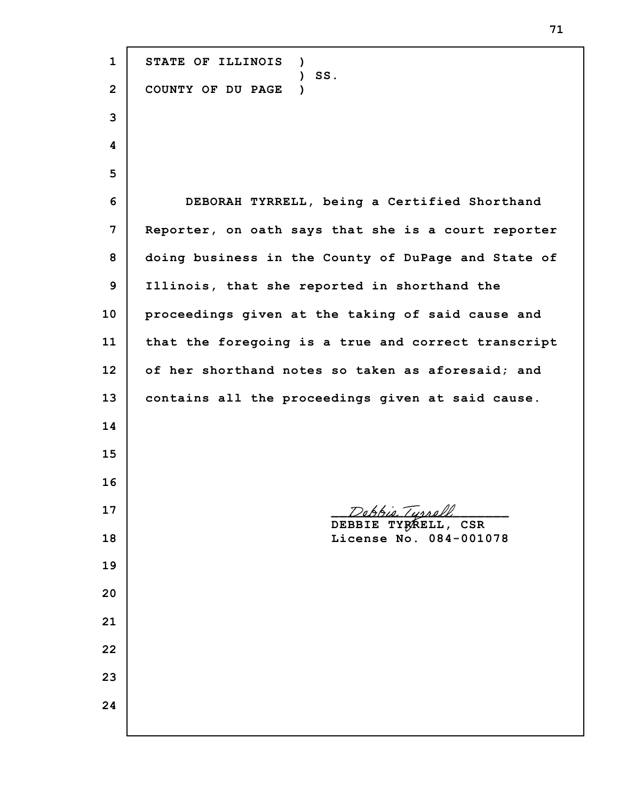**STATE OF ILLINOIS ) ) SS. COUNTY OF DU PAGE ) DEBORAH TYRRELL, being a Certified Shorthand Reporter, on oath says that she is a court reporter doing business in the County of DuPage and State of Illinois, that she reported in shorthand the proceedings given at the taking of said cause and that the foregoing is a true and correct transcript of her shorthand notes so taken as aforesaid; and contains all the proceedings given at said cause.** Debb*ie Turrell* **DEBBIE TYRRELL, CSR License No. 084-001078**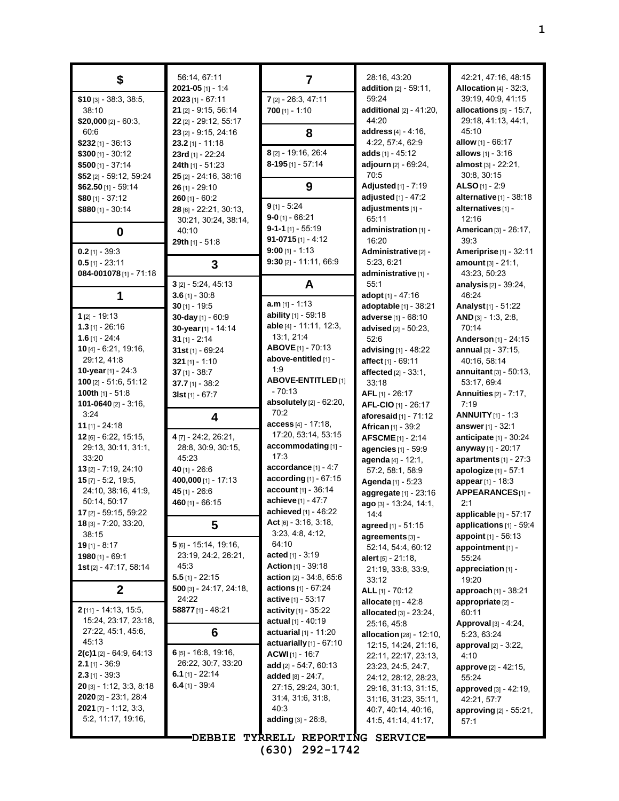| \$                                                 | 56:14, 67:11<br>$2021 - 05$ [1] - 1:4  | $\overline{7}$                                   | 28:16, 43:20<br>addition [2] - 59:11,       | 42.21, 47:16, 48:15<br><b>Allocation</b> [4] - 32:3, |
|----------------------------------------------------|----------------------------------------|--------------------------------------------------|---------------------------------------------|------------------------------------------------------|
| $$10$ [3] - 38:3, 38:5,                            | $2023$ [1] - 67:11                     | 7 [2] - 26:3, 47:11                              | 59:24                                       | 39:19, 40:9, 41:15                                   |
| 38:10                                              | 21 [2] - 9:15, 56:14                   | $700$ [1] - 1:10                                 | <b>additional</b> $[2] - 41:20$ ,           | allocations $[5]$ - 15:7,                            |
| \$20,000 $[2] - 60:3$ ,                            | 22 [2] - 29:12, 55:17                  |                                                  | 44:20                                       | 29:18, 41:13, 44:1,                                  |
| 60.6                                               | 23 [2] - 9:15, 24:16                   | 8                                                | address [4] - 4:16,                         | 45:10                                                |
| $$232$ [1] - 36:13                                 | $23.2$ [1] - 11:18                     |                                                  | 4:22, 57:4, 62:9                            | <b>allow</b> $[1] - 66:17$                           |
| $$300$ [1] - 30:12                                 | 23rd [1] - 22:24                       | 8 [2] - 19:16, 26:4                              | adds $[1] - 45:12$                          | allows $[1] - 3:16$                                  |
| $$500$ [1] - 37:14                                 | 24th $[1] - 51:23$                     | $8-195$ [1] - 57:14                              | adjourn [2] - 69:24,                        | almost [3] - 22:21,                                  |
| \$52 [2] - 59:12, 59:24                            | 25 [2] - 24:16, 38:16                  |                                                  | 70.5                                        | 30:8, 30:15                                          |
| $$62.50$ [1] - 59:14                               | $26$ [1] - 29:10                       | 9                                                | Adjusted [1] - 7:19                         | ALSO [1] - $2:9$                                     |
| $$80$ [1] - 37:12                                  | $260$ [1] - 60:2                       |                                                  | adjusted [1] - 47:2                         | alternative $[1]$ - 38:18                            |
| \$880 [1] - 30:14                                  | $28$ [6] - 22:21, 30:13,               | $9$ [1] - 5:24                                   | adjustments [1] -                           | alternatives [1] -                                   |
|                                                    | 30:21, 30:24, 38:14,                   | $9 - 0$ [1] - 66:21<br>$9 - 1 - 1$ [1] $- 55:19$ | 65:11                                       | 12:16                                                |
| 0                                                  | 40:10                                  | 91-0715 $[1] - 4:12$                             | administration [1] -                        | American [3] - 26:17,                                |
| $0.2$ [1] - 39:3                                   | 29th [1] - 51:8                        | $9:00$ [1] - 1:13                                | 16:20<br>Administrative <sup>[2]</sup> -    | 39:3<br><b>Ameriprise</b> [1] - 32:11                |
| $0.5$ [1] - 23:11                                  |                                        | $9:30$ [2] - 11:11, 66:9                         | 5:23, 6:21                                  | <b>amount</b> $[3] - 21:1$ ,                         |
| 084-001078[1] - 71:18                              | 3                                      |                                                  | administrative [1] -                        | 43:23, 50:23                                         |
|                                                    | $3$ [2] - 5:24, 45:13                  | A                                                | 55:1                                        | analysis $[2] - 39:24$ ,                             |
| 1                                                  | $3.6$ [1] - 30:8                       |                                                  | adopt [1] - 47:16                           | 46:24                                                |
|                                                    | $30$ [1] - 19:5                        | $a.m$ [1] - 1:13                                 | adoptable [1] - 38:21                       | Analyst <sub>[1]</sub> - 51:22                       |
| $1_{[2]} - 19:13$                                  | 30-day [1] - 60:9                      | <b>ability</b> $[1]$ - 59:18                     | adverse [1] - 68:10                         | $AND$ [3] - 1:3, 2:8,                                |
| $1.3$ [1] - 26:16                                  | 30-year [1] - 14:14                    | able [4] - 11:11, 12:3,                          | advised $[2] - 50:23$ ,                     | 70:14                                                |
| $1.6$ [1] - 24:4                                   | $31$ [1] - 2:14                        | 13:1, 21:4                                       | 52.6                                        | Anderson [1] - 24:15                                 |
| 10 $[4] - 6.21, 19:16$                             | 31st $[1]$ - 69:24                     | ABOVE [1] - 70:13                                | advising [1] - 48:22                        | annual [3] - 37:15.                                  |
| 29:12, 41:8                                        | 321 $[1] - 1:10$                       | above-entitled [1] -                             | affect [1] - 69:11                          | 40:16, 58:14                                         |
| 10-year $[1]$ - 24:3                               | $37$ [1] - 38:7                        | 1:9                                              | affected $[2] - 33:1$ ,                     | annuitant $[3] - 50:13$ ,                            |
| <b>100</b> [2] $-51.6$ , 51:12                     | 37.7 $[1] - 38:2$                      | <b>ABOVE-ENTITLED</b> [1]                        | 33:18                                       | 53:17, 69:4                                          |
| 100th $[1]$ - 51:8                                 | $3$ Ist [1] - 67:7                     | $-70:13$                                         | $AFL$ [1] - 26:17                           | <b>Annuities</b> [2] - 7:17,                         |
| 101-0640 [2] - 3:16,                               |                                        | absolutely [2] - 62:20,                          | AFL-CIO [1] - 26:17                         | 7:19                                                 |
| 3:24                                               | 4                                      | 70:2                                             | aforesaid $[1]$ - $71:12$                   | <b>ANNUITY</b> $[1] - 1:3$                           |
| <b>11</b> [1] - 24:18                              |                                        | $access_{[4]} - 17:18,$                          | African [1] - 39:2                          | answer [1] - 32:1                                    |
| $12$ [6] - 6.22, 15:15,                            | 4 [7] - 24:2, 26:21,                   | 17:20, 53:14, 53:15                              | <b>AFSCME</b> [1] - 2:14                    | anticipate $[1]$ - 30:24                             |
| 29:13, 30:11, 31:1,                                | 28:8, 30:9, 30:15,                     | accommodating [1] -<br>17:3                      | agencies [1] - 59:9                         | anyway [1] - 20:17                                   |
| 33:20                                              | 45:23                                  | accordance [1] - 4:7                             | agenda [4] - 12:1,                          | apartments $[1] - 27:3$                              |
| 13 [2] - 7:19, 24:10                               | $40$ [1] - 26:6                        | according [1] - 67:15                            | 57:2, 58:1, 58:9                            | apologize [1] - 57:1                                 |
| $15$ [7] - 5:2, 19:5,<br>24:10, 38:16, 41:9,       | 400,000 [1] - 17:13<br>45 $[1] - 26:6$ | account [1] - 36:14                              | Agenda [1] - 5:23                           | appear [1] - 18:3                                    |
| 50:14, 50:17                                       | $460$ [1] - 66:15                      | achieve [1] - 47:7                               | aggregate [1] - 23:16                       | APPEARANCES[1]-<br>2:1                               |
| 17 [2] - 59:15, 59:22                              |                                        | achieved $[1]$ - 46:22                           | ago [3] - 13:24, 14:1,                      | applicable [1] - 57:17                               |
| 18 [3] - 7:20, 33:20,                              | 5                                      | $Act[6] - 3:16, 3:18,$                           | 14.4<br>agreed [1] - 51:15                  | applications [1] - 59:4                              |
| 38:15                                              |                                        | 3:23, 4:8, 4:12,                                 | agreements [3] -                            | appoint [1] - 56:13                                  |
| <b>19</b> [1] - 8:17                               | 5 [6] - 15:14, 19:16,                  | 64:10                                            | 52:14, 54:4, 60:12                          | appointment [1] -                                    |
| <b>1980</b> [1] - 69:1                             | 23:19, 24:2, 26:21,                    | acted $[1] - 3.19$                               | alert $[5] - 21:18$ ,                       | 55:24                                                |
| 1st [2] - 47:17, 58:14                             | 45:3                                   | <b>Action</b> $[1] - 39:18$                      | 21:19, 33:8, 33:9,                          | appreciation [1] -                                   |
|                                                    | $5.5$ [1] - 22:15                      | <b>action</b> $[2] - 34.8, 65.6$                 | 33:12                                       | 19:20                                                |
| $\mathbf{2}$                                       | $500$ [3] - 24:17, 24:18,              | <b>actions</b> $[1] - 67:24$                     | ALL [1] - 70:12                             | approach [1] - 38:21                                 |
|                                                    | 24:22                                  | active [1] - 53:17                               | allocate $[1] - 42.8$                       | appropriate [2] -                                    |
| 2[11] - 14:13, 15:5,                               | 58877 [1] - 48:21                      | <b>activity</b> $[1]$ - 35:22                    | allocated $[3] - 23:24$ ,                   | 60:11                                                |
| 15:24, 23:17, 23:18,                               |                                        | actual $[1] - 40:19$                             | 25:16, 45:8                                 | Approval [3] - 4:24,                                 |
| 27:22, 45:1, 45:6,                                 | 6                                      | <b>actuarial</b> $[1] - 11:20$                   | allocation [28] - 12:10,                    | 5:23, 63:24                                          |
| 45:13                                              | 6 [5] - 16:8, 19:16,                   | actuarially $[1]$ - $67:10$                      | 12.15, 14.24, 21.16,                        | approval [2] - 3:22,                                 |
| $2(c)1$ [2] - 64.9, 64:13<br><b>2.1</b> [1] - 36.9 | 26:22, 30:7, 33:20                     | $ACWI$ [1] - 16:7                                | 22:11, 22:17, 23:13,                        | 4:10                                                 |
| $2.3$ [1] - 39:3                                   | 6.1 [1] - 22:14                        | add [2] - 54:7, 60:13                            | 23:23, 24:5, 24:7,                          | approve [2] - 42:15,                                 |
| $20$ [3] - 1:12, 3:3, 8:18                         | 6.4 [1] - 39.4                         | added $[8] - 24:7$ ,                             | 24:12, 28:12, 28:23,                        | 55:24                                                |
| <b>2020</b> [2] - 23:1, 28:4                       |                                        | 27:15, 29:24, 30:1,<br>31:4, 31:6, 31:8,         | 29:16, 31:13, 31:15,                        | <b>approved</b> [3] - 42:19,                         |
| <b>2021</b> [7] - 1:12, 3:3,                       |                                        | 40:3                                             | 31:16, 31:23, 35:11,<br>40:7, 40:14, 40:16, | 42:21, 57:7                                          |
| 5:2, 11:17, 19:16,                                 |                                        | adding $[3] - 26.8$ ,                            | 41:5, 41:14, 41:17,                         | approving [2] - 55:21,<br>57:1                       |
|                                                    |                                        |                                                  |                                             |                                                      |
|                                                    | <b>DEBBIE</b>                          | TYRRELL REPORTING SERVICE-                       |                                             |                                                      |

**(630) 292-1742**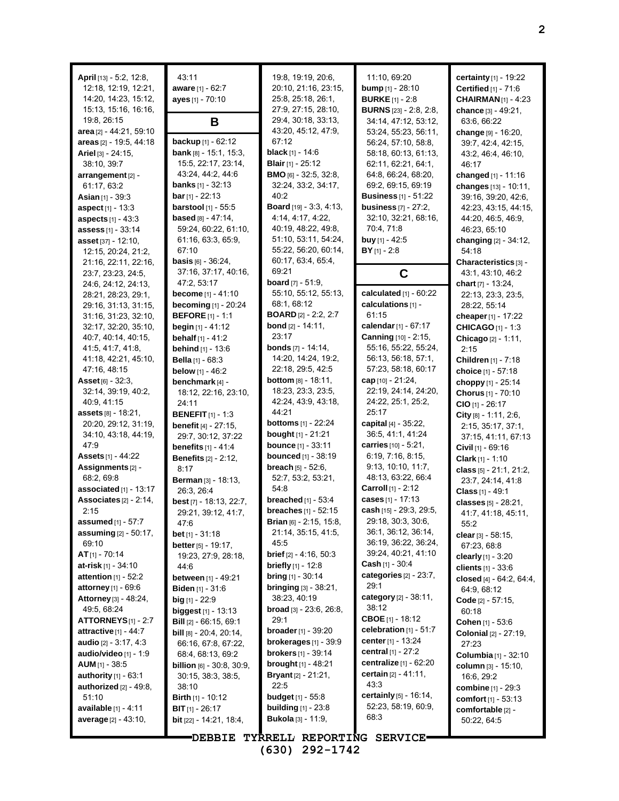| April [13] - 5:2, 12:8,<br>12:18, 12:19, 12:21,<br>14:20, 14:23, 15:12,<br>15:13, 15:16, 16:16,<br>19:8, 26:15 | 43:11<br>aware [1] - 62:7<br>ayes [1] - 70:10<br>B                               | 19:8, 19:19, 20:6,<br>20:10, 21:16, 23:15,<br>25:8, 25:18, 26:1,<br>27:9, 27:15, 28:10,<br>29:4, 30:18, 33:13, | 11:10, 69:20<br><b>bump</b> $[1] - 28:10$<br><b>BURKE</b> [1] - 2:8<br><b>BURNS</b> [23] - 2:8, 2:8,<br>34:14, 47:12, 53:12, | <b>certainty</b> $[1]$ - 19:22<br>Certified [1] - 71:6<br><b>CHAIRMAN</b> [1] - 4:23<br>chance [3] - 49:21,<br>63:6, 66:22 |
|----------------------------------------------------------------------------------------------------------------|----------------------------------------------------------------------------------|----------------------------------------------------------------------------------------------------------------|------------------------------------------------------------------------------------------------------------------------------|----------------------------------------------------------------------------------------------------------------------------|
| area [2] - 44:21, 59:10<br>areas $[2]$ - 19:5, 44:18<br><b>Ariel</b> [3] $-24:15$ ,<br>38:10, 39:7             | backup [1] - 62:12<br><b>bank</b> $[8] - 15.1$ , $15.3$ ,<br>15:5, 22:17, 23:14, | 43:20, 45:12, 47:9,<br>67:12<br><b>black</b> $[1] - 14.6$<br><b>Blair</b> [1] - 25:12                          | 53:24, 55:23, 56:11,<br>56:24, 57:10, 58:8,<br>58:18, 60:13, 61:13,<br>62:11, 62:21, 64:1,                                   | change [9] - 16:20,<br>39:7, 42:4, 42:15,<br>43.2, 46.4, 46.10,<br>46:17                                                   |
| arrangement [2] -                                                                                              | 43:24, 44:2, 44:6                                                                | <b>BMO</b> [6] - 32:5, 32:8,                                                                                   | 64:8, 66:24, 68:20,                                                                                                          | changed [1] - 11:16                                                                                                        |
| 61:17, 63:2                                                                                                    | <b>banks</b> [1] - 32:13                                                         | 32:24, 33:2, 34:17,                                                                                            | 69.2, 69.15, 69.19                                                                                                           | changes [13] - 10:11,                                                                                                      |
| <b>Asian</b> [1] - 39:3                                                                                        | <b>bar</b> [1] - 22:13                                                           | 40:2                                                                                                           | <b>Business</b> [1] - 51:22                                                                                                  | 39.16, 39.20, 42.6,                                                                                                        |
| <b>aspect</b> $[1]$ - 13:3                                                                                     | barstool [1] - 55:5                                                              | Board [19] - 3:3, 4:13,                                                                                        | <b>business</b> $[7] - 27:2$ ,                                                                                               | 42:23, 43:15, 44:15,                                                                                                       |
| aspects [1] - 43:3                                                                                             | <b>based</b> $[8] - 47:14$ ,                                                     | 4.14, 4.17, 4.22,                                                                                              | 32:10, 32:21, 68:16,                                                                                                         | 44.20, 46.5, 46.9,                                                                                                         |
| assess [1] - 33:14                                                                                             | 59:24, 60:22, 61:10,                                                             | 40:19, 48:22, 49:8,                                                                                            | 70.4, 71.8                                                                                                                   | 46:23, 65:10                                                                                                               |
| asset [37] - 12:10,                                                                                            | 61:16, 63:3, 65:9,                                                               | 51:10, 53:11, 54:24,                                                                                           | buy [1] - 42:5                                                                                                               | changing $[2] - 34:12$ ,                                                                                                   |
| 12:15, 20:24, 21:2,                                                                                            | 67:10<br><b>basis</b> $[6] - 36:24$ ,                                            | 55:22, 56:20, 60:14,<br>60:17, 63:4, 65:4,                                                                     | $BY$ [1] - 2:8                                                                                                               | 54:18                                                                                                                      |
| 21:16, 22:11, 22:16,                                                                                           | 37:16, 37:17, 40:16,                                                             | 69:21                                                                                                          | C                                                                                                                            | Characteristics [3] -<br>43.1, 43.10, 46.2                                                                                 |
| 23:7, 23:23, 24:5,<br>24:6, 24:12, 24:13,                                                                      | 47:2, 53:17                                                                      | <b>board</b> $[7] - 51.9$                                                                                      |                                                                                                                              | <b>chart</b> $[7] - 13:24$ ,                                                                                               |
| 28:21, 28:23, 29:1,                                                                                            | <b>become</b> [1] - 41:10                                                        | 55:10, 55:12, 55:13,                                                                                           | calculated $[1]$ - $60:22$                                                                                                   | 22:13, 23:3, 23:5,                                                                                                         |
| 29:16, 31:13, 31:15,                                                                                           | <b>becoming</b> $[1]$ - 20:24                                                    | 68:1, 68:12                                                                                                    | calculations [1] -                                                                                                           | 28:22, 55:14                                                                                                               |
| 31:16, 31:23, 32:10,                                                                                           | <b>BEFORE</b> $[1] - 1:1$                                                        | <b>BOARD</b> [2] - 2:2, 2:7                                                                                    | 61:15                                                                                                                        | cheaper [1] - 17:22                                                                                                        |
| 32:17, 32:20, 35:10,                                                                                           | <b>begin</b> $[1] - 41:12$                                                       | <b>bond</b> $[2] - 14:11$ ,                                                                                    | calendar [1] - 67:17                                                                                                         | <b>CHICAGO</b> $[1] - 1:3$                                                                                                 |
| 40.7, 40.14, 40.15,                                                                                            | behalf [1] - 41:2                                                                | 23:17                                                                                                          | <b>Canning</b> [10] - 2:15,                                                                                                  | Chicago [2] - 1:11,                                                                                                        |
| 41:5, 41:7, 41:8,                                                                                              | behind [1] - 13:6                                                                | <b>bonds</b> $[7]$ - 14:14,                                                                                    | 55:16, 55:22, 55:24,                                                                                                         | 2:15                                                                                                                       |
| 41:18, 42:21, 45:10,                                                                                           | <b>Bella</b> $[1]$ - 68:3                                                        | 14:20, 14:24, 19:2,                                                                                            | 56:13, 56:18, 57:1,                                                                                                          | Children [1] - 7:18                                                                                                        |
| 47:16, 48:15                                                                                                   | <b>below</b> $[1] - 46:2$                                                        | 22:18, 29:5, 42:5                                                                                              | 57:23, 58:18, 60:17                                                                                                          | choice [1] - 57:18                                                                                                         |
| <b>Asset</b> [6] - $32:3$ ,                                                                                    | benchmark [4] -                                                                  | <b>bottom</b> $[8] - 18:11$ ,<br>18:23, 23:3, 23:5,                                                            | cap $[10] - 21.24$ ,<br>22:19, 24:14, 24:20,                                                                                 | choppy [1] - 25:14                                                                                                         |
| 32:14, 39:19, 40:2,<br>40.9, 41.15                                                                             | 18:12, 22:16, 23:10,                                                             | 42:24, 43:9, 43:18,                                                                                            | 24:22, 25:1, 25:2,                                                                                                           | Chorus [1] - 70:10                                                                                                         |
| assets [8] - 18:21,                                                                                            | 24:11<br><b>BENEFIT</b> $[1]$ - 1:3                                              | 44:21                                                                                                          | 25:17                                                                                                                        | $CIO$ [1] - 26:17                                                                                                          |
| 20:20, 29:12, 31:19,                                                                                           | <b>benefit</b> $[4] - 27:15$ ,                                                   | <b>bottoms</b> $[1] - 22:24$                                                                                   | capital $[4] - 35:22$                                                                                                        | City $[8] - 1.11, 2.6,$<br>2:15, 35:17, 37:1,                                                                              |
| 34:10, 43:18, 44:19,                                                                                           | 29:7, 30:12, 37:22                                                               | <b>bought</b> [1] - 21:21                                                                                      | 36:5, 41:1, 41:24                                                                                                            | 37:15, 41:11, 67:13                                                                                                        |
| 47:9                                                                                                           | <b>benefits</b> $[1] - 41:4$                                                     | <b>bounce</b> [1] - 33:11                                                                                      | carries $[10] - 5.21$ ,                                                                                                      | Civil $[1]$ - 69:16                                                                                                        |
| <b>Assets</b> [1] - 44:22                                                                                      | <b>Benefits</b> [2] - 2:12,                                                      | <b>bounced</b> [1] - 38:19                                                                                     | 6:19, 7:16, 8:15,                                                                                                            | <b>Clark</b> $[1] - 1:10$                                                                                                  |
| Assignments <sup>[2]</sup> -                                                                                   | 8:17                                                                             | <b>breach</b> $[5] - 52:6$ ,                                                                                   | 9:13, 10:10, 11:7,                                                                                                           | class $[5] - 21:1, 21:2,$                                                                                                  |
| 68:2, 69:8                                                                                                     | Berman [3] - 18:13,                                                              | 52:7, 53:2, 53:21,                                                                                             | 48:13, 63:22, 66:4                                                                                                           | 23:7, 24:14, 41:8                                                                                                          |
| associated $[1]$ - 13:17                                                                                       | 26:3, 26:4                                                                       | 54:8                                                                                                           | <b>Carroll</b> [1] - 2:12                                                                                                    | Class [1] - 49:1                                                                                                           |
| Associates $[2] - 2:14$ ,                                                                                      | best [7] - 18:13, 22:7,                                                          | breached $[1]$ - 53:4                                                                                          | cases [1] - 17:13                                                                                                            | classes [5] - 28:21,                                                                                                       |
| 2:15                                                                                                           | 29:21, 39:12, 41:7,                                                              | <b>breaches</b> $[1] - 52:15$                                                                                  | cash [15] - 29:3, 29:5,                                                                                                      | 41.7, 41.18, 45:11,                                                                                                        |
| <b>assumed</b> $[1] - 5$ /: /                                                                                  | 47:6                                                                             | <b>Brian</b> [6] - 2:15, 15:8,                                                                                 | 29:18, 30:3, 30:6,<br>36:1, 36:12, 36:14,                                                                                    | 55:2                                                                                                                       |
| <b>assuming</b> $[2] - 50:17$ ,<br>69:10                                                                       | <b>bet</b> [1] - $31:18$                                                         | 21:14, 35:15, 41:5,<br>45:5                                                                                    | 36:19, 36:22, 36:24,                                                                                                         | clear $[3] - 58.15$ ,                                                                                                      |
| $AT_{[1]} - 70:14$                                                                                             | better $[5] - 19:17$ ,                                                           | <b>brief</b> $[2] - 4:16, 50:3$                                                                                | 39:24, 40:21, 41:10                                                                                                          | 67:23, 68:8                                                                                                                |
| <b>at-risk</b> [1] - 34:10                                                                                     | 19:23, 27:9, 28:18,<br>44:6                                                      | <b>briefly</b> $[1]$ - 12:8                                                                                    | <b>Cash</b> [1] - 30:4                                                                                                       | clearly $[1] - 3.20$<br>clients $[1] - 33.6$                                                                               |
| attention $[1]$ - 52:2                                                                                         | between [1] - 49:21                                                              | <b>bring</b> $[1] - 30:14$                                                                                     | categories $[2] - 23:7$ ,                                                                                                    | closed [4] - 64:2, 64:4,                                                                                                   |
| attorney [1] - 69:6                                                                                            | Biden [1] - 31:6                                                                 | <b>bringing</b> $[3] - 38:21$ ,                                                                                | 29:1                                                                                                                         | 64:9, 68:12                                                                                                                |
| Attorney [3] - 48:24,                                                                                          | big [1] - 22:9                                                                   | 38:23, 40:19                                                                                                   | category [2] - 38:11,                                                                                                        | Code $[2] - 57:15$ ,                                                                                                       |
| 49:5, 68:24                                                                                                    | <b>biggest</b> $[1]$ - 13:13                                                     | <b>broad</b> $[3] - 23.6, 26.8,$                                                                               | 38:12                                                                                                                        | 60:18                                                                                                                      |
| $ATTORNEYS[1] - 2.7$                                                                                           | <b>Bill</b> [2] - 66:15, 69:1                                                    | 29:1                                                                                                           | <b>CBOE</b> $[1]$ - 18:12                                                                                                    | <b>Cohen</b> $[1] - 53.6$                                                                                                  |
| attractive $[1] - 44:7$                                                                                        | <b>bill</b> $[8] - 20.4$ , $20.14$ ,                                             | <b>broader</b> $[1] - 39:20$                                                                                   | celebration $[1] - 51:7$                                                                                                     | <b>Colonial</b> [2] - 27:19,                                                                                               |
| audio $[2] - 3.17, 4.3$                                                                                        | 66.16, 67:8, 67:22,                                                              | brokerages $[1]$ - 39:9                                                                                        | center [1] - 13:24                                                                                                           | 27:23                                                                                                                      |
| audio/video [1] - 1:9                                                                                          | 68:4, 68:13, 69:2                                                                | <b>brokers</b> $[1] - 39.14$                                                                                   | <b>central</b> $[1] - 27:2$                                                                                                  | <b>Columbia</b> [1] - 32:10                                                                                                |
| <b>AUM</b> $[1]$ - 38:5                                                                                        | <b>billion</b> $[6] - 30.8, 30.9,$                                               | <b>brought</b> $[1] - 48:21$                                                                                   | centralize [1] - 62:20<br>certain $[2] - 41:11$ ,                                                                            | column [3] - 15:10,                                                                                                        |
| authority $[1] - 63:1$<br>authorized [2] - 49:8,                                                               | 30:15, 38:3, 38:5,                                                               | <b>Bryant</b> [2] - 21:21,<br>22:5                                                                             | 43.3                                                                                                                         | 16.6, 29.2                                                                                                                 |
| 51:10                                                                                                          | 38:10<br><b>Birth</b> $[1]$ - 10:12                                              | <b>budget</b> $[1] - 55.8$                                                                                     | certainly [5] - 16:14,                                                                                                       | <b>combine</b> [1] - 29:3                                                                                                  |
| <b>available</b> $[1] - 4:11$                                                                                  | <b>BIT</b> $[1] - 26:17$                                                         | <b>building</b> $[1]$ - 23:8                                                                                   | 52:23, 58:19, 60:9,                                                                                                          | comfort $[1]$ - 53:13<br>comfortable [2] -                                                                                 |
| average [2] - 43:10,                                                                                           | bit [22] - 14:21, 18:4,                                                          | <b>Bukola</b> [3] - 11:9,                                                                                      | 68.3                                                                                                                         | 50:22, 64:5                                                                                                                |
|                                                                                                                |                                                                                  |                                                                                                                |                                                                                                                              |                                                                                                                            |

**DEBBIE TYRRELL REPORTING SERVICE (630) 292-1742**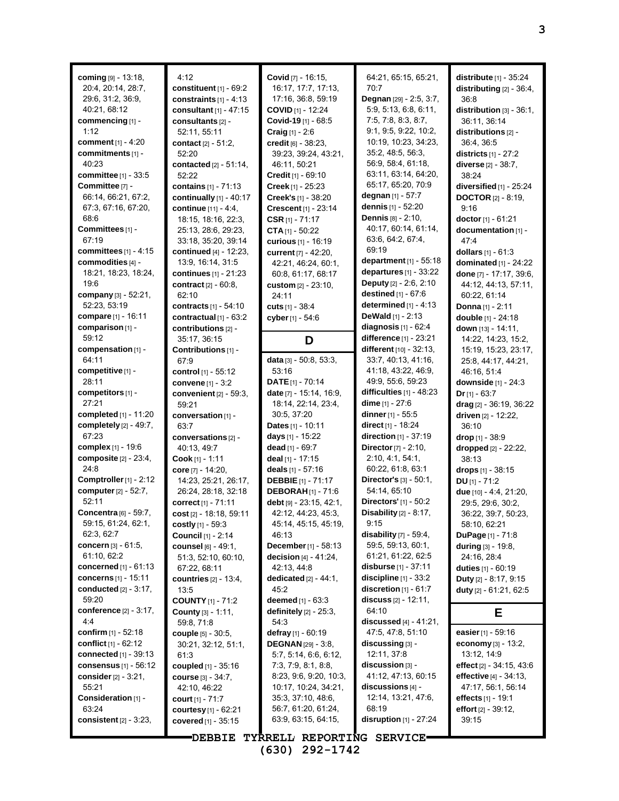| coming $[9] - 13:18$ ,<br>20:4, 20:14, 28:7,<br>29.6, 31.2, 36.9,<br>40:21, 68:12<br>commencing [1] -<br>1:12<br>comment $[1] - 4:20$<br>commitments [1] -<br>40:23<br>committee [1] - 33:5<br>Committee [7] -<br>66:14, 66:21, 67:2,<br>67:3, 67:16, 67:20,<br>68:6<br>Committees [1] -<br>67:19<br>committees $[1]$ - 4:15<br>commodities [4] -<br>18:21, 18:23, 18:24,<br>19:6<br>company [3] - 52:21, | 4:12<br>constituent $[1]$ - $69:2$<br>constraints $[1] - 4:13$<br>consultant $[1]$ - 47:15<br>consultants [2] -<br>52:11, 55:11<br>contact $[2] - 51:2$ ,<br>52:20<br><b>contacted</b> $[2] - 51:14$ ,<br>52:22<br>contains [1] - 71:13<br>continually $[1] - 40:17$<br>continue $[11] - 4.4$ ,<br>18:15, 18:16, 22:3,<br>25:13, 28:6, 29:23,<br>33:18, 35:20, 39:14<br>continued $[4] - 12:23$ ,<br>13:9, 16:14, 31:5<br>continues [1] - 21:23<br>contract [2] - 60:8,<br>62:10 | Covid [7] - 16:15,<br>16:17, 17:7, 17:13,<br>17:16, 36:8, 59:19<br>COVID [1] - 12:24<br>Covid-19[1] - 68:5<br><b>Craig</b> $[1] - 2:6$<br>credit [6] - 38:23,<br>39:23, 39:24, 43:21,<br>46:11, 50:21<br><b>Credit</b> $[1] - 69:10$<br>Creek [1] - 25:23<br>Creek's [1] - 38:20<br>Crescent <sup>[1]</sup> - 23:14<br>CSR $[1] - 71:17$<br><b>CTA</b> $[1]$ - 50:22<br>curious [1] - 16:19<br>current [7] - 42:20,<br>42:21, 46:24, 60:1,<br>60:8, 61:17, 68:17<br>custom [2] - 23:10,<br>24:11 | 64:21, 65:15, 65:21,<br>70.7<br>Degnan [29] - 2:5, 3:7,<br>5:9, 5:13, 6:8, 6:11,<br>7:5, 7:8, 8:3, 8:7,<br>9:1, 9:5, 9:22, 10:2,<br>10:19, 10:23, 34:23,<br>35:2, 48:5, 56:3,<br>56.9, 58.4, 61.18,<br>63:11, 63:14, 64:20,<br>65:17, 65:20, 70:9<br>degnan [1] - 57:7<br><b>dennis</b> [1] - 52:20<br><b>Dennis</b> [8] - 2:10,<br>40:17, 60:14, 61:14,<br>63.6, 64.2, 67.4,<br>69:19<br>department $[1]$ - 55:18<br>departures $[1]$ - 33:22<br><b>Deputy</b> $[2] - 2:6, 2:10$<br>destined [1] - 67:6 | distribute $[1]$ - $35:24$<br>distributing $[2] - 36:4$ ,<br>36:8<br>distribution $[3] - 36:1$ ,<br>36:11, 36:14<br>distributions [2] -<br>36:4, 36:5<br>districts $[1] - 27:2$<br><b>diverse</b> [2] - 38:7,<br>38:24<br>diversified $[1]$ - 25:24<br><b>DOCTOR</b> $[2] - 8:19$ ,<br>9.16<br>doctor [1] - 61:21<br>documentation [1] -<br>47.4<br>dollars $[1] - 61:3$<br>dominated $[1]$ - 24:22<br>done [7] - 17:17, 39:6,<br>44:12, 44:13, 57:11,<br>60:22, 61:14 |
|-----------------------------------------------------------------------------------------------------------------------------------------------------------------------------------------------------------------------------------------------------------------------------------------------------------------------------------------------------------------------------------------------------------|----------------------------------------------------------------------------------------------------------------------------------------------------------------------------------------------------------------------------------------------------------------------------------------------------------------------------------------------------------------------------------------------------------------------------------------------------------------------------------|--------------------------------------------------------------------------------------------------------------------------------------------------------------------------------------------------------------------------------------------------------------------------------------------------------------------------------------------------------------------------------------------------------------------------------------------------------------------------------------------------|----------------------------------------------------------------------------------------------------------------------------------------------------------------------------------------------------------------------------------------------------------------------------------------------------------------------------------------------------------------------------------------------------------------------------------------------------------------------------------------------------------|------------------------------------------------------------------------------------------------------------------------------------------------------------------------------------------------------------------------------------------------------------------------------------------------------------------------------------------------------------------------------------------------------------------------------------------------------------------------|
| 52:23, 53:19<br>compare [1] - 16:11                                                                                                                                                                                                                                                                                                                                                                       | contracts $[1] - 54:10$<br>contractual $[1]$ - $63:2$                                                                                                                                                                                                                                                                                                                                                                                                                            | cuts $[1] - 38.4$<br>cyber [1] - 54:6                                                                                                                                                                                                                                                                                                                                                                                                                                                            | determined $[1] - 4:13$<br>DeWald $[1] - 2:13$                                                                                                                                                                                                                                                                                                                                                                                                                                                           | Donna [1] - 2:11<br>double [1] - 24:18                                                                                                                                                                                                                                                                                                                                                                                                                                 |
| comparison [1] -                                                                                                                                                                                                                                                                                                                                                                                          | contributions [2] -                                                                                                                                                                                                                                                                                                                                                                                                                                                              |                                                                                                                                                                                                                                                                                                                                                                                                                                                                                                  | diagnosis $[1] - 62.4$                                                                                                                                                                                                                                                                                                                                                                                                                                                                                   | down [13] - 14:11,                                                                                                                                                                                                                                                                                                                                                                                                                                                     |
| 59:12                                                                                                                                                                                                                                                                                                                                                                                                     | 35:17, 36:15                                                                                                                                                                                                                                                                                                                                                                                                                                                                     | D                                                                                                                                                                                                                                                                                                                                                                                                                                                                                                | difference [1] - 23:21                                                                                                                                                                                                                                                                                                                                                                                                                                                                                   | 14:22, 14:23, 15:2,                                                                                                                                                                                                                                                                                                                                                                                                                                                    |
| compensation [1] -<br>64:11                                                                                                                                                                                                                                                                                                                                                                               | Contributions [1] -<br>67.9                                                                                                                                                                                                                                                                                                                                                                                                                                                      | data [3] - 50:8, 53:3,                                                                                                                                                                                                                                                                                                                                                                                                                                                                           | different [10] - 32:13,<br>33.7, 40.13, 41.16,                                                                                                                                                                                                                                                                                                                                                                                                                                                           | 15:19, 15:23, 23:17,<br>25.8, 44.17, 44.21,                                                                                                                                                                                                                                                                                                                                                                                                                            |
| competitive [1] -                                                                                                                                                                                                                                                                                                                                                                                         | control [1] - 55:12                                                                                                                                                                                                                                                                                                                                                                                                                                                              | 53:16                                                                                                                                                                                                                                                                                                                                                                                                                                                                                            | 41:18, 43:22, 46:9,                                                                                                                                                                                                                                                                                                                                                                                                                                                                                      | 46:16, 51:4                                                                                                                                                                                                                                                                                                                                                                                                                                                            |
| 28:11                                                                                                                                                                                                                                                                                                                                                                                                     | convene $[1] - 3:2$                                                                                                                                                                                                                                                                                                                                                                                                                                                              | <b>DATE</b> $[1]$ - 70:14                                                                                                                                                                                                                                                                                                                                                                                                                                                                        | 49.9, 55.6, 59.23                                                                                                                                                                                                                                                                                                                                                                                                                                                                                        | downside [1] - 24:3                                                                                                                                                                                                                                                                                                                                                                                                                                                    |
| competitors [1] -                                                                                                                                                                                                                                                                                                                                                                                         | convenient [2] - 59:3,                                                                                                                                                                                                                                                                                                                                                                                                                                                           | date [7] - 15:14, 16:9,                                                                                                                                                                                                                                                                                                                                                                                                                                                                          | difficulties $[1]$ - 48:23                                                                                                                                                                                                                                                                                                                                                                                                                                                                               | $Dr_{[1]} - 63:7$                                                                                                                                                                                                                                                                                                                                                                                                                                                      |
| 27:21                                                                                                                                                                                                                                                                                                                                                                                                     | 59:21                                                                                                                                                                                                                                                                                                                                                                                                                                                                            | 18:14, 22:14, 23:4,                                                                                                                                                                                                                                                                                                                                                                                                                                                                              | <b>dime</b> $[1] - 27:6$                                                                                                                                                                                                                                                                                                                                                                                                                                                                                 | drag [2] - 36:19, 36:22                                                                                                                                                                                                                                                                                                                                                                                                                                                |
| completed [1] - 11:20<br>completely [2] - 49:7,                                                                                                                                                                                                                                                                                                                                                           | conversation [1] -                                                                                                                                                                                                                                                                                                                                                                                                                                                               | 30:5, 37:20<br><b>Dates</b> $[1] - 10:11$                                                                                                                                                                                                                                                                                                                                                                                                                                                        | dinner $[1]$ - 55:5<br><b>direct</b> $[1]$ - 18:24                                                                                                                                                                                                                                                                                                                                                                                                                                                       | driven [2] - 12:22,                                                                                                                                                                                                                                                                                                                                                                                                                                                    |
| 67:23                                                                                                                                                                                                                                                                                                                                                                                                     | 63:7<br>conversations [2] -                                                                                                                                                                                                                                                                                                                                                                                                                                                      | days $[1]$ - 15:22                                                                                                                                                                                                                                                                                                                                                                                                                                                                               | direction $[1]$ - 37:19                                                                                                                                                                                                                                                                                                                                                                                                                                                                                  | 36:10<br>drop $[1] - 38.9$                                                                                                                                                                                                                                                                                                                                                                                                                                             |
| complex [1] - 19:6                                                                                                                                                                                                                                                                                                                                                                                        | 40.13, 49.7                                                                                                                                                                                                                                                                                                                                                                                                                                                                      | dead $[1]$ - 69:7                                                                                                                                                                                                                                                                                                                                                                                                                                                                                | <b>Director</b> $[7] - 2:10$ ,                                                                                                                                                                                                                                                                                                                                                                                                                                                                           | dropped [2] - 22:22,                                                                                                                                                                                                                                                                                                                                                                                                                                                   |
| composite [2] - 23:4,                                                                                                                                                                                                                                                                                                                                                                                     | Cook [1] - 1:11                                                                                                                                                                                                                                                                                                                                                                                                                                                                  | deal [1] - 17:15                                                                                                                                                                                                                                                                                                                                                                                                                                                                                 | 2:10, 4:1, 54:1                                                                                                                                                                                                                                                                                                                                                                                                                                                                                          | 38:13                                                                                                                                                                                                                                                                                                                                                                                                                                                                  |
| 24:8                                                                                                                                                                                                                                                                                                                                                                                                      | core [7] - 14:20,                                                                                                                                                                                                                                                                                                                                                                                                                                                                | deals $[1] - 57:16$                                                                                                                                                                                                                                                                                                                                                                                                                                                                              | 60:22, 61:8, 63:1                                                                                                                                                                                                                                                                                                                                                                                                                                                                                        | drops [1] - 38:15                                                                                                                                                                                                                                                                                                                                                                                                                                                      |
| Comptroller [1] - 2:12                                                                                                                                                                                                                                                                                                                                                                                    | 14:23, 25:21, 26:17,                                                                                                                                                                                                                                                                                                                                                                                                                                                             | <b>DEBBIE</b> [1] - 71:17                                                                                                                                                                                                                                                                                                                                                                                                                                                                        | Director's [3] - 50:1,                                                                                                                                                                                                                                                                                                                                                                                                                                                                                   | $DU$ [1] - 71:2                                                                                                                                                                                                                                                                                                                                                                                                                                                        |
| computer [2] - 52:7,                                                                                                                                                                                                                                                                                                                                                                                      | 26.24, 28:18, 32:18                                                                                                                                                                                                                                                                                                                                                                                                                                                              | <b>DEBORAH</b> [1] - 71:6                                                                                                                                                                                                                                                                                                                                                                                                                                                                        | 54:14, 65:10                                                                                                                                                                                                                                                                                                                                                                                                                                                                                             | due [10] - 4:4, 21:20,                                                                                                                                                                                                                                                                                                                                                                                                                                                 |
| 52:11                                                                                                                                                                                                                                                                                                                                                                                                     | correct <sub>[1]</sub> - 71:11                                                                                                                                                                                                                                                                                                                                                                                                                                                   | debt [9] - 23:15, 42:1,                                                                                                                                                                                                                                                                                                                                                                                                                                                                          | <b>Directors'</b> [1] - 50:2                                                                                                                                                                                                                                                                                                                                                                                                                                                                             | 29:5, 29:6, 30:2,                                                                                                                                                                                                                                                                                                                                                                                                                                                      |
| <b>Concentra</b> [6] - 59:7,                                                                                                                                                                                                                                                                                                                                                                              | cost $[2] - 18.18, 59.11$                                                                                                                                                                                                                                                                                                                                                                                                                                                        | 42:12, 44:23, 45:3,                                                                                                                                                                                                                                                                                                                                                                                                                                                                              | Disability [2] - 8:17,                                                                                                                                                                                                                                                                                                                                                                                                                                                                                   | 36:22, 39:7, 50:23,                                                                                                                                                                                                                                                                                                                                                                                                                                                    |
| 59:15, 61:24, 62:1,                                                                                                                                                                                                                                                                                                                                                                                       | costly $[1]$ - 59:3                                                                                                                                                                                                                                                                                                                                                                                                                                                              | 45:14, 45:15, 45:19,                                                                                                                                                                                                                                                                                                                                                                                                                                                                             | 9:15                                                                                                                                                                                                                                                                                                                                                                                                                                                                                                     | 58:10, 62:21                                                                                                                                                                                                                                                                                                                                                                                                                                                           |
| 62:3, 62:7<br>concern [3] - 61:5,                                                                                                                                                                                                                                                                                                                                                                         | <b>Council</b> [1] - 2:14                                                                                                                                                                                                                                                                                                                                                                                                                                                        | 46:13                                                                                                                                                                                                                                                                                                                                                                                                                                                                                            | disability $[7]$ - 59.4,<br>59:5, 59:13, 60:1,                                                                                                                                                                                                                                                                                                                                                                                                                                                           | DuPage [1] - 71:8                                                                                                                                                                                                                                                                                                                                                                                                                                                      |
| 61:10, 62:2                                                                                                                                                                                                                                                                                                                                                                                               | <b>counsel</b> [6] - 49:1,<br>51:3, 52:10, 60:10,                                                                                                                                                                                                                                                                                                                                                                                                                                | December [1] - 58:13<br>decision $[4] - 41.24$ .                                                                                                                                                                                                                                                                                                                                                                                                                                                 | 61:21, 61:22, 62:5                                                                                                                                                                                                                                                                                                                                                                                                                                                                                       | during [3] - 19:8,<br>24:16, 28:4                                                                                                                                                                                                                                                                                                                                                                                                                                      |
| concerned [1] - 61:13                                                                                                                                                                                                                                                                                                                                                                                     | 67:22, 68:11                                                                                                                                                                                                                                                                                                                                                                                                                                                                     | 42:13, 44:8                                                                                                                                                                                                                                                                                                                                                                                                                                                                                      | <b>disburse</b> $[1]$ - 37:11                                                                                                                                                                                                                                                                                                                                                                                                                                                                            | duties $[1] - 60.19$                                                                                                                                                                                                                                                                                                                                                                                                                                                   |
| <b>concerns</b> [1] - 15:11                                                                                                                                                                                                                                                                                                                                                                               | countries $[2] - 13.4$ ,                                                                                                                                                                                                                                                                                                                                                                                                                                                         | dedicated $[2] - 44:1$ ,                                                                                                                                                                                                                                                                                                                                                                                                                                                                         | discipline $[1]$ - 33:2                                                                                                                                                                                                                                                                                                                                                                                                                                                                                  | <b>Duty</b> $[2] - 8:17, 9:15$                                                                                                                                                                                                                                                                                                                                                                                                                                         |
| conducted $[2] - 3:17$ ,                                                                                                                                                                                                                                                                                                                                                                                  | 13:5                                                                                                                                                                                                                                                                                                                                                                                                                                                                             | 45:2                                                                                                                                                                                                                                                                                                                                                                                                                                                                                             | discretion $[1] - 61:7$                                                                                                                                                                                                                                                                                                                                                                                                                                                                                  | duty [2] - 61:21, 62:5                                                                                                                                                                                                                                                                                                                                                                                                                                                 |
| 59:20                                                                                                                                                                                                                                                                                                                                                                                                     | <b>COUNTY</b> $[1]$ - 71:2                                                                                                                                                                                                                                                                                                                                                                                                                                                       | <b>deemed</b> $[1] - 63:3$                                                                                                                                                                                                                                                                                                                                                                                                                                                                       | <b>discuss</b> $[2] - 12:11$ ,                                                                                                                                                                                                                                                                                                                                                                                                                                                                           |                                                                                                                                                                                                                                                                                                                                                                                                                                                                        |
| conference [2] - 3:17,                                                                                                                                                                                                                                                                                                                                                                                    | County [3] - 1:11,                                                                                                                                                                                                                                                                                                                                                                                                                                                               | definitely $[2]$ - $25:3$ ,                                                                                                                                                                                                                                                                                                                                                                                                                                                                      | 64:10                                                                                                                                                                                                                                                                                                                                                                                                                                                                                                    | Е                                                                                                                                                                                                                                                                                                                                                                                                                                                                      |
| 4:4                                                                                                                                                                                                                                                                                                                                                                                                       | 59:8, 71:8                                                                                                                                                                                                                                                                                                                                                                                                                                                                       | 54:3                                                                                                                                                                                                                                                                                                                                                                                                                                                                                             | discussed $[4] - 41:21$ ,                                                                                                                                                                                                                                                                                                                                                                                                                                                                                |                                                                                                                                                                                                                                                                                                                                                                                                                                                                        |
| confirm $[1] - 52:18$                                                                                                                                                                                                                                                                                                                                                                                     | couple [5] - 30:5,                                                                                                                                                                                                                                                                                                                                                                                                                                                               | defray [1] - 60:19                                                                                                                                                                                                                                                                                                                                                                                                                                                                               | 47.5, 47.8, 51.10                                                                                                                                                                                                                                                                                                                                                                                                                                                                                        | easier [1] - 59:16                                                                                                                                                                                                                                                                                                                                                                                                                                                     |
| conflict $[1] - 62:12$                                                                                                                                                                                                                                                                                                                                                                                    | 30:21, 32:12, 51:1,                                                                                                                                                                                                                                                                                                                                                                                                                                                              | <b>DEGNAN</b> [29] - 3:8,                                                                                                                                                                                                                                                                                                                                                                                                                                                                        | $discussing$ [3] -                                                                                                                                                                                                                                                                                                                                                                                                                                                                                       | economy $[3] - 13.2$ ,                                                                                                                                                                                                                                                                                                                                                                                                                                                 |
| <b>connected</b> [1] - 39:13<br>consensus [1] - 56:12                                                                                                                                                                                                                                                                                                                                                     | 61:3<br><b>coupled</b> $[1] - 35:16$                                                                                                                                                                                                                                                                                                                                                                                                                                             | 5:7, 5:14, 6:6, 6:12,<br>7:3, 7:9, 8:1, 8:8,                                                                                                                                                                                                                                                                                                                                                                                                                                                     | 12:11, 37:8<br>$discussion$ [3] -                                                                                                                                                                                                                                                                                                                                                                                                                                                                        | 13:12, 14:9<br>effect $[2] - 34.15, 43.6$                                                                                                                                                                                                                                                                                                                                                                                                                              |
| consider $[2] - 3:21$ ,                                                                                                                                                                                                                                                                                                                                                                                   | <b>course</b> $[3] - 34:7$ ,                                                                                                                                                                                                                                                                                                                                                                                                                                                     | 8:23, 9:6, 9:20, 10:3,                                                                                                                                                                                                                                                                                                                                                                                                                                                                           | 41:12, 47:13, 60:15                                                                                                                                                                                                                                                                                                                                                                                                                                                                                      | effective [4] - 34:13,                                                                                                                                                                                                                                                                                                                                                                                                                                                 |
| 55:21                                                                                                                                                                                                                                                                                                                                                                                                     | 42:10, 46:22                                                                                                                                                                                                                                                                                                                                                                                                                                                                     | 10:17, 10:24, 34:21,                                                                                                                                                                                                                                                                                                                                                                                                                                                                             | discussions $[4]$ -                                                                                                                                                                                                                                                                                                                                                                                                                                                                                      | 47:17, 56:1, 56:14                                                                                                                                                                                                                                                                                                                                                                                                                                                     |
| Consideration [1] -                                                                                                                                                                                                                                                                                                                                                                                       | court $[1] - 71:7$                                                                                                                                                                                                                                                                                                                                                                                                                                                               | 35:3, 37:10, 48:6,                                                                                                                                                                                                                                                                                                                                                                                                                                                                               | 12:14, 13:21, 47:6,                                                                                                                                                                                                                                                                                                                                                                                                                                                                                      | effects [1] - 19:1                                                                                                                                                                                                                                                                                                                                                                                                                                                     |
| 63:24                                                                                                                                                                                                                                                                                                                                                                                                     | courtesy [1] - 62:21                                                                                                                                                                                                                                                                                                                                                                                                                                                             | 56:7, 61:20, 61:24,                                                                                                                                                                                                                                                                                                                                                                                                                                                                              | 68:19                                                                                                                                                                                                                                                                                                                                                                                                                                                                                                    | effort $[2] - 39:12$ ,                                                                                                                                                                                                                                                                                                                                                                                                                                                 |
| consistent $[2]$ - 3:23,                                                                                                                                                                                                                                                                                                                                                                                  | covered $[1] - 35:15$                                                                                                                                                                                                                                                                                                                                                                                                                                                            | 63.9, 63.15, 64.15,                                                                                                                                                                                                                                                                                                                                                                                                                                                                              | <b>disruption</b> $[1]$ - 27:24                                                                                                                                                                                                                                                                                                                                                                                                                                                                          | 39:15                                                                                                                                                                                                                                                                                                                                                                                                                                                                  |

**DEBBIE TYRRELL REPORTING SERVICE (630) 292-1742**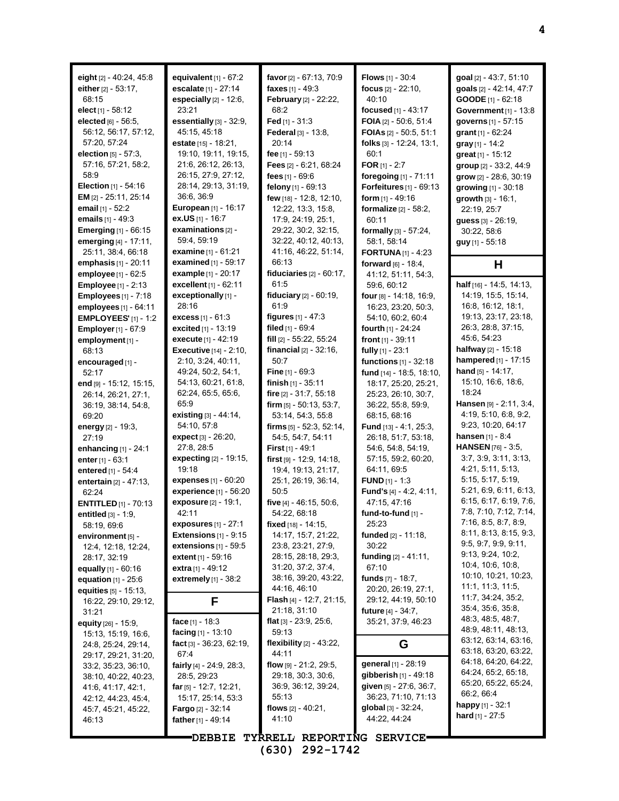| eight [2] - 40:24, 45:8<br>either $[2] - 53.17$ ,<br>68:15<br>elect $[1]$ - 58:12<br><b>elected</b> $[6] - 56:5$<br>56:12, 56:17, 57:12,<br>57:20, 57:24<br>election [5] - 57:3,<br>57:16, 57:21, 58:2,<br>58:9<br><b>Election</b> $[1]$ - 54:16<br><b>EM</b> [2] - 25:11, 25:14<br>email $[1] - 52:2$<br>emails [1] - 49:3<br><b>Emerging</b> $[1]$ - 66:15<br>emerging [4] - 17:11,<br>25:11, 38:4, 66:18 | equivalent $[1]$ - $67:2$<br>escalate [1] - 27:14<br>especially $[2] - 12:6$ ,<br>23:21<br>essentially [3] - 32:9,<br>45:15, 45:18<br>estate [15] - 18:21,<br>19:10, 19:11, 19:15,<br>21:6, 26:12, 26:13,<br>26.15, 27:9, 27:12,<br>28:14, 29:13, 31:19,<br>36.6, 36.9<br><b>European</b> [1] - 16:17<br>ex.US [1] - 16:7<br>examinations [2] -<br>59:4, 59:19<br><b>examine</b> $[1]$ - 61:21 | favor [2] - 67:13, 70:9<br><b>faxes</b> $[1] - 49:3$<br>February [2] - 22:22,<br>68:2<br>Fed [1] - 31:3<br>Federal [3] - 13:8,<br>20:14<br>fee $[1] - 59.13$<br>Fees [2] - 6:21, 68:24<br>fees $[1] - 69.6$<br>felony [1] - 69:13<br>few [18] - 12:8, 12:10,<br>12:22, 13:3, 15:8,<br>17:9, 24:19, 25:1,<br>29:22, 30:2, 32:15,<br>32:22, 40:12, 40:13,<br>41:16, 46:22, 51:14, | <b>Flows</b> $[1] - 30.4$<br>focus $[2] - 22:10$ ,<br>40:10<br>focused $[1] - 43.17$<br>FOIA [2] - 50:6, 51:4<br><b>FOIAs</b> $[2] - 50:5, 51:1$<br>folks [3] - 12:24, 13:1,<br>60:1<br>FOR $[1] - 2:7$<br>foregoing [1] - 71:11<br>Forfeitures [1] - 69:13<br>form $[1] - 49:16$<br><b>formalize</b> $[2] - 58:2$ ,<br>60:11<br>formally [3] - 57:24,<br>58:1, 58:14<br><b>FORTUNA</b> [1] - 4:23 | goal [2] - 43:7, 51:10<br>goals [2] - 42:14, 47:7<br>GOODE [1] - 62:18<br>Government [1] - 13:8<br>governs [1] - 57:15<br>grant $[1] - 62:24$<br>gray $[1]$ - 14:2<br>great [1] - 15:12<br>group [2] - 33:2, 44:9<br>grow [2] - 28:6, 30:19<br>growing [1] - 30:18<br>growth $[3] - 16:1$ ,<br>22:19, 25:7<br>guess [3] - 26:19,<br>30:22, 58:6<br>guy [1] - 55:18 |
|-------------------------------------------------------------------------------------------------------------------------------------------------------------------------------------------------------------------------------------------------------------------------------------------------------------------------------------------------------------------------------------------------------------|------------------------------------------------------------------------------------------------------------------------------------------------------------------------------------------------------------------------------------------------------------------------------------------------------------------------------------------------------------------------------------------------|---------------------------------------------------------------------------------------------------------------------------------------------------------------------------------------------------------------------------------------------------------------------------------------------------------------------------------------------------------------------------------|----------------------------------------------------------------------------------------------------------------------------------------------------------------------------------------------------------------------------------------------------------------------------------------------------------------------------------------------------------------------------------------------------|--------------------------------------------------------------------------------------------------------------------------------------------------------------------------------------------------------------------------------------------------------------------------------------------------------------------------------------------------------------------|
| emphasis $[1] - 20:11$                                                                                                                                                                                                                                                                                                                                                                                      | <b>examined</b> $[1] - 59:17$                                                                                                                                                                                                                                                                                                                                                                  | 66:13                                                                                                                                                                                                                                                                                                                                                                           | forward [6] - 18:4,                                                                                                                                                                                                                                                                                                                                                                                | н                                                                                                                                                                                                                                                                                                                                                                  |
| employee $[1] - 62:5$                                                                                                                                                                                                                                                                                                                                                                                       | example [1] - 20:17<br>excellent [1] - 62:11                                                                                                                                                                                                                                                                                                                                                   | fiduciaries $[2] - 60:17$ ,<br>61:5                                                                                                                                                                                                                                                                                                                                             | 41:12, 51:11, 54:3,                                                                                                                                                                                                                                                                                                                                                                                | half [16] - 14:5, 14:13,                                                                                                                                                                                                                                                                                                                                           |
| <b>Employee</b> [1] - 2:13<br><b>Employees</b> $[1] - 7:18$                                                                                                                                                                                                                                                                                                                                                 | exceptionally [1] -                                                                                                                                                                                                                                                                                                                                                                            | fiduciary [2] - 60:19,                                                                                                                                                                                                                                                                                                                                                          | 59:6, 60:12<br>four [8] - 14:18, 16:9,                                                                                                                                                                                                                                                                                                                                                             | 14:19, 15:5, 15:14,                                                                                                                                                                                                                                                                                                                                                |
| employees [1] - 64:11                                                                                                                                                                                                                                                                                                                                                                                       | 28:16                                                                                                                                                                                                                                                                                                                                                                                          | 61:9                                                                                                                                                                                                                                                                                                                                                                            | 16:23, 23:20, 50:3,                                                                                                                                                                                                                                                                                                                                                                                | 16:8, 16:12, 18:1,                                                                                                                                                                                                                                                                                                                                                 |
| <b>EMPLOYEES'</b> $[1] - 1:2$                                                                                                                                                                                                                                                                                                                                                                               | <b>excess</b> $[1] - 61.3$                                                                                                                                                                                                                                                                                                                                                                     | figures $[1] - 47:3$                                                                                                                                                                                                                                                                                                                                                            | 54:10, 60:2, 60:4                                                                                                                                                                                                                                                                                                                                                                                  | 19:13, 23:17, 23:18,                                                                                                                                                                                                                                                                                                                                               |
| <b>Employer</b> [1] - 67:9                                                                                                                                                                                                                                                                                                                                                                                  | <b>excited</b> $[1]$ - 13:19                                                                                                                                                                                                                                                                                                                                                                   | filed $[1] - 69.4$                                                                                                                                                                                                                                                                                                                                                              | fourth [1] - 24:24                                                                                                                                                                                                                                                                                                                                                                                 | 26:3, 28:8, 37:15,                                                                                                                                                                                                                                                                                                                                                 |
| employment [1] -                                                                                                                                                                                                                                                                                                                                                                                            | execute [1] - 42:19                                                                                                                                                                                                                                                                                                                                                                            | fill [2] - 55:22, 55:24                                                                                                                                                                                                                                                                                                                                                         | front $[1] - 39:11$                                                                                                                                                                                                                                                                                                                                                                                | 45:6, 54:23                                                                                                                                                                                                                                                                                                                                                        |
| 68:13                                                                                                                                                                                                                                                                                                                                                                                                       | <b>Executive</b> $[14] - 2:10$ ,<br>2:10, 3:24, 40:11,                                                                                                                                                                                                                                                                                                                                         | financial $[2] - 32:16$ ,<br>50:7                                                                                                                                                                                                                                                                                                                                               | fully [1] - 23:1<br>functions [1] - 32:18                                                                                                                                                                                                                                                                                                                                                          | halfway [2] - 15:18<br>hampered [1] - 17:15                                                                                                                                                                                                                                                                                                                        |
| encouraged [1] -<br>52:17                                                                                                                                                                                                                                                                                                                                                                                   | 49:24, 50:2, 54:1,                                                                                                                                                                                                                                                                                                                                                                             | Fine [1] - 69:3                                                                                                                                                                                                                                                                                                                                                                 | fund [14] - 18:5, 18:10,                                                                                                                                                                                                                                                                                                                                                                           | hand $[5] - 14:17$ ,                                                                                                                                                                                                                                                                                                                                               |
| end [9] - 15:12, 15:15,                                                                                                                                                                                                                                                                                                                                                                                     | 54:13, 60:21, 61:8,                                                                                                                                                                                                                                                                                                                                                                            | finish $[1]$ - 35:11                                                                                                                                                                                                                                                                                                                                                            | 18:17, 25:20, 25:21,                                                                                                                                                                                                                                                                                                                                                                               | 15:10, 16:6, 18:6,                                                                                                                                                                                                                                                                                                                                                 |
| 26:14, 26:21, 27:1,                                                                                                                                                                                                                                                                                                                                                                                         | 62.24, 65.5, 65.6,                                                                                                                                                                                                                                                                                                                                                                             | fire $[2] - 31:7, 55:18$                                                                                                                                                                                                                                                                                                                                                        | 25:23, 26:10, 30:7,                                                                                                                                                                                                                                                                                                                                                                                | 18:24                                                                                                                                                                                                                                                                                                                                                              |
| 36:19, 38:14, 54:8,                                                                                                                                                                                                                                                                                                                                                                                         | 65.9                                                                                                                                                                                                                                                                                                                                                                                           | firm $[5] - 50.13, 53.7,$                                                                                                                                                                                                                                                                                                                                                       | 36:22, 55:8, 59:9,                                                                                                                                                                                                                                                                                                                                                                                 | Hansen [9] - 2:11, 3:4,                                                                                                                                                                                                                                                                                                                                            |
| 69.20                                                                                                                                                                                                                                                                                                                                                                                                       | <b>existing</b> $[3] - 44:14$ ,<br>54:10, 57:8                                                                                                                                                                                                                                                                                                                                                 | 53:14, 54:3, 55:8                                                                                                                                                                                                                                                                                                                                                               | 68:15, 68:16                                                                                                                                                                                                                                                                                                                                                                                       | 4:19, 5:10, 6:8, 9:2,<br>9:23, 10:20, 64:17                                                                                                                                                                                                                                                                                                                        |
| energy $[2] - 19.3$ ,<br>27:19                                                                                                                                                                                                                                                                                                                                                                              | expect [3] - 26:20,                                                                                                                                                                                                                                                                                                                                                                            | firms [5] - 52.3, 52.14,<br>54:5, 54:7, 54:11                                                                                                                                                                                                                                                                                                                                   | Fund [13] - 4:1, 25:3,<br>26:18, 51:7, 53:18,                                                                                                                                                                                                                                                                                                                                                      | <b>hansen</b> [1] - 8:4                                                                                                                                                                                                                                                                                                                                            |
| enhancing $[1]$ - 24:1                                                                                                                                                                                                                                                                                                                                                                                      | 27:8, 28:5                                                                                                                                                                                                                                                                                                                                                                                     | <b>First</b> $[1] - 49:1$                                                                                                                                                                                                                                                                                                                                                       | 54:6, 54:8, 54:19,                                                                                                                                                                                                                                                                                                                                                                                 | HANSEN [76] - 3:5,                                                                                                                                                                                                                                                                                                                                                 |
| enter $[1] - 63:1$                                                                                                                                                                                                                                                                                                                                                                                          | expecting [2] - 19:15,                                                                                                                                                                                                                                                                                                                                                                         | first [9] - 12.9, 14.18,                                                                                                                                                                                                                                                                                                                                                        | 57:15, 59:2, 60:20,                                                                                                                                                                                                                                                                                                                                                                                | 3.7, 3.9, 3.11, 3.13,                                                                                                                                                                                                                                                                                                                                              |
| entered [1] - 54:4                                                                                                                                                                                                                                                                                                                                                                                          | 19:18                                                                                                                                                                                                                                                                                                                                                                                          | 19:4, 19:13, 21:17,                                                                                                                                                                                                                                                                                                                                                             | 64:11, 69:5                                                                                                                                                                                                                                                                                                                                                                                        | 4.21, 5.11, 5.13,                                                                                                                                                                                                                                                                                                                                                  |
| entertain [2] - 47:13,                                                                                                                                                                                                                                                                                                                                                                                      | <b>expenses</b> $[1] - 60:20$                                                                                                                                                                                                                                                                                                                                                                  | 25:1, 26:19, 36:14,                                                                                                                                                                                                                                                                                                                                                             | <b>FUND</b> $[1] - 1:3$                                                                                                                                                                                                                                                                                                                                                                            | 5:15, 5:17, 5:19,                                                                                                                                                                                                                                                                                                                                                  |
| 62:24                                                                                                                                                                                                                                                                                                                                                                                                       | experience [1] - 56:20<br>exposure [2] - 19:1,                                                                                                                                                                                                                                                                                                                                                 | 50:5                                                                                                                                                                                                                                                                                                                                                                            | <b>Fund's</b> $[4] - 4.2, 4.11,$<br>47:15, 47:16                                                                                                                                                                                                                                                                                                                                                   | 5:21, 6:9, 6:11, 6:13,<br>6:15, 6:17, 6:19, 7:6,                                                                                                                                                                                                                                                                                                                   |
| <b>ENTITLED</b> [1] - 70:13<br>entitled [3] - 1:9,                                                                                                                                                                                                                                                                                                                                                          | 42:11                                                                                                                                                                                                                                                                                                                                                                                          | five [4] - 46:15, 50:6,<br>54:22, 68:18                                                                                                                                                                                                                                                                                                                                         | fund-to-fund [1] -                                                                                                                                                                                                                                                                                                                                                                                 | 7:8, 7:10, 7:12, 7:14,                                                                                                                                                                                                                                                                                                                                             |
| 58:19, 69:6                                                                                                                                                                                                                                                                                                                                                                                                 | <b>exposures</b> $[1] - 27:1$                                                                                                                                                                                                                                                                                                                                                                  | fixed [18] - 14:15,                                                                                                                                                                                                                                                                                                                                                             | 25:23                                                                                                                                                                                                                                                                                                                                                                                              | 7:16, 8:5, 8:7, 8:9,                                                                                                                                                                                                                                                                                                                                               |
| environment [5] -                                                                                                                                                                                                                                                                                                                                                                                           | <b>Extensions</b> $[1]$ - $9:15$                                                                                                                                                                                                                                                                                                                                                               | 14:17, 15:7, 21:22,                                                                                                                                                                                                                                                                                                                                                             | funded $[2] - 11:18$ ,                                                                                                                                                                                                                                                                                                                                                                             | 8:11, 8:13, 8:15, 9:3,                                                                                                                                                                                                                                                                                                                                             |
| 12:4, 12:18, 12:24,                                                                                                                                                                                                                                                                                                                                                                                         | extensions $[1]$ - 59:5                                                                                                                                                                                                                                                                                                                                                                        | 23.8, 23.21, 27:9,                                                                                                                                                                                                                                                                                                                                                              | 30:22                                                                                                                                                                                                                                                                                                                                                                                              | 9.5, 9.7, 9.9, 9.11,                                                                                                                                                                                                                                                                                                                                               |
| 28:17, 32:19                                                                                                                                                                                                                                                                                                                                                                                                | <b>extent</b> [1] - 59:16                                                                                                                                                                                                                                                                                                                                                                      | 28:15, 28:18, 29:3,                                                                                                                                                                                                                                                                                                                                                             | funding [2] - 41:11,                                                                                                                                                                                                                                                                                                                                                                               | 9:13, 9:24, 10:2,<br>10.4, 10.6, 10.8,                                                                                                                                                                                                                                                                                                                             |
| <b>equally</b> [1] - 60:16                                                                                                                                                                                                                                                                                                                                                                                  | extra $[1] - 49:12$<br>extremely $[1]$ - 38:2                                                                                                                                                                                                                                                                                                                                                  | 31:20, 37:2, 37:4,<br>38:16, 39:20, 43:22,                                                                                                                                                                                                                                                                                                                                      | 67:10<br>funds $[7] - 18.7$ ,                                                                                                                                                                                                                                                                                                                                                                      | 10:10, 10:21, 10:23,                                                                                                                                                                                                                                                                                                                                               |
| equation [1] - 25:6<br>equities [5] - 15:13,                                                                                                                                                                                                                                                                                                                                                                |                                                                                                                                                                                                                                                                                                                                                                                                | 44:16, 46:10                                                                                                                                                                                                                                                                                                                                                                    | 20:20, 26:19, 27:1,                                                                                                                                                                                                                                                                                                                                                                                | 11:1, 11:3, 11:5,                                                                                                                                                                                                                                                                                                                                                  |
| 16:22, 29:10, 29:12,                                                                                                                                                                                                                                                                                                                                                                                        | F                                                                                                                                                                                                                                                                                                                                                                                              | Flash [4] - 12:7, 21:15,                                                                                                                                                                                                                                                                                                                                                        | 29:12, 44:19, 50:10                                                                                                                                                                                                                                                                                                                                                                                | 11:7, 34:24, 35:2,                                                                                                                                                                                                                                                                                                                                                 |
| 31:21                                                                                                                                                                                                                                                                                                                                                                                                       |                                                                                                                                                                                                                                                                                                                                                                                                | 21:18, 31:10                                                                                                                                                                                                                                                                                                                                                                    | future [4] - 34:7,                                                                                                                                                                                                                                                                                                                                                                                 | 35.4, 35.6, 35.8,                                                                                                                                                                                                                                                                                                                                                  |
| equity [26] - 15:9,                                                                                                                                                                                                                                                                                                                                                                                         | <b>face</b> [1] - 18:3                                                                                                                                                                                                                                                                                                                                                                         | <b>flat</b> $[3] - 23.9, 25.6,$                                                                                                                                                                                                                                                                                                                                                 | 35:21, 37:9, 46:23                                                                                                                                                                                                                                                                                                                                                                                 | 48:3, 48:5, 48:7,<br>48.9, 48.11, 48.13,                                                                                                                                                                                                                                                                                                                           |
| 15:13, 15:19, 16:6,                                                                                                                                                                                                                                                                                                                                                                                         | facing [1] - 13:10<br>fact $[3]$ - 36:23, 62:19,                                                                                                                                                                                                                                                                                                                                               | 59:13<br>flexibility $[2] - 43.22$ ,                                                                                                                                                                                                                                                                                                                                            |                                                                                                                                                                                                                                                                                                                                                                                                    | 63:12, 63:14, 63:16,                                                                                                                                                                                                                                                                                                                                               |
| 24:8, 25:24, 29:14,<br>29:17, 29:21, 31:20,                                                                                                                                                                                                                                                                                                                                                                 | 67:4                                                                                                                                                                                                                                                                                                                                                                                           | 44:11                                                                                                                                                                                                                                                                                                                                                                           | G                                                                                                                                                                                                                                                                                                                                                                                                  | 63:18, 63:20, 63:22,                                                                                                                                                                                                                                                                                                                                               |
| 33:2, 35:23, 36:10,                                                                                                                                                                                                                                                                                                                                                                                         | fairly $[4]$ - 24.9, 28.3,                                                                                                                                                                                                                                                                                                                                                                     | flow $[9] - 21:2, 29:5,$                                                                                                                                                                                                                                                                                                                                                        | general [1] - 28:19                                                                                                                                                                                                                                                                                                                                                                                | 64:18, 64:20, 64:22,                                                                                                                                                                                                                                                                                                                                               |
| 38:10, 40:22, 40:23,                                                                                                                                                                                                                                                                                                                                                                                        | 28:5, 29:23                                                                                                                                                                                                                                                                                                                                                                                    | 29:18, 30:3, 30:6,                                                                                                                                                                                                                                                                                                                                                              | gibberish [1] - 49:18                                                                                                                                                                                                                                                                                                                                                                              | 64:24, 65:2, 65:18,                                                                                                                                                                                                                                                                                                                                                |
| 41.6, 41.17, 42.1,                                                                                                                                                                                                                                                                                                                                                                                          | far $[5]$ - 12:7, 12:21,                                                                                                                                                                                                                                                                                                                                                                       | 36:9, 36:12, 39:24,                                                                                                                                                                                                                                                                                                                                                             | given [5] - 27:6, 36:7,                                                                                                                                                                                                                                                                                                                                                                            | 65:20, 65:22, 65:24,<br>66.2, 66.4                                                                                                                                                                                                                                                                                                                                 |
| 42:12, 44:23, 45:4,                                                                                                                                                                                                                                                                                                                                                                                         | 15:17, 25:14, 53:3                                                                                                                                                                                                                                                                                                                                                                             | 55:13                                                                                                                                                                                                                                                                                                                                                                           | 36:23, 71:10, 71:13                                                                                                                                                                                                                                                                                                                                                                                | happy $[1] - 32:1$                                                                                                                                                                                                                                                                                                                                                 |
| 45:7, 45:21, 45:22,                                                                                                                                                                                                                                                                                                                                                                                         | <b>Fargo</b> [2] - 32:14                                                                                                                                                                                                                                                                                                                                                                       | flows $[2] - 40:21$ ,<br>41:10                                                                                                                                                                                                                                                                                                                                                  | global $[3] - 32:24$ ,<br>44.22, 44.24                                                                                                                                                                                                                                                                                                                                                             | <b>hard</b> $[1]$ - 27:5                                                                                                                                                                                                                                                                                                                                           |
| 46:13                                                                                                                                                                                                                                                                                                                                                                                                       | father [1] - 49:14                                                                                                                                                                                                                                                                                                                                                                             |                                                                                                                                                                                                                                                                                                                                                                                 |                                                                                                                                                                                                                                                                                                                                                                                                    |                                                                                                                                                                                                                                                                                                                                                                    |
|                                                                                                                                                                                                                                                                                                                                                                                                             | <b>DEBBIE</b>                                                                                                                                                                                                                                                                                                                                                                                  | TYRRELL REPORTING SERVICE                                                                                                                                                                                                                                                                                                                                                       |                                                                                                                                                                                                                                                                                                                                                                                                    |                                                                                                                                                                                                                                                                                                                                                                    |

**4**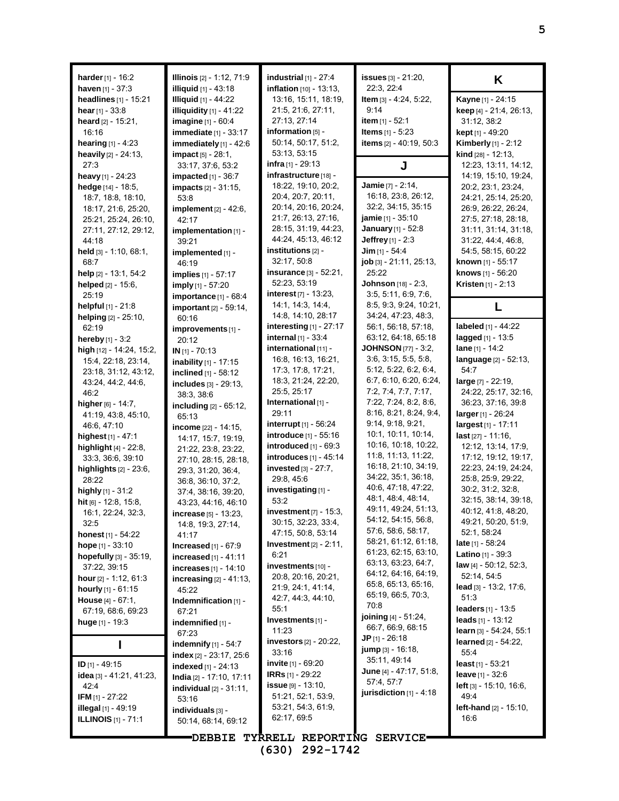| <b>harder</b> [1] - 16:2<br>haven [1] - 37:3             | Illinois [2] - 1:12, 71:9<br><b>illiquid</b> [1] - 43:18 | industrial $[1]$ - 27:4<br>inflation [10] - 13:13, | issues [3] - 21:20,<br>22.3, 22.4           | K                                                         |
|----------------------------------------------------------|----------------------------------------------------------|----------------------------------------------------|---------------------------------------------|-----------------------------------------------------------|
| <b>headlines</b> $[1]$ - 15:21                           | <b>Illiquid</b> [1] - 44:22                              | 13:16, 15:11, 18:19,                               | Item [3] - 4:24, 5:22,                      | Kayne [1] - 24:15                                         |
| hear $[1] - 33:8$                                        | illiquidity $[1] - 41.22$                                | 21:5, 21:6, 27:11,                                 | 9:14                                        | keep [4] - 21:4, 26:13,                                   |
| <b>heard</b> $[2] - 15.21$ ,                             | imagine [1] - 60:4                                       | 27:13, 27:14                                       | item $[1] - 52:1$                           | 31:12, 38:2                                               |
| 16:16                                                    | immediate [1] - 33:17                                    | information [5] -                                  | <b>Items</b> $[1] - 5:23$                   | kept [1] - 49:20                                          |
| <b>hearing</b> $[1] - 4:23$                              | immediately $[1]$ - 42:6                                 | 50:14, 50:17, 51:2,                                | items [2] - 40:19, 50:3                     | <b>Kimberly</b> [1] - 2:12                                |
| heavily [2] - 24:13,                                     | impact [5] - 28:1,                                       | 53:13, 53:15                                       |                                             | kind [28] - 12:13,                                        |
| 27:3                                                     | 33:17, 37:6, 53:2                                        | <b>infra</b> [1] - 29:13                           | J                                           | 12:23, 13:11, 14:12,                                      |
| heavy $[1]$ - 24:23                                      | impacted $[1]$ - 36:7                                    | infrastructure [18] -                              |                                             | 14:19, 15:10, 19:24,                                      |
| hedge [14] - 18:5,                                       | <b>impacts</b> [2] - 31:15,                              | 18:22, 19:10, 20:2,                                | Jamie [7] - 2:14,                           | 20:2, 23:1, 23:24,                                        |
| 18:7, 18:8, 18:10,                                       | 53:8                                                     | 20:4, 20:7, 20:11,                                 | 16:18, 23:8, 26:12,                         | 24:21, 25:14, 25:20,                                      |
| 18:17, 21:6, 25:20,                                      | implement [2] - 42:6,                                    | 20:14, 20:16, 20:24,                               | 32:2, 34:15, 35:15                          | 26:9, 26:22, 26:24,                                       |
| 25:21, 25:24, 26:10,                                     | 42:17                                                    | 21:7, 26:13, 27:16,                                | <b>jamie</b> [1] - 35:10                    | 27:5, 27:18, 28:18,                                       |
| 27:11, 27:12, 29:12,                                     | implementation [1] -                                     | 28:15, 31:19, 44:23,                               | <b>January</b> [1] - 52:8                   | 31:11, 31:14, 31:18,                                      |
| 44:18                                                    | 39:21                                                    | 44:24, 45:13, 46:12                                | <b>Jeffrey</b> $[1] - 2:3$                  | 31:22, 44:4, 46:8,                                        |
| held $[3] - 1:10, 68:1,$                                 | implemented [1] -                                        | institutions [2] -                                 | Jim $[1] - 54:4$                            | 54:5, 58:15, 60:22                                        |
| 68.7                                                     | 46:19                                                    | 32:17, 50:8                                        | job [3] - 21:11, 25:13,                     | <b>known</b> [1] - 55:17                                  |
| help $[2]$ - 13:1, 54:2                                  | <b>implies</b> [1] - 57:17                               | insurance $[3] - 52:21$ ,                          | 25:22                                       | knows [1] - 56:20                                         |
| helped $[2] - 15.6$ ,                                    | imply [1] - 57:20                                        | 52:23, 53:19                                       | Johnson [18] - 2:3,                         | <b>Kristen</b> $[1] - 2:13$                               |
| 25:19                                                    | importance $[1]$ - $68:4$                                | interest $[7] - 13:23$ ,                           | 3:5, 5:11, 6:9, 7:6,                        |                                                           |
| <b>helpful</b> $[1]$ - 21:8                              | <b>important</b> $[2] - 59:14$ ,                         | 14:1, 14:3, 14:4,                                  | 8:5, 9:3, 9:24, 10:21,                      | L                                                         |
| helping [2] - 25:10,                                     | 60:16                                                    | 14:8, 14:10, 28:17                                 | 34:24, 47:23, 48:3,                         |                                                           |
| 62:19                                                    | improvements [1] -                                       | interesting $[1]$ - 27:17                          | 56:1, 56:18, 57:18,                         | labeled [1] - 44:22                                       |
| hereby [1] - 3:2                                         | 20:12                                                    | internal [1] - 33:4                                | 63.12, 64.18, 65.18                         | lagged [1] - 13:5                                         |
| high [12] - 14:24, 15:2,                                 | $IN$ [1] - 70:13                                         | international [11] -                               | <b>JOHNSON</b> [77] - 3:2,                  | lane $[1] - 14:2$                                         |
| 15:4, 22:18, 23:14,                                      | inability [1] - 17:15                                    | 16:8, 16:13, 16:21,                                | 3.6, 3.15, 5.5, 5.8,                        | language [2] - 52:13,                                     |
| 23:18, 31:12, 43:12,                                     | inclined [1] - 58:12                                     | 17:3, 17:8, 17:21,                                 | 5:12, 5:22, 6:2, 6:4,                       | 54:7                                                      |
| 43:24, 44:2, 44:6,                                       | includes [3] - 29:13,                                    | 18:3, 21:24, 22:20,                                | 6:7, 6:10, 6:20, 6:24,                      | large [7] - 22:19,                                        |
| 46:2                                                     | 38.3, 38.6                                               | 25:5, 25:17                                        | 7:2, 7:4, 7:7, 7:17,                        | 24:22, 25:17, 32:16,                                      |
| higher $[6] - 14.7$ ,                                    | including [2] - 65:12,                                   | International [1] -                                | 7:22, 7:24, 8:2, 8:6,                       | 36:23, 37:16, 39:8                                        |
| 41:19, 43:8, 45:10,                                      | 65:13                                                    | 29:11                                              | 8:16, 8:21, 8:24, 9:4,                      | $larger_{[1]} - 26:24$                                    |
| 46.6, 47:10                                              | income [22] - 14:15,                                     | interrupt [1] - 56:24                              | 9:14, 9:18, 9:21,                           | largest [1] - 17:11                                       |
| highest $[1] - 47:1$                                     | 14:17, 15:7, 19:19,                                      | introduce [1] - 55:16                              | 10:1, 10:11, 10:14,                         | last [27] - 11:16,                                        |
| <b>highlight</b> $[4]$ - 22:8,                           | 21:22, 23:8, 23:22,                                      | introduced $[1]$ - $69:3$                          | 10:16, 10:18, 10:22,                        | 12:12, 13:14, 17:9,                                       |
| 33:3, 36:6, 39:10                                        | 27:10, 28:15, 28:18,                                     | introduces [1] - 45:14                             | 11:8, 11:13, 11:22,                         | 17:12, 19:12, 19:17,                                      |
| highlights [2] - 23:6,                                   | 29:3, 31:20, 36:4,                                       | invested $[3] - 27:7$ ,                            | 16:18, 21:10, 34:19,                        | 22:23, 24:19, 24:24,                                      |
| 28:22                                                    | 36:8, 36:10, 37:2,                                       | 29:8, 45:6                                         | 34:22, 35:1, 36:18,                         | 25.8, 25.9, 29.22,                                        |
| highly [1] - 31:2                                        | 37:4, 38:16, 39:20,                                      | investigating [1] -                                | 40:6, 47:18, 47:22,                         | 30:2, 31:2, 32:8,                                         |
| hit [6] - 12:8, 15:8,                                    | 43:23, 44:16, 46:10                                      | 53:2                                               | 48:1, 48:4, 48:14,                          | 32:15, 38:14, 39:18,                                      |
| 16:1, 22:24, 32:3,                                       | <b>increase</b> $[5] - 13:23$                            | investment [7] - 15:3,                             | 49:11, 49:24, 51:13,                        | 40:12, 41:8, 48:20,                                       |
| 32:5                                                     | 14:8, 19:3, 27:14,                                       | 30:15, 32:23, 33:4,                                | 54:12, 54:15, 56:8,                         | 49:21, 50:20, 51:9,                                       |
| <b>honest</b> $[1] - 54:22$                              | 41:17                                                    | 47:15, 50:8, 53:14                                 | 57:6, 58:6, 58:17,                          | 52:1, 58:24                                               |
| <b>hope</b> $[1] - 33:10$                                | Increased $[1]$ - $67:9$                                 | Investment $[2] - 2:11$ ,                          | 58:21, 61:12, 61:18,                        | <b>late</b> [1] - 58:24                                   |
| hopefully $[3] - 35:19$ ,                                | increased $[1] - 41:11$                                  | 6:21                                               | 61:23, 62:15, 63:10,                        | Latino [1] - 39:3                                         |
| 37:22, 39:15                                             | increases $[1]$ - 14:10                                  | investments [10] -                                 | 63.13, 63.23, 64.7,<br>64:12, 64:16, 64:19, | law [4] - 50:12, 52:3,                                    |
| hour $[2] - 1:12, 61:3$                                  | increasing $[2] - 41:13$ ,                               | 20:8, 20:16, 20:21,                                | 65.8, 65.13, 65.16,                         | 52:14, 54:5                                               |
| hourly $[1] - 61:15$                                     | 45:22                                                    | 21.9, 24.1, 41.14,                                 | 65:19, 66:5, 70:3,                          | $\text{lead}$ [3] - 13:2, 17:6,                           |
| <b>House</b> $[4] - 67:1$ ,                              | Indemnification [1] -                                    | 42.7, 44.3, 44.10,                                 | 70:8                                        | 51:3                                                      |
| 67:19, 68:6, 69:23                                       | 67:21                                                    | 55:1                                               | joining [4] - 51:24,                        | <b>leaders</b> $[1] - 13.5$                               |
| huge $[1] - 19:3$                                        | indemnified [1] -                                        | Investments [1] -<br>11:23                         | 66:7, 66:9, 68:15                           | leads $[1] - 13:12$                                       |
|                                                          | 67:23                                                    | <b>investors</b> $[2] - 20:22$ ,                   | <b>JP</b> $[1] - 26:18$                     | learn [3] - 54:24, 55:1<br><b>learned</b> $[2] - 54:22$ , |
|                                                          | indemnify $[1]$ - 54:7                                   |                                                    | jump [3] - 16:18,                           |                                                           |
|                                                          | index $[2] - 23.17, 25.6$                                | 33:16<br><b>invite</b> $[1]$ - 69:20               | 35.11, 49.14                                | 55:4<br>least $[1]$ - 53:21                               |
| ID $[1] - 49:15$                                         | indexed $[1] - 24:13$                                    | <b>IRRs</b> [1] - 29:22                            | June $[4] - 47:17, 51:8,$                   | leave $[1] - 32:6$                                        |
| idea [3] - 41:21, 41:23,                                 | India [2] - 17:10, 17:11                                 | <b>issue</b> $[9] - 13:10$ ,                       | 57:4, 57:7                                  | left [3] - 15:10, 16:6,                                   |
| 42:4                                                     | <b>individual</b> $[2] - 31:11$ ,                        | 51:21, 52:1, 53:9,                                 | jurisdiction $[1]$ - 4:18                   | 49.4                                                      |
| <b>IFM</b> $[1]$ - 27:22<br><b>illegal</b> $[1]$ - 49:19 | 53:16                                                    | 53:21, 54:3, 61:9,                                 |                                             | <b>left-hand</b> $[2] - 15:10$ ,                          |
| <b>ILLINOIS</b> $[1]$ - 71:1                             | individuals [3] -                                        | 62:17, 69:5                                        |                                             | 16:6                                                      |
|                                                          | 50:14, 68:14, 69:12                                      |                                                    |                                             |                                                           |
|                                                          | <b>DEBBIE</b>                                            | TYRRELL REPORTING SERVICE.                         |                                             |                                                           |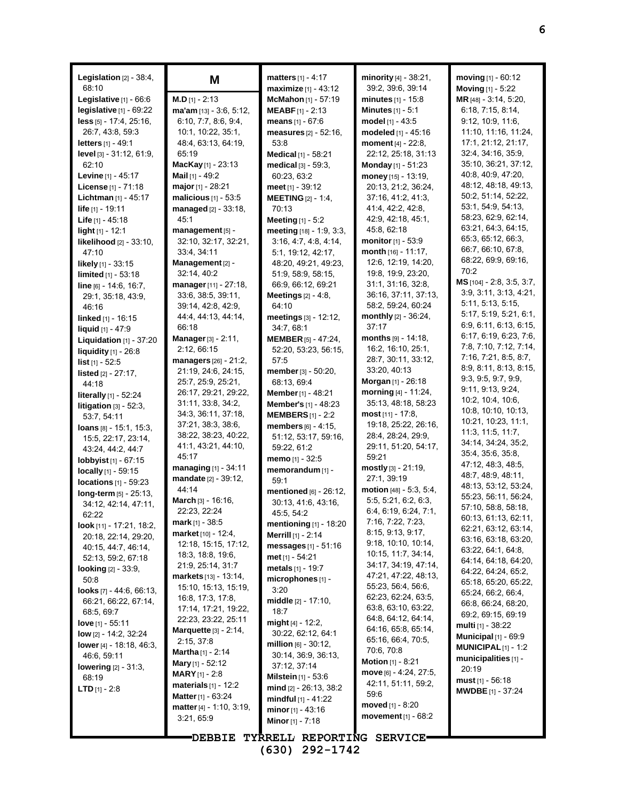| maximize [1] - 43:12<br>Moving [1] - 5:22<br>MR [48] - 3:14, 5:20,<br>Legislative $[1]$ - 66:6<br>$M.D$ [1] - 2:13<br>McMahon [1] - 57:19<br><b>minutes</b> $[1]$ - 15:8<br><b>Minutes</b> $[1] - 5:1$<br>6:18, 7:15, 8:14,<br>legislative $[1]$ - $69:22$<br>ma'am [13] - 3:6, 5:12,<br><b>MEABF</b> $[1] - 2:13$<br>less [5] - 17:4, 25:16,<br>6:10, 7:7, 8:6, 9:4,<br>model [1] - 43:5<br>9:12, 10:9, 11:6,<br>means $[1] - 67:6$<br>11:10, 11:16, 11:24,<br>modeled [1] - 45:16<br>26:7, 43:8, 59:3<br>10:1, 10:22, 35:1,<br>measures [2] - 52:16,<br>17:1, 21:12, 21:17,<br>48.4, 63.13, 64.19,<br>moment [4] - 22:8,<br><b>letters</b> $[1] - 49:1$<br>53:8<br>32.4, 34.16, 35.9,<br>65:19<br>level [3] - 31:12, 61:9,<br>Medical [1] - 58:21<br>22.12, 25.18, 31.13<br>35:10, 36:21, 37:12,<br>62:10<br>MacKay [1] - 23:13<br>medical [3] - 59:3,<br><b>Monday</b> [1] - 51:23<br>40.8, 40.9, 47.20,<br>Mail $[1]$ - 49:2<br><b>Levine</b> $[1] - 45:17$<br>60:23, 63:2<br>money $[15] - 13:19$ ,<br>48:12, 48:18, 49:13,<br>major [1] - 28:21<br>20:13, 21:2, 36:24,<br>License [1] - 71:18<br>meet $[1] - 39:12$<br>50.2, 51.14, 52.22,<br>Lichtman [1] - 45:17<br>malicious [1] - 53:5<br><b>MEETING</b> [2] - 1:4,<br>37:16, 41:2, 41:3,<br>53:1, 54:9, 54:13,<br>41:4, 42:2, 42:8,<br>life [1] - 19:11<br>managed [2] - 33:18,<br>70:13<br>58:23, 62:9, 62:14,<br>45:1<br>42.9, 42.18, 45.1,<br><b>Life</b> $[1] - 45.18$<br><b>Meeting</b> $[1] - 5:2$<br>63:21, 64:3, 64:15,<br>45:8, 62:18<br>management [5] -<br>meeting $[18] - 1.9, 3.3$ ,<br><b>light</b> $[1]$ - 12:1<br>65:3, 65:12, 66:3,<br>monitor [1] - 53:9<br>32:10, 32:17, 32:21,<br>3.16, 4.7, 4.8, 4.14,<br><b>likelihood</b> $[2] - 33:10$ ,<br>66:7, 66:10, 67:8,<br>month $[16] - 11:17$ ,<br>33:4, 34:11<br>5:1, 19:12, 42:17,<br>47:10<br>68:22, 69:9, 69:16,<br>12.6, 12.19, 14:20,<br>Management [2] -<br>48:20, 49:21, 49:23,<br><b>likely</b> $[1]$ - 33:15<br>70:2<br>19:8, 19:9, 23:20,<br>32:14, 40:2<br>51:9, 58:9, 58:15,<br>limited [1] - 53:18<br>$MS$ [104] - 2.8, 3.5, 3.7,<br>31:1, 31:16, 32:8,<br>66:9, 66:12, 69:21<br>manager [11] - 27:18,<br>$line_{[6]} - 14.6, 16.7,$<br>3.9, 3.11, 3.13, 4.21,<br>36:16, 37:11, 37:13,<br>33.6, 38.5, 39.11,<br>Meetings $[2] - 4.8$ ,<br>29:1, 35:18, 43:9,<br>5:11, 5:13, 5:15,<br>58:2, 59:24, 60:24<br>39:14, 42:8, 42:9,<br>64:10<br>46:16<br>5:17, 5:19, 5:21, 6:1,<br>monthly $[2] - 36:24$ ,<br>44 4, 44 13, 44 14,<br>meetings [3] - 12:12,<br>linked [1] - 16:15<br>6:9, 6:11, 6:13, 6:15,<br>37:17<br>66:18<br>34:7, 68:1<br>liquid [1] - 47:9<br>6:17, 6:19, 6:23, 7:6,<br>months [9] - 14:18.<br><b>Manager</b> $[3] - 2:11$ ,<br><b>MEMBER</b> [5] - 47:24,<br>Liquidation $[1]$ - 37:20<br>7:8, 7:10, 7:12, 7:14,<br>16:2, 16:10, 25:1,<br>2:12, 66:15<br>52:20, 53:23, 56:15,<br>liquidity [1] - 26:8<br>7:16, 7:21, 8:5, 8:7,<br>28:7, 30:11, 33:12,<br>managers [26] - 21:2,<br>57:5<br>list $[1] - 52.5$<br>8:9, 8:11, 8:13, 8:15,<br>33:20, 40:13<br>21:19, 24:6, 24:15,<br>member [3] - 50:20,<br>listed [2] - 27:17,<br>9:3, 9:5, 9:7, 9:9,<br>Morgan [1] - 26:18<br>25.7, 25.9, 25.21,<br>68:13, 69:4<br>44:18<br>9:11, 9:13, 9:24,<br>morning [4] - 11:24,<br>26:17, 29:21, 29:22,<br><b>Member</b> [1] - 48:21<br><b>literally</b> $[1]$ - 52:24<br>10.2, 10.4, 10.6,<br>35:13, 48:18, 58:23<br>31:11, 33:8, 34:2,<br><b>Member's</b> [1] - 48:23<br>litigation $[3] - 52:3$ ,<br>10:8, 10:10, 10:13,<br>34: 3, 36: 11, 37: 18,<br><b>most</b> [11] - 17:8,<br><b>MEMBERS</b> $[1] - 2:2$<br>53:7, 54:11<br>10:21, 10:23, 11:1,<br>37:21, 38:3, 38:6,<br>19:18, 25:22, 26:16,<br>members $[6] - 4:15$ ,<br><b>loans</b> $[8] - 15:1, 15:3,$<br>11:3, 11:5, 11:7,<br>38:22, 38:23, 40:22,<br>28:4, 28:24, 29:9,<br>51:12, 53:17, 59:16,<br>15:5, 22:17, 23:14,<br>34:14, 34:24, 35:2,<br>41:1, 43:21, 44:10,<br>29:11, 51:20, 54:17,<br>59:22, 61:2<br>43.24, 44.2, 44.7<br>35:4, 35:6, 35:8,<br>45:17<br>59:21<br>memo [1] - 32:5<br><b>lobbyist</b> $[1] - 67:15$<br>47:12, 48:3, 48:5,<br>managing [1] - 34:11<br>$mostly$ [3] - 21:19,<br>memorandum [1] -<br>locally $[1]$ - 59:15<br>48.7, 48.9, 48.11,<br>mandate [2] - 39:12,<br>27:1, 39:19<br>59:1<br>locations $[1]$ - 59:23<br>48:13, 53:12, 53:24,<br>44:14<br>motion [48] - 5:3, 5:4,<br>mentioned [6] - 26:12,<br>$long-term$ [5] - 25:13,<br>55:23, 56:11, 56:24,<br>March [3] - 16:16,<br>5.5, 5.21, 6.2, 6.3,<br>30:13, 41:6, 43:16,<br>34:12, 42:14, 47:11,<br>57:10, 58:8, 58:18,<br>6.4, 6.19, 6.24, 7.1,<br>22.23, 22.24<br>45:5, 54:2<br>62:22<br>60:13, 61:13, 62:11,<br>mark [1] - 38:5<br>7:16, 7:22, 7:23,<br>mentioning $[1]$ - 18:20<br>look [11] - 17:21, 18:2,<br>62:21, 63:12, 63:14,<br>8:15, 9:13, 9:17,<br>market [10] - 12:4,<br><b>Merrill</b> [1] - 2:14<br>20:18, 22:14, 29:20,<br>63:16, 63:18, 63:20,<br>9:18, 10:10, 10:14,<br>12:18, 15:15, 17:12,<br>messages $[1] - 51:16$<br>40:15, 44:7, 46:14,<br>63.22, 64:1, 64:8,<br>10.15, 11.7, 34.14,<br>18.3, 18.8, 19.6,<br>met $[1] - 54.21$<br>52:13, 59:2, 67:18<br>64:14, 64:18, 64:20,<br>34:17, 34:19, 47:14,<br>21.9, 25.14, 31.7<br>metals [1] - 19:7<br><b>looking</b> [2] - 33:9,<br>64.22, 64.24, 65.2,<br>47:21, 47:22, 48:13,<br><b>markets</b> $[13] - 13:14$ ,<br>microphones [1] -<br>50:8<br>65:18, 65:20, 65:22,<br>55:23, 56:4, 56:6,<br>15:10, 15:13, 15:19,<br>3:20<br><b>looks</b> $[7]$ - 44:6, 66:13,<br>65.24, 66.2, 66.4,<br>62:23, 62:24, 63.5,<br>16:8, 17:3, 17:8,<br>middle [2] - 17:10,<br>66:21, 66:22, 67:14,<br>66.8, 66.24, 68.20,<br>63.8, 63.10, 63.22,<br>17:14, 17:21, 19:22,<br>18:7<br>68:5, 69:7<br>69.2, 69.15, 69.19<br>64.8, 64.12, 64.14,<br>22:23, 23:22, 25:11<br>$might$ [4] - 12:2,<br><b>love</b> $[1]$ - 55:11<br><b>multi</b> [1] - 38:22<br>64:16, 65:8, 65:14,<br>Marquette [3] - 2:14,<br>30:22, 62:12, 64:1<br>low $[2] - 14.2$ , 32:24<br>Municipal $[1]$ - 69:9<br>65:16, 66:4, 70:5,<br>2:15, 37:8<br>million $[6] - 30:12$ ,<br>lower [4] - 18:18, 46:3,<br><b>MUNICIPAL</b> $[1]$ - 1:2<br>70.6, 70.8<br><b>Martha</b> $[1] - 2:14$<br>30:14, 36:9, 36:13,<br>46:6, 59:11<br>municipalities [1] -<br>Motion [1] - 8:21<br><b>Mary</b> [1] - 52:12<br>37:12, 37:14<br><b>lowering</b> $[2] - 31:3$ ,<br>20:19<br>move [6] - 4:24, 27:5,<br><b>MARY</b> [1] - 2:8<br><b>Milstein</b> $[1]$ - 53:6<br>68:19<br><b>must</b> $[1] - 56:18$<br>42:11, 51:11, 59:2,<br>materials $[1]$ - 12:2<br>$mid$ [2] - 26:13, 38:2<br><b>LTD</b> $[1] - 2.8$<br><b>MWDBE</b> $[1] - 37:24$<br>59:6<br><b>Matter</b> [1] - $63.24$<br><b>mindful</b> $[1] - 41:22$<br>moved [1] - 8:20<br>matter [4] - 1:10, 3:19,<br>minor $[1] - 43:16$<br>movement $[1] - 68:2$<br>3:21,65:9<br><b>Minor</b> $[1]$ - 7:18<br>TYRRELL REPORTING SERVICE<br><b>DEBBIE</b> | <b>Legislation</b> $[2] - 38:4$ ,<br>68:10 | Μ | <b>matters</b> $[1] - 4:17$ | minority [4] - 38:21,<br>39:2, 39:6, 39:14 | moving $[1] - 60:12$ |
|------------------------------------------------------------------------------------------------------------------------------------------------------------------------------------------------------------------------------------------------------------------------------------------------------------------------------------------------------------------------------------------------------------------------------------------------------------------------------------------------------------------------------------------------------------------------------------------------------------------------------------------------------------------------------------------------------------------------------------------------------------------------------------------------------------------------------------------------------------------------------------------------------------------------------------------------------------------------------------------------------------------------------------------------------------------------------------------------------------------------------------------------------------------------------------------------------------------------------------------------------------------------------------------------------------------------------------------------------------------------------------------------------------------------------------------------------------------------------------------------------------------------------------------------------------------------------------------------------------------------------------------------------------------------------------------------------------------------------------------------------------------------------------------------------------------------------------------------------------------------------------------------------------------------------------------------------------------------------------------------------------------------------------------------------------------------------------------------------------------------------------------------------------------------------------------------------------------------------------------------------------------------------------------------------------------------------------------------------------------------------------------------------------------------------------------------------------------------------------------------------------------------------------------------------------------------------------------------------------------------------------------------------------------------------------------------------------------------------------------------------------------------------------------------------------------------------------------------------------------------------------------------------------------------------------------------------------------------------------------------------------------------------------------------------------------------------------------------------------------------------------------------------------------------------------------------------------------------------------------------------------------------------------------------------------------------------------------------------------------------------------------------------------------------------------------------------------------------------------------------------------------------------------------------------------------------------------------------------------------------------------------------------------------------------------------------------------------------------------------------------------------------------------------------------------------------------------------------------------------------------------------------------------------------------------------------------------------------------------------------------------------------------------------------------------------------------------------------------------------------------------------------------------------------------------------------------------------------------------------------------------------------------------------------------------------------------------------------------------------------------------------------------------------------------------------------------------------------------------------------------------------------------------------------------------------------------------------------------------------------------------------------------------------------------------------------------------------------------------------------------------------------------------------------------------------------------------------------------------------------------------------------------------------------------------------------------------------------------------------------------------------------------------------------------------------------------------------------------------------------------------------------------------------------------------------------------------------------------------------------------------------------------------------------------------------------------------------------------------------------------------------------------------------------------------------------------------------------------------------------------------------------------------------------------------------------------------------------------------------------------------------------------------------------------------------------------------------------------------------------------------------------------------------------------------------------------------------------------------------------------------------------------------------------------------------------------------------------------------------------------------------------------------------------------------------------------------------------------------------------------------------------------------------------------------------------------------------------------------------------------------------------------------------------------------------------------------------------------------------------------------------------------------------------------------------------------------------------------------------------------------------------------------------------------------------------------------------------------------------------------------------------------------------------------------------------------------------------------------------------------------------------------------------------------------------|--------------------------------------------|---|-----------------------------|--------------------------------------------|----------------------|
|                                                                                                                                                                                                                                                                                                                                                                                                                                                                                                                                                                                                                                                                                                                                                                                                                                                                                                                                                                                                                                                                                                                                                                                                                                                                                                                                                                                                                                                                                                                                                                                                                                                                                                                                                                                                                                                                                                                                                                                                                                                                                                                                                                                                                                                                                                                                                                                                                                                                                                                                                                                                                                                                                                                                                                                                                                                                                                                                                                                                                                                                                                                                                                                                                                                                                                                                                                                                                                                                                                                                                                                                                                                                                                                                                                                                                                                                                                                                                                                                                                                                                                                                                                                                                                                                                                                                                                                                                                                                                                                                                                                                                                                                                                                                                                                                                                                                                                                                                                                                                                                                                                                                                                                                                                                                                                                                                                                                                                                                                                                                                                                                                                                                                                                                                                                                                                                                                                                                                                                                                                                                                                                                                                                                                                                                                                                                                                                                                                                                                                                                                                                                                                                                                                                                                                                                                  |                                            |   |                             |                                            |                      |
|                                                                                                                                                                                                                                                                                                                                                                                                                                                                                                                                                                                                                                                                                                                                                                                                                                                                                                                                                                                                                                                                                                                                                                                                                                                                                                                                                                                                                                                                                                                                                                                                                                                                                                                                                                                                                                                                                                                                                                                                                                                                                                                                                                                                                                                                                                                                                                                                                                                                                                                                                                                                                                                                                                                                                                                                                                                                                                                                                                                                                                                                                                                                                                                                                                                                                                                                                                                                                                                                                                                                                                                                                                                                                                                                                                                                                                                                                                                                                                                                                                                                                                                                                                                                                                                                                                                                                                                                                                                                                                                                                                                                                                                                                                                                                                                                                                                                                                                                                                                                                                                                                                                                                                                                                                                                                                                                                                                                                                                                                                                                                                                                                                                                                                                                                                                                                                                                                                                                                                                                                                                                                                                                                                                                                                                                                                                                                                                                                                                                                                                                                                                                                                                                                                                                                                                                                  |                                            |   |                             |                                            |                      |
|                                                                                                                                                                                                                                                                                                                                                                                                                                                                                                                                                                                                                                                                                                                                                                                                                                                                                                                                                                                                                                                                                                                                                                                                                                                                                                                                                                                                                                                                                                                                                                                                                                                                                                                                                                                                                                                                                                                                                                                                                                                                                                                                                                                                                                                                                                                                                                                                                                                                                                                                                                                                                                                                                                                                                                                                                                                                                                                                                                                                                                                                                                                                                                                                                                                                                                                                                                                                                                                                                                                                                                                                                                                                                                                                                                                                                                                                                                                                                                                                                                                                                                                                                                                                                                                                                                                                                                                                                                                                                                                                                                                                                                                                                                                                                                                                                                                                                                                                                                                                                                                                                                                                                                                                                                                                                                                                                                                                                                                                                                                                                                                                                                                                                                                                                                                                                                                                                                                                                                                                                                                                                                                                                                                                                                                                                                                                                                                                                                                                                                                                                                                                                                                                                                                                                                                                                  |                                            |   |                             |                                            |                      |
|                                                                                                                                                                                                                                                                                                                                                                                                                                                                                                                                                                                                                                                                                                                                                                                                                                                                                                                                                                                                                                                                                                                                                                                                                                                                                                                                                                                                                                                                                                                                                                                                                                                                                                                                                                                                                                                                                                                                                                                                                                                                                                                                                                                                                                                                                                                                                                                                                                                                                                                                                                                                                                                                                                                                                                                                                                                                                                                                                                                                                                                                                                                                                                                                                                                                                                                                                                                                                                                                                                                                                                                                                                                                                                                                                                                                                                                                                                                                                                                                                                                                                                                                                                                                                                                                                                                                                                                                                                                                                                                                                                                                                                                                                                                                                                                                                                                                                                                                                                                                                                                                                                                                                                                                                                                                                                                                                                                                                                                                                                                                                                                                                                                                                                                                                                                                                                                                                                                                                                                                                                                                                                                                                                                                                                                                                                                                                                                                                                                                                                                                                                                                                                                                                                                                                                                                                  |                                            |   |                             |                                            |                      |
|                                                                                                                                                                                                                                                                                                                                                                                                                                                                                                                                                                                                                                                                                                                                                                                                                                                                                                                                                                                                                                                                                                                                                                                                                                                                                                                                                                                                                                                                                                                                                                                                                                                                                                                                                                                                                                                                                                                                                                                                                                                                                                                                                                                                                                                                                                                                                                                                                                                                                                                                                                                                                                                                                                                                                                                                                                                                                                                                                                                                                                                                                                                                                                                                                                                                                                                                                                                                                                                                                                                                                                                                                                                                                                                                                                                                                                                                                                                                                                                                                                                                                                                                                                                                                                                                                                                                                                                                                                                                                                                                                                                                                                                                                                                                                                                                                                                                                                                                                                                                                                                                                                                                                                                                                                                                                                                                                                                                                                                                                                                                                                                                                                                                                                                                                                                                                                                                                                                                                                                                                                                                                                                                                                                                                                                                                                                                                                                                                                                                                                                                                                                                                                                                                                                                                                                                                  |                                            |   |                             |                                            |                      |
|                                                                                                                                                                                                                                                                                                                                                                                                                                                                                                                                                                                                                                                                                                                                                                                                                                                                                                                                                                                                                                                                                                                                                                                                                                                                                                                                                                                                                                                                                                                                                                                                                                                                                                                                                                                                                                                                                                                                                                                                                                                                                                                                                                                                                                                                                                                                                                                                                                                                                                                                                                                                                                                                                                                                                                                                                                                                                                                                                                                                                                                                                                                                                                                                                                                                                                                                                                                                                                                                                                                                                                                                                                                                                                                                                                                                                                                                                                                                                                                                                                                                                                                                                                                                                                                                                                                                                                                                                                                                                                                                                                                                                                                                                                                                                                                                                                                                                                                                                                                                                                                                                                                                                                                                                                                                                                                                                                                                                                                                                                                                                                                                                                                                                                                                                                                                                                                                                                                                                                                                                                                                                                                                                                                                                                                                                                                                                                                                                                                                                                                                                                                                                                                                                                                                                                                                                  |                                            |   |                             |                                            |                      |
|                                                                                                                                                                                                                                                                                                                                                                                                                                                                                                                                                                                                                                                                                                                                                                                                                                                                                                                                                                                                                                                                                                                                                                                                                                                                                                                                                                                                                                                                                                                                                                                                                                                                                                                                                                                                                                                                                                                                                                                                                                                                                                                                                                                                                                                                                                                                                                                                                                                                                                                                                                                                                                                                                                                                                                                                                                                                                                                                                                                                                                                                                                                                                                                                                                                                                                                                                                                                                                                                                                                                                                                                                                                                                                                                                                                                                                                                                                                                                                                                                                                                                                                                                                                                                                                                                                                                                                                                                                                                                                                                                                                                                                                                                                                                                                                                                                                                                                                                                                                                                                                                                                                                                                                                                                                                                                                                                                                                                                                                                                                                                                                                                                                                                                                                                                                                                                                                                                                                                                                                                                                                                                                                                                                                                                                                                                                                                                                                                                                                                                                                                                                                                                                                                                                                                                                                                  |                                            |   |                             |                                            |                      |
|                                                                                                                                                                                                                                                                                                                                                                                                                                                                                                                                                                                                                                                                                                                                                                                                                                                                                                                                                                                                                                                                                                                                                                                                                                                                                                                                                                                                                                                                                                                                                                                                                                                                                                                                                                                                                                                                                                                                                                                                                                                                                                                                                                                                                                                                                                                                                                                                                                                                                                                                                                                                                                                                                                                                                                                                                                                                                                                                                                                                                                                                                                                                                                                                                                                                                                                                                                                                                                                                                                                                                                                                                                                                                                                                                                                                                                                                                                                                                                                                                                                                                                                                                                                                                                                                                                                                                                                                                                                                                                                                                                                                                                                                                                                                                                                                                                                                                                                                                                                                                                                                                                                                                                                                                                                                                                                                                                                                                                                                                                                                                                                                                                                                                                                                                                                                                                                                                                                                                                                                                                                                                                                                                                                                                                                                                                                                                                                                                                                                                                                                                                                                                                                                                                                                                                                                                  |                                            |   |                             |                                            |                      |
|                                                                                                                                                                                                                                                                                                                                                                                                                                                                                                                                                                                                                                                                                                                                                                                                                                                                                                                                                                                                                                                                                                                                                                                                                                                                                                                                                                                                                                                                                                                                                                                                                                                                                                                                                                                                                                                                                                                                                                                                                                                                                                                                                                                                                                                                                                                                                                                                                                                                                                                                                                                                                                                                                                                                                                                                                                                                                                                                                                                                                                                                                                                                                                                                                                                                                                                                                                                                                                                                                                                                                                                                                                                                                                                                                                                                                                                                                                                                                                                                                                                                                                                                                                                                                                                                                                                                                                                                                                                                                                                                                                                                                                                                                                                                                                                                                                                                                                                                                                                                                                                                                                                                                                                                                                                                                                                                                                                                                                                                                                                                                                                                                                                                                                                                                                                                                                                                                                                                                                                                                                                                                                                                                                                                                                                                                                                                                                                                                                                                                                                                                                                                                                                                                                                                                                                                                  |                                            |   |                             |                                            |                      |
|                                                                                                                                                                                                                                                                                                                                                                                                                                                                                                                                                                                                                                                                                                                                                                                                                                                                                                                                                                                                                                                                                                                                                                                                                                                                                                                                                                                                                                                                                                                                                                                                                                                                                                                                                                                                                                                                                                                                                                                                                                                                                                                                                                                                                                                                                                                                                                                                                                                                                                                                                                                                                                                                                                                                                                                                                                                                                                                                                                                                                                                                                                                                                                                                                                                                                                                                                                                                                                                                                                                                                                                                                                                                                                                                                                                                                                                                                                                                                                                                                                                                                                                                                                                                                                                                                                                                                                                                                                                                                                                                                                                                                                                                                                                                                                                                                                                                                                                                                                                                                                                                                                                                                                                                                                                                                                                                                                                                                                                                                                                                                                                                                                                                                                                                                                                                                                                                                                                                                                                                                                                                                                                                                                                                                                                                                                                                                                                                                                                                                                                                                                                                                                                                                                                                                                                                                  |                                            |   |                             |                                            |                      |
|                                                                                                                                                                                                                                                                                                                                                                                                                                                                                                                                                                                                                                                                                                                                                                                                                                                                                                                                                                                                                                                                                                                                                                                                                                                                                                                                                                                                                                                                                                                                                                                                                                                                                                                                                                                                                                                                                                                                                                                                                                                                                                                                                                                                                                                                                                                                                                                                                                                                                                                                                                                                                                                                                                                                                                                                                                                                                                                                                                                                                                                                                                                                                                                                                                                                                                                                                                                                                                                                                                                                                                                                                                                                                                                                                                                                                                                                                                                                                                                                                                                                                                                                                                                                                                                                                                                                                                                                                                                                                                                                                                                                                                                                                                                                                                                                                                                                                                                                                                                                                                                                                                                                                                                                                                                                                                                                                                                                                                                                                                                                                                                                                                                                                                                                                                                                                                                                                                                                                                                                                                                                                                                                                                                                                                                                                                                                                                                                                                                                                                                                                                                                                                                                                                                                                                                                                  |                                            |   |                             |                                            |                      |
|                                                                                                                                                                                                                                                                                                                                                                                                                                                                                                                                                                                                                                                                                                                                                                                                                                                                                                                                                                                                                                                                                                                                                                                                                                                                                                                                                                                                                                                                                                                                                                                                                                                                                                                                                                                                                                                                                                                                                                                                                                                                                                                                                                                                                                                                                                                                                                                                                                                                                                                                                                                                                                                                                                                                                                                                                                                                                                                                                                                                                                                                                                                                                                                                                                                                                                                                                                                                                                                                                                                                                                                                                                                                                                                                                                                                                                                                                                                                                                                                                                                                                                                                                                                                                                                                                                                                                                                                                                                                                                                                                                                                                                                                                                                                                                                                                                                                                                                                                                                                                                                                                                                                                                                                                                                                                                                                                                                                                                                                                                                                                                                                                                                                                                                                                                                                                                                                                                                                                                                                                                                                                                                                                                                                                                                                                                                                                                                                                                                                                                                                                                                                                                                                                                                                                                                                                  |                                            |   |                             |                                            |                      |
|                                                                                                                                                                                                                                                                                                                                                                                                                                                                                                                                                                                                                                                                                                                                                                                                                                                                                                                                                                                                                                                                                                                                                                                                                                                                                                                                                                                                                                                                                                                                                                                                                                                                                                                                                                                                                                                                                                                                                                                                                                                                                                                                                                                                                                                                                                                                                                                                                                                                                                                                                                                                                                                                                                                                                                                                                                                                                                                                                                                                                                                                                                                                                                                                                                                                                                                                                                                                                                                                                                                                                                                                                                                                                                                                                                                                                                                                                                                                                                                                                                                                                                                                                                                                                                                                                                                                                                                                                                                                                                                                                                                                                                                                                                                                                                                                                                                                                                                                                                                                                                                                                                                                                                                                                                                                                                                                                                                                                                                                                                                                                                                                                                                                                                                                                                                                                                                                                                                                                                                                                                                                                                                                                                                                                                                                                                                                                                                                                                                                                                                                                                                                                                                                                                                                                                                                                  |                                            |   |                             |                                            |                      |
|                                                                                                                                                                                                                                                                                                                                                                                                                                                                                                                                                                                                                                                                                                                                                                                                                                                                                                                                                                                                                                                                                                                                                                                                                                                                                                                                                                                                                                                                                                                                                                                                                                                                                                                                                                                                                                                                                                                                                                                                                                                                                                                                                                                                                                                                                                                                                                                                                                                                                                                                                                                                                                                                                                                                                                                                                                                                                                                                                                                                                                                                                                                                                                                                                                                                                                                                                                                                                                                                                                                                                                                                                                                                                                                                                                                                                                                                                                                                                                                                                                                                                                                                                                                                                                                                                                                                                                                                                                                                                                                                                                                                                                                                                                                                                                                                                                                                                                                                                                                                                                                                                                                                                                                                                                                                                                                                                                                                                                                                                                                                                                                                                                                                                                                                                                                                                                                                                                                                                                                                                                                                                                                                                                                                                                                                                                                                                                                                                                                                                                                                                                                                                                                                                                                                                                                                                  |                                            |   |                             |                                            |                      |
|                                                                                                                                                                                                                                                                                                                                                                                                                                                                                                                                                                                                                                                                                                                                                                                                                                                                                                                                                                                                                                                                                                                                                                                                                                                                                                                                                                                                                                                                                                                                                                                                                                                                                                                                                                                                                                                                                                                                                                                                                                                                                                                                                                                                                                                                                                                                                                                                                                                                                                                                                                                                                                                                                                                                                                                                                                                                                                                                                                                                                                                                                                                                                                                                                                                                                                                                                                                                                                                                                                                                                                                                                                                                                                                                                                                                                                                                                                                                                                                                                                                                                                                                                                                                                                                                                                                                                                                                                                                                                                                                                                                                                                                                                                                                                                                                                                                                                                                                                                                                                                                                                                                                                                                                                                                                                                                                                                                                                                                                                                                                                                                                                                                                                                                                                                                                                                                                                                                                                                                                                                                                                                                                                                                                                                                                                                                                                                                                                                                                                                                                                                                                                                                                                                                                                                                                                  |                                            |   |                             |                                            |                      |
|                                                                                                                                                                                                                                                                                                                                                                                                                                                                                                                                                                                                                                                                                                                                                                                                                                                                                                                                                                                                                                                                                                                                                                                                                                                                                                                                                                                                                                                                                                                                                                                                                                                                                                                                                                                                                                                                                                                                                                                                                                                                                                                                                                                                                                                                                                                                                                                                                                                                                                                                                                                                                                                                                                                                                                                                                                                                                                                                                                                                                                                                                                                                                                                                                                                                                                                                                                                                                                                                                                                                                                                                                                                                                                                                                                                                                                                                                                                                                                                                                                                                                                                                                                                                                                                                                                                                                                                                                                                                                                                                                                                                                                                                                                                                                                                                                                                                                                                                                                                                                                                                                                                                                                                                                                                                                                                                                                                                                                                                                                                                                                                                                                                                                                                                                                                                                                                                                                                                                                                                                                                                                                                                                                                                                                                                                                                                                                                                                                                                                                                                                                                                                                                                                                                                                                                                                  |                                            |   |                             |                                            |                      |
|                                                                                                                                                                                                                                                                                                                                                                                                                                                                                                                                                                                                                                                                                                                                                                                                                                                                                                                                                                                                                                                                                                                                                                                                                                                                                                                                                                                                                                                                                                                                                                                                                                                                                                                                                                                                                                                                                                                                                                                                                                                                                                                                                                                                                                                                                                                                                                                                                                                                                                                                                                                                                                                                                                                                                                                                                                                                                                                                                                                                                                                                                                                                                                                                                                                                                                                                                                                                                                                                                                                                                                                                                                                                                                                                                                                                                                                                                                                                                                                                                                                                                                                                                                                                                                                                                                                                                                                                                                                                                                                                                                                                                                                                                                                                                                                                                                                                                                                                                                                                                                                                                                                                                                                                                                                                                                                                                                                                                                                                                                                                                                                                                                                                                                                                                                                                                                                                                                                                                                                                                                                                                                                                                                                                                                                                                                                                                                                                                                                                                                                                                                                                                                                                                                                                                                                                                  |                                            |   |                             |                                            |                      |
|                                                                                                                                                                                                                                                                                                                                                                                                                                                                                                                                                                                                                                                                                                                                                                                                                                                                                                                                                                                                                                                                                                                                                                                                                                                                                                                                                                                                                                                                                                                                                                                                                                                                                                                                                                                                                                                                                                                                                                                                                                                                                                                                                                                                                                                                                                                                                                                                                                                                                                                                                                                                                                                                                                                                                                                                                                                                                                                                                                                                                                                                                                                                                                                                                                                                                                                                                                                                                                                                                                                                                                                                                                                                                                                                                                                                                                                                                                                                                                                                                                                                                                                                                                                                                                                                                                                                                                                                                                                                                                                                                                                                                                                                                                                                                                                                                                                                                                                                                                                                                                                                                                                                                                                                                                                                                                                                                                                                                                                                                                                                                                                                                                                                                                                                                                                                                                                                                                                                                                                                                                                                                                                                                                                                                                                                                                                                                                                                                                                                                                                                                                                                                                                                                                                                                                                                                  |                                            |   |                             |                                            |                      |
|                                                                                                                                                                                                                                                                                                                                                                                                                                                                                                                                                                                                                                                                                                                                                                                                                                                                                                                                                                                                                                                                                                                                                                                                                                                                                                                                                                                                                                                                                                                                                                                                                                                                                                                                                                                                                                                                                                                                                                                                                                                                                                                                                                                                                                                                                                                                                                                                                                                                                                                                                                                                                                                                                                                                                                                                                                                                                                                                                                                                                                                                                                                                                                                                                                                                                                                                                                                                                                                                                                                                                                                                                                                                                                                                                                                                                                                                                                                                                                                                                                                                                                                                                                                                                                                                                                                                                                                                                                                                                                                                                                                                                                                                                                                                                                                                                                                                                                                                                                                                                                                                                                                                                                                                                                                                                                                                                                                                                                                                                                                                                                                                                                                                                                                                                                                                                                                                                                                                                                                                                                                                                                                                                                                                                                                                                                                                                                                                                                                                                                                                                                                                                                                                                                                                                                                                                  |                                            |   |                             |                                            |                      |
|                                                                                                                                                                                                                                                                                                                                                                                                                                                                                                                                                                                                                                                                                                                                                                                                                                                                                                                                                                                                                                                                                                                                                                                                                                                                                                                                                                                                                                                                                                                                                                                                                                                                                                                                                                                                                                                                                                                                                                                                                                                                                                                                                                                                                                                                                                                                                                                                                                                                                                                                                                                                                                                                                                                                                                                                                                                                                                                                                                                                                                                                                                                                                                                                                                                                                                                                                                                                                                                                                                                                                                                                                                                                                                                                                                                                                                                                                                                                                                                                                                                                                                                                                                                                                                                                                                                                                                                                                                                                                                                                                                                                                                                                                                                                                                                                                                                                                                                                                                                                                                                                                                                                                                                                                                                                                                                                                                                                                                                                                                                                                                                                                                                                                                                                                                                                                                                                                                                                                                                                                                                                                                                                                                                                                                                                                                                                                                                                                                                                                                                                                                                                                                                                                                                                                                                                                  |                                            |   |                             |                                            |                      |
|                                                                                                                                                                                                                                                                                                                                                                                                                                                                                                                                                                                                                                                                                                                                                                                                                                                                                                                                                                                                                                                                                                                                                                                                                                                                                                                                                                                                                                                                                                                                                                                                                                                                                                                                                                                                                                                                                                                                                                                                                                                                                                                                                                                                                                                                                                                                                                                                                                                                                                                                                                                                                                                                                                                                                                                                                                                                                                                                                                                                                                                                                                                                                                                                                                                                                                                                                                                                                                                                                                                                                                                                                                                                                                                                                                                                                                                                                                                                                                                                                                                                                                                                                                                                                                                                                                                                                                                                                                                                                                                                                                                                                                                                                                                                                                                                                                                                                                                                                                                                                                                                                                                                                                                                                                                                                                                                                                                                                                                                                                                                                                                                                                                                                                                                                                                                                                                                                                                                                                                                                                                                                                                                                                                                                                                                                                                                                                                                                                                                                                                                                                                                                                                                                                                                                                                                                  |                                            |   |                             |                                            |                      |
|                                                                                                                                                                                                                                                                                                                                                                                                                                                                                                                                                                                                                                                                                                                                                                                                                                                                                                                                                                                                                                                                                                                                                                                                                                                                                                                                                                                                                                                                                                                                                                                                                                                                                                                                                                                                                                                                                                                                                                                                                                                                                                                                                                                                                                                                                                                                                                                                                                                                                                                                                                                                                                                                                                                                                                                                                                                                                                                                                                                                                                                                                                                                                                                                                                                                                                                                                                                                                                                                                                                                                                                                                                                                                                                                                                                                                                                                                                                                                                                                                                                                                                                                                                                                                                                                                                                                                                                                                                                                                                                                                                                                                                                                                                                                                                                                                                                                                                                                                                                                                                                                                                                                                                                                                                                                                                                                                                                                                                                                                                                                                                                                                                                                                                                                                                                                                                                                                                                                                                                                                                                                                                                                                                                                                                                                                                                                                                                                                                                                                                                                                                                                                                                                                                                                                                                                                  |                                            |   |                             |                                            |                      |
|                                                                                                                                                                                                                                                                                                                                                                                                                                                                                                                                                                                                                                                                                                                                                                                                                                                                                                                                                                                                                                                                                                                                                                                                                                                                                                                                                                                                                                                                                                                                                                                                                                                                                                                                                                                                                                                                                                                                                                                                                                                                                                                                                                                                                                                                                                                                                                                                                                                                                                                                                                                                                                                                                                                                                                                                                                                                                                                                                                                                                                                                                                                                                                                                                                                                                                                                                                                                                                                                                                                                                                                                                                                                                                                                                                                                                                                                                                                                                                                                                                                                                                                                                                                                                                                                                                                                                                                                                                                                                                                                                                                                                                                                                                                                                                                                                                                                                                                                                                                                                                                                                                                                                                                                                                                                                                                                                                                                                                                                                                                                                                                                                                                                                                                                                                                                                                                                                                                                                                                                                                                                                                                                                                                                                                                                                                                                                                                                                                                                                                                                                                                                                                                                                                                                                                                                                  |                                            |   |                             |                                            |                      |
|                                                                                                                                                                                                                                                                                                                                                                                                                                                                                                                                                                                                                                                                                                                                                                                                                                                                                                                                                                                                                                                                                                                                                                                                                                                                                                                                                                                                                                                                                                                                                                                                                                                                                                                                                                                                                                                                                                                                                                                                                                                                                                                                                                                                                                                                                                                                                                                                                                                                                                                                                                                                                                                                                                                                                                                                                                                                                                                                                                                                                                                                                                                                                                                                                                                                                                                                                                                                                                                                                                                                                                                                                                                                                                                                                                                                                                                                                                                                                                                                                                                                                                                                                                                                                                                                                                                                                                                                                                                                                                                                                                                                                                                                                                                                                                                                                                                                                                                                                                                                                                                                                                                                                                                                                                                                                                                                                                                                                                                                                                                                                                                                                                                                                                                                                                                                                                                                                                                                                                                                                                                                                                                                                                                                                                                                                                                                                                                                                                                                                                                                                                                                                                                                                                                                                                                                                  |                                            |   |                             |                                            |                      |
|                                                                                                                                                                                                                                                                                                                                                                                                                                                                                                                                                                                                                                                                                                                                                                                                                                                                                                                                                                                                                                                                                                                                                                                                                                                                                                                                                                                                                                                                                                                                                                                                                                                                                                                                                                                                                                                                                                                                                                                                                                                                                                                                                                                                                                                                                                                                                                                                                                                                                                                                                                                                                                                                                                                                                                                                                                                                                                                                                                                                                                                                                                                                                                                                                                                                                                                                                                                                                                                                                                                                                                                                                                                                                                                                                                                                                                                                                                                                                                                                                                                                                                                                                                                                                                                                                                                                                                                                                                                                                                                                                                                                                                                                                                                                                                                                                                                                                                                                                                                                                                                                                                                                                                                                                                                                                                                                                                                                                                                                                                                                                                                                                                                                                                                                                                                                                                                                                                                                                                                                                                                                                                                                                                                                                                                                                                                                                                                                                                                                                                                                                                                                                                                                                                                                                                                                                  |                                            |   |                             |                                            |                      |
|                                                                                                                                                                                                                                                                                                                                                                                                                                                                                                                                                                                                                                                                                                                                                                                                                                                                                                                                                                                                                                                                                                                                                                                                                                                                                                                                                                                                                                                                                                                                                                                                                                                                                                                                                                                                                                                                                                                                                                                                                                                                                                                                                                                                                                                                                                                                                                                                                                                                                                                                                                                                                                                                                                                                                                                                                                                                                                                                                                                                                                                                                                                                                                                                                                                                                                                                                                                                                                                                                                                                                                                                                                                                                                                                                                                                                                                                                                                                                                                                                                                                                                                                                                                                                                                                                                                                                                                                                                                                                                                                                                                                                                                                                                                                                                                                                                                                                                                                                                                                                                                                                                                                                                                                                                                                                                                                                                                                                                                                                                                                                                                                                                                                                                                                                                                                                                                                                                                                                                                                                                                                                                                                                                                                                                                                                                                                                                                                                                                                                                                                                                                                                                                                                                                                                                                                                  |                                            |   |                             |                                            |                      |
|                                                                                                                                                                                                                                                                                                                                                                                                                                                                                                                                                                                                                                                                                                                                                                                                                                                                                                                                                                                                                                                                                                                                                                                                                                                                                                                                                                                                                                                                                                                                                                                                                                                                                                                                                                                                                                                                                                                                                                                                                                                                                                                                                                                                                                                                                                                                                                                                                                                                                                                                                                                                                                                                                                                                                                                                                                                                                                                                                                                                                                                                                                                                                                                                                                                                                                                                                                                                                                                                                                                                                                                                                                                                                                                                                                                                                                                                                                                                                                                                                                                                                                                                                                                                                                                                                                                                                                                                                                                                                                                                                                                                                                                                                                                                                                                                                                                                                                                                                                                                                                                                                                                                                                                                                                                                                                                                                                                                                                                                                                                                                                                                                                                                                                                                                                                                                                                                                                                                                                                                                                                                                                                                                                                                                                                                                                                                                                                                                                                                                                                                                                                                                                                                                                                                                                                                                  |                                            |   |                             |                                            |                      |
|                                                                                                                                                                                                                                                                                                                                                                                                                                                                                                                                                                                                                                                                                                                                                                                                                                                                                                                                                                                                                                                                                                                                                                                                                                                                                                                                                                                                                                                                                                                                                                                                                                                                                                                                                                                                                                                                                                                                                                                                                                                                                                                                                                                                                                                                                                                                                                                                                                                                                                                                                                                                                                                                                                                                                                                                                                                                                                                                                                                                                                                                                                                                                                                                                                                                                                                                                                                                                                                                                                                                                                                                                                                                                                                                                                                                                                                                                                                                                                                                                                                                                                                                                                                                                                                                                                                                                                                                                                                                                                                                                                                                                                                                                                                                                                                                                                                                                                                                                                                                                                                                                                                                                                                                                                                                                                                                                                                                                                                                                                                                                                                                                                                                                                                                                                                                                                                                                                                                                                                                                                                                                                                                                                                                                                                                                                                                                                                                                                                                                                                                                                                                                                                                                                                                                                                                                  |                                            |   |                             |                                            |                      |
|                                                                                                                                                                                                                                                                                                                                                                                                                                                                                                                                                                                                                                                                                                                                                                                                                                                                                                                                                                                                                                                                                                                                                                                                                                                                                                                                                                                                                                                                                                                                                                                                                                                                                                                                                                                                                                                                                                                                                                                                                                                                                                                                                                                                                                                                                                                                                                                                                                                                                                                                                                                                                                                                                                                                                                                                                                                                                                                                                                                                                                                                                                                                                                                                                                                                                                                                                                                                                                                                                                                                                                                                                                                                                                                                                                                                                                                                                                                                                                                                                                                                                                                                                                                                                                                                                                                                                                                                                                                                                                                                                                                                                                                                                                                                                                                                                                                                                                                                                                                                                                                                                                                                                                                                                                                                                                                                                                                                                                                                                                                                                                                                                                                                                                                                                                                                                                                                                                                                                                                                                                                                                                                                                                                                                                                                                                                                                                                                                                                                                                                                                                                                                                                                                                                                                                                                                  |                                            |   |                             |                                            |                      |
|                                                                                                                                                                                                                                                                                                                                                                                                                                                                                                                                                                                                                                                                                                                                                                                                                                                                                                                                                                                                                                                                                                                                                                                                                                                                                                                                                                                                                                                                                                                                                                                                                                                                                                                                                                                                                                                                                                                                                                                                                                                                                                                                                                                                                                                                                                                                                                                                                                                                                                                                                                                                                                                                                                                                                                                                                                                                                                                                                                                                                                                                                                                                                                                                                                                                                                                                                                                                                                                                                                                                                                                                                                                                                                                                                                                                                                                                                                                                                                                                                                                                                                                                                                                                                                                                                                                                                                                                                                                                                                                                                                                                                                                                                                                                                                                                                                                                                                                                                                                                                                                                                                                                                                                                                                                                                                                                                                                                                                                                                                                                                                                                                                                                                                                                                                                                                                                                                                                                                                                                                                                                                                                                                                                                                                                                                                                                                                                                                                                                                                                                                                                                                                                                                                                                                                                                                  |                                            |   |                             |                                            |                      |
|                                                                                                                                                                                                                                                                                                                                                                                                                                                                                                                                                                                                                                                                                                                                                                                                                                                                                                                                                                                                                                                                                                                                                                                                                                                                                                                                                                                                                                                                                                                                                                                                                                                                                                                                                                                                                                                                                                                                                                                                                                                                                                                                                                                                                                                                                                                                                                                                                                                                                                                                                                                                                                                                                                                                                                                                                                                                                                                                                                                                                                                                                                                                                                                                                                                                                                                                                                                                                                                                                                                                                                                                                                                                                                                                                                                                                                                                                                                                                                                                                                                                                                                                                                                                                                                                                                                                                                                                                                                                                                                                                                                                                                                                                                                                                                                                                                                                                                                                                                                                                                                                                                                                                                                                                                                                                                                                                                                                                                                                                                                                                                                                                                                                                                                                                                                                                                                                                                                                                                                                                                                                                                                                                                                                                                                                                                                                                                                                                                                                                                                                                                                                                                                                                                                                                                                                                  |                                            |   |                             |                                            |                      |
|                                                                                                                                                                                                                                                                                                                                                                                                                                                                                                                                                                                                                                                                                                                                                                                                                                                                                                                                                                                                                                                                                                                                                                                                                                                                                                                                                                                                                                                                                                                                                                                                                                                                                                                                                                                                                                                                                                                                                                                                                                                                                                                                                                                                                                                                                                                                                                                                                                                                                                                                                                                                                                                                                                                                                                                                                                                                                                                                                                                                                                                                                                                                                                                                                                                                                                                                                                                                                                                                                                                                                                                                                                                                                                                                                                                                                                                                                                                                                                                                                                                                                                                                                                                                                                                                                                                                                                                                                                                                                                                                                                                                                                                                                                                                                                                                                                                                                                                                                                                                                                                                                                                                                                                                                                                                                                                                                                                                                                                                                                                                                                                                                                                                                                                                                                                                                                                                                                                                                                                                                                                                                                                                                                                                                                                                                                                                                                                                                                                                                                                                                                                                                                                                                                                                                                                                                  |                                            |   |                             |                                            |                      |
|                                                                                                                                                                                                                                                                                                                                                                                                                                                                                                                                                                                                                                                                                                                                                                                                                                                                                                                                                                                                                                                                                                                                                                                                                                                                                                                                                                                                                                                                                                                                                                                                                                                                                                                                                                                                                                                                                                                                                                                                                                                                                                                                                                                                                                                                                                                                                                                                                                                                                                                                                                                                                                                                                                                                                                                                                                                                                                                                                                                                                                                                                                                                                                                                                                                                                                                                                                                                                                                                                                                                                                                                                                                                                                                                                                                                                                                                                                                                                                                                                                                                                                                                                                                                                                                                                                                                                                                                                                                                                                                                                                                                                                                                                                                                                                                                                                                                                                                                                                                                                                                                                                                                                                                                                                                                                                                                                                                                                                                                                                                                                                                                                                                                                                                                                                                                                                                                                                                                                                                                                                                                                                                                                                                                                                                                                                                                                                                                                                                                                                                                                                                                                                                                                                                                                                                                                  |                                            |   |                             |                                            |                      |
|                                                                                                                                                                                                                                                                                                                                                                                                                                                                                                                                                                                                                                                                                                                                                                                                                                                                                                                                                                                                                                                                                                                                                                                                                                                                                                                                                                                                                                                                                                                                                                                                                                                                                                                                                                                                                                                                                                                                                                                                                                                                                                                                                                                                                                                                                                                                                                                                                                                                                                                                                                                                                                                                                                                                                                                                                                                                                                                                                                                                                                                                                                                                                                                                                                                                                                                                                                                                                                                                                                                                                                                                                                                                                                                                                                                                                                                                                                                                                                                                                                                                                                                                                                                                                                                                                                                                                                                                                                                                                                                                                                                                                                                                                                                                                                                                                                                                                                                                                                                                                                                                                                                                                                                                                                                                                                                                                                                                                                                                                                                                                                                                                                                                                                                                                                                                                                                                                                                                                                                                                                                                                                                                                                                                                                                                                                                                                                                                                                                                                                                                                                                                                                                                                                                                                                                                                  |                                            |   |                             |                                            |                      |
|                                                                                                                                                                                                                                                                                                                                                                                                                                                                                                                                                                                                                                                                                                                                                                                                                                                                                                                                                                                                                                                                                                                                                                                                                                                                                                                                                                                                                                                                                                                                                                                                                                                                                                                                                                                                                                                                                                                                                                                                                                                                                                                                                                                                                                                                                                                                                                                                                                                                                                                                                                                                                                                                                                                                                                                                                                                                                                                                                                                                                                                                                                                                                                                                                                                                                                                                                                                                                                                                                                                                                                                                                                                                                                                                                                                                                                                                                                                                                                                                                                                                                                                                                                                                                                                                                                                                                                                                                                                                                                                                                                                                                                                                                                                                                                                                                                                                                                                                                                                                                                                                                                                                                                                                                                                                                                                                                                                                                                                                                                                                                                                                                                                                                                                                                                                                                                                                                                                                                                                                                                                                                                                                                                                                                                                                                                                                                                                                                                                                                                                                                                                                                                                                                                                                                                                                                  |                                            |   |                             |                                            |                      |
|                                                                                                                                                                                                                                                                                                                                                                                                                                                                                                                                                                                                                                                                                                                                                                                                                                                                                                                                                                                                                                                                                                                                                                                                                                                                                                                                                                                                                                                                                                                                                                                                                                                                                                                                                                                                                                                                                                                                                                                                                                                                                                                                                                                                                                                                                                                                                                                                                                                                                                                                                                                                                                                                                                                                                                                                                                                                                                                                                                                                                                                                                                                                                                                                                                                                                                                                                                                                                                                                                                                                                                                                                                                                                                                                                                                                                                                                                                                                                                                                                                                                                                                                                                                                                                                                                                                                                                                                                                                                                                                                                                                                                                                                                                                                                                                                                                                                                                                                                                                                                                                                                                                                                                                                                                                                                                                                                                                                                                                                                                                                                                                                                                                                                                                                                                                                                                                                                                                                                                                                                                                                                                                                                                                                                                                                                                                                                                                                                                                                                                                                                                                                                                                                                                                                                                                                                  |                                            |   |                             |                                            |                      |
|                                                                                                                                                                                                                                                                                                                                                                                                                                                                                                                                                                                                                                                                                                                                                                                                                                                                                                                                                                                                                                                                                                                                                                                                                                                                                                                                                                                                                                                                                                                                                                                                                                                                                                                                                                                                                                                                                                                                                                                                                                                                                                                                                                                                                                                                                                                                                                                                                                                                                                                                                                                                                                                                                                                                                                                                                                                                                                                                                                                                                                                                                                                                                                                                                                                                                                                                                                                                                                                                                                                                                                                                                                                                                                                                                                                                                                                                                                                                                                                                                                                                                                                                                                                                                                                                                                                                                                                                                                                                                                                                                                                                                                                                                                                                                                                                                                                                                                                                                                                                                                                                                                                                                                                                                                                                                                                                                                                                                                                                                                                                                                                                                                                                                                                                                                                                                                                                                                                                                                                                                                                                                                                                                                                                                                                                                                                                                                                                                                                                                                                                                                                                                                                                                                                                                                                                                  |                                            |   |                             |                                            |                      |
|                                                                                                                                                                                                                                                                                                                                                                                                                                                                                                                                                                                                                                                                                                                                                                                                                                                                                                                                                                                                                                                                                                                                                                                                                                                                                                                                                                                                                                                                                                                                                                                                                                                                                                                                                                                                                                                                                                                                                                                                                                                                                                                                                                                                                                                                                                                                                                                                                                                                                                                                                                                                                                                                                                                                                                                                                                                                                                                                                                                                                                                                                                                                                                                                                                                                                                                                                                                                                                                                                                                                                                                                                                                                                                                                                                                                                                                                                                                                                                                                                                                                                                                                                                                                                                                                                                                                                                                                                                                                                                                                                                                                                                                                                                                                                                                                                                                                                                                                                                                                                                                                                                                                                                                                                                                                                                                                                                                                                                                                                                                                                                                                                                                                                                                                                                                                                                                                                                                                                                                                                                                                                                                                                                                                                                                                                                                                                                                                                                                                                                                                                                                                                                                                                                                                                                                                                  |                                            |   |                             |                                            |                      |
|                                                                                                                                                                                                                                                                                                                                                                                                                                                                                                                                                                                                                                                                                                                                                                                                                                                                                                                                                                                                                                                                                                                                                                                                                                                                                                                                                                                                                                                                                                                                                                                                                                                                                                                                                                                                                                                                                                                                                                                                                                                                                                                                                                                                                                                                                                                                                                                                                                                                                                                                                                                                                                                                                                                                                                                                                                                                                                                                                                                                                                                                                                                                                                                                                                                                                                                                                                                                                                                                                                                                                                                                                                                                                                                                                                                                                                                                                                                                                                                                                                                                                                                                                                                                                                                                                                                                                                                                                                                                                                                                                                                                                                                                                                                                                                                                                                                                                                                                                                                                                                                                                                                                                                                                                                                                                                                                                                                                                                                                                                                                                                                                                                                                                                                                                                                                                                                                                                                                                                                                                                                                                                                                                                                                                                                                                                                                                                                                                                                                                                                                                                                                                                                                                                                                                                                                                  |                                            |   |                             |                                            |                      |
|                                                                                                                                                                                                                                                                                                                                                                                                                                                                                                                                                                                                                                                                                                                                                                                                                                                                                                                                                                                                                                                                                                                                                                                                                                                                                                                                                                                                                                                                                                                                                                                                                                                                                                                                                                                                                                                                                                                                                                                                                                                                                                                                                                                                                                                                                                                                                                                                                                                                                                                                                                                                                                                                                                                                                                                                                                                                                                                                                                                                                                                                                                                                                                                                                                                                                                                                                                                                                                                                                                                                                                                                                                                                                                                                                                                                                                                                                                                                                                                                                                                                                                                                                                                                                                                                                                                                                                                                                                                                                                                                                                                                                                                                                                                                                                                                                                                                                                                                                                                                                                                                                                                                                                                                                                                                                                                                                                                                                                                                                                                                                                                                                                                                                                                                                                                                                                                                                                                                                                                                                                                                                                                                                                                                                                                                                                                                                                                                                                                                                                                                                                                                                                                                                                                                                                                                                  |                                            |   |                             |                                            |                      |
|                                                                                                                                                                                                                                                                                                                                                                                                                                                                                                                                                                                                                                                                                                                                                                                                                                                                                                                                                                                                                                                                                                                                                                                                                                                                                                                                                                                                                                                                                                                                                                                                                                                                                                                                                                                                                                                                                                                                                                                                                                                                                                                                                                                                                                                                                                                                                                                                                                                                                                                                                                                                                                                                                                                                                                                                                                                                                                                                                                                                                                                                                                                                                                                                                                                                                                                                                                                                                                                                                                                                                                                                                                                                                                                                                                                                                                                                                                                                                                                                                                                                                                                                                                                                                                                                                                                                                                                                                                                                                                                                                                                                                                                                                                                                                                                                                                                                                                                                                                                                                                                                                                                                                                                                                                                                                                                                                                                                                                                                                                                                                                                                                                                                                                                                                                                                                                                                                                                                                                                                                                                                                                                                                                                                                                                                                                                                                                                                                                                                                                                                                                                                                                                                                                                                                                                                                  |                                            |   |                             |                                            |                      |
|                                                                                                                                                                                                                                                                                                                                                                                                                                                                                                                                                                                                                                                                                                                                                                                                                                                                                                                                                                                                                                                                                                                                                                                                                                                                                                                                                                                                                                                                                                                                                                                                                                                                                                                                                                                                                                                                                                                                                                                                                                                                                                                                                                                                                                                                                                                                                                                                                                                                                                                                                                                                                                                                                                                                                                                                                                                                                                                                                                                                                                                                                                                                                                                                                                                                                                                                                                                                                                                                                                                                                                                                                                                                                                                                                                                                                                                                                                                                                                                                                                                                                                                                                                                                                                                                                                                                                                                                                                                                                                                                                                                                                                                                                                                                                                                                                                                                                                                                                                                                                                                                                                                                                                                                                                                                                                                                                                                                                                                                                                                                                                                                                                                                                                                                                                                                                                                                                                                                                                                                                                                                                                                                                                                                                                                                                                                                                                                                                                                                                                                                                                                                                                                                                                                                                                                                                  |                                            |   |                             |                                            |                      |
|                                                                                                                                                                                                                                                                                                                                                                                                                                                                                                                                                                                                                                                                                                                                                                                                                                                                                                                                                                                                                                                                                                                                                                                                                                                                                                                                                                                                                                                                                                                                                                                                                                                                                                                                                                                                                                                                                                                                                                                                                                                                                                                                                                                                                                                                                                                                                                                                                                                                                                                                                                                                                                                                                                                                                                                                                                                                                                                                                                                                                                                                                                                                                                                                                                                                                                                                                                                                                                                                                                                                                                                                                                                                                                                                                                                                                                                                                                                                                                                                                                                                                                                                                                                                                                                                                                                                                                                                                                                                                                                                                                                                                                                                                                                                                                                                                                                                                                                                                                                                                                                                                                                                                                                                                                                                                                                                                                                                                                                                                                                                                                                                                                                                                                                                                                                                                                                                                                                                                                                                                                                                                                                                                                                                                                                                                                                                                                                                                                                                                                                                                                                                                                                                                                                                                                                                                  |                                            |   |                             |                                            |                      |
|                                                                                                                                                                                                                                                                                                                                                                                                                                                                                                                                                                                                                                                                                                                                                                                                                                                                                                                                                                                                                                                                                                                                                                                                                                                                                                                                                                                                                                                                                                                                                                                                                                                                                                                                                                                                                                                                                                                                                                                                                                                                                                                                                                                                                                                                                                                                                                                                                                                                                                                                                                                                                                                                                                                                                                                                                                                                                                                                                                                                                                                                                                                                                                                                                                                                                                                                                                                                                                                                                                                                                                                                                                                                                                                                                                                                                                                                                                                                                                                                                                                                                                                                                                                                                                                                                                                                                                                                                                                                                                                                                                                                                                                                                                                                                                                                                                                                                                                                                                                                                                                                                                                                                                                                                                                                                                                                                                                                                                                                                                                                                                                                                                                                                                                                                                                                                                                                                                                                                                                                                                                                                                                                                                                                                                                                                                                                                                                                                                                                                                                                                                                                                                                                                                                                                                                                                  |                                            |   |                             |                                            |                      |
|                                                                                                                                                                                                                                                                                                                                                                                                                                                                                                                                                                                                                                                                                                                                                                                                                                                                                                                                                                                                                                                                                                                                                                                                                                                                                                                                                                                                                                                                                                                                                                                                                                                                                                                                                                                                                                                                                                                                                                                                                                                                                                                                                                                                                                                                                                                                                                                                                                                                                                                                                                                                                                                                                                                                                                                                                                                                                                                                                                                                                                                                                                                                                                                                                                                                                                                                                                                                                                                                                                                                                                                                                                                                                                                                                                                                                                                                                                                                                                                                                                                                                                                                                                                                                                                                                                                                                                                                                                                                                                                                                                                                                                                                                                                                                                                                                                                                                                                                                                                                                                                                                                                                                                                                                                                                                                                                                                                                                                                                                                                                                                                                                                                                                                                                                                                                                                                                                                                                                                                                                                                                                                                                                                                                                                                                                                                                                                                                                                                                                                                                                                                                                                                                                                                                                                                                                  |                                            |   |                             |                                            |                      |
|                                                                                                                                                                                                                                                                                                                                                                                                                                                                                                                                                                                                                                                                                                                                                                                                                                                                                                                                                                                                                                                                                                                                                                                                                                                                                                                                                                                                                                                                                                                                                                                                                                                                                                                                                                                                                                                                                                                                                                                                                                                                                                                                                                                                                                                                                                                                                                                                                                                                                                                                                                                                                                                                                                                                                                                                                                                                                                                                                                                                                                                                                                                                                                                                                                                                                                                                                                                                                                                                                                                                                                                                                                                                                                                                                                                                                                                                                                                                                                                                                                                                                                                                                                                                                                                                                                                                                                                                                                                                                                                                                                                                                                                                                                                                                                                                                                                                                                                                                                                                                                                                                                                                                                                                                                                                                                                                                                                                                                                                                                                                                                                                                                                                                                                                                                                                                                                                                                                                                                                                                                                                                                                                                                                                                                                                                                                                                                                                                                                                                                                                                                                                                                                                                                                                                                                                                  |                                            |   |                             |                                            |                      |
|                                                                                                                                                                                                                                                                                                                                                                                                                                                                                                                                                                                                                                                                                                                                                                                                                                                                                                                                                                                                                                                                                                                                                                                                                                                                                                                                                                                                                                                                                                                                                                                                                                                                                                                                                                                                                                                                                                                                                                                                                                                                                                                                                                                                                                                                                                                                                                                                                                                                                                                                                                                                                                                                                                                                                                                                                                                                                                                                                                                                                                                                                                                                                                                                                                                                                                                                                                                                                                                                                                                                                                                                                                                                                                                                                                                                                                                                                                                                                                                                                                                                                                                                                                                                                                                                                                                                                                                                                                                                                                                                                                                                                                                                                                                                                                                                                                                                                                                                                                                                                                                                                                                                                                                                                                                                                                                                                                                                                                                                                                                                                                                                                                                                                                                                                                                                                                                                                                                                                                                                                                                                                                                                                                                                                                                                                                                                                                                                                                                                                                                                                                                                                                                                                                                                                                                                                  |                                            |   |                             |                                            |                      |
|                                                                                                                                                                                                                                                                                                                                                                                                                                                                                                                                                                                                                                                                                                                                                                                                                                                                                                                                                                                                                                                                                                                                                                                                                                                                                                                                                                                                                                                                                                                                                                                                                                                                                                                                                                                                                                                                                                                                                                                                                                                                                                                                                                                                                                                                                                                                                                                                                                                                                                                                                                                                                                                                                                                                                                                                                                                                                                                                                                                                                                                                                                                                                                                                                                                                                                                                                                                                                                                                                                                                                                                                                                                                                                                                                                                                                                                                                                                                                                                                                                                                                                                                                                                                                                                                                                                                                                                                                                                                                                                                                                                                                                                                                                                                                                                                                                                                                                                                                                                                                                                                                                                                                                                                                                                                                                                                                                                                                                                                                                                                                                                                                                                                                                                                                                                                                                                                                                                                                                                                                                                                                                                                                                                                                                                                                                                                                                                                                                                                                                                                                                                                                                                                                                                                                                                                                  |                                            |   |                             |                                            |                      |
|                                                                                                                                                                                                                                                                                                                                                                                                                                                                                                                                                                                                                                                                                                                                                                                                                                                                                                                                                                                                                                                                                                                                                                                                                                                                                                                                                                                                                                                                                                                                                                                                                                                                                                                                                                                                                                                                                                                                                                                                                                                                                                                                                                                                                                                                                                                                                                                                                                                                                                                                                                                                                                                                                                                                                                                                                                                                                                                                                                                                                                                                                                                                                                                                                                                                                                                                                                                                                                                                                                                                                                                                                                                                                                                                                                                                                                                                                                                                                                                                                                                                                                                                                                                                                                                                                                                                                                                                                                                                                                                                                                                                                                                                                                                                                                                                                                                                                                                                                                                                                                                                                                                                                                                                                                                                                                                                                                                                                                                                                                                                                                                                                                                                                                                                                                                                                                                                                                                                                                                                                                                                                                                                                                                                                                                                                                                                                                                                                                                                                                                                                                                                                                                                                                                                                                                                                  |                                            |   |                             |                                            |                      |
|                                                                                                                                                                                                                                                                                                                                                                                                                                                                                                                                                                                                                                                                                                                                                                                                                                                                                                                                                                                                                                                                                                                                                                                                                                                                                                                                                                                                                                                                                                                                                                                                                                                                                                                                                                                                                                                                                                                                                                                                                                                                                                                                                                                                                                                                                                                                                                                                                                                                                                                                                                                                                                                                                                                                                                                                                                                                                                                                                                                                                                                                                                                                                                                                                                                                                                                                                                                                                                                                                                                                                                                                                                                                                                                                                                                                                                                                                                                                                                                                                                                                                                                                                                                                                                                                                                                                                                                                                                                                                                                                                                                                                                                                                                                                                                                                                                                                                                                                                                                                                                                                                                                                                                                                                                                                                                                                                                                                                                                                                                                                                                                                                                                                                                                                                                                                                                                                                                                                                                                                                                                                                                                                                                                                                                                                                                                                                                                                                                                                                                                                                                                                                                                                                                                                                                                                                  |                                            |   |                             |                                            |                      |
|                                                                                                                                                                                                                                                                                                                                                                                                                                                                                                                                                                                                                                                                                                                                                                                                                                                                                                                                                                                                                                                                                                                                                                                                                                                                                                                                                                                                                                                                                                                                                                                                                                                                                                                                                                                                                                                                                                                                                                                                                                                                                                                                                                                                                                                                                                                                                                                                                                                                                                                                                                                                                                                                                                                                                                                                                                                                                                                                                                                                                                                                                                                                                                                                                                                                                                                                                                                                                                                                                                                                                                                                                                                                                                                                                                                                                                                                                                                                                                                                                                                                                                                                                                                                                                                                                                                                                                                                                                                                                                                                                                                                                                                                                                                                                                                                                                                                                                                                                                                                                                                                                                                                                                                                                                                                                                                                                                                                                                                                                                                                                                                                                                                                                                                                                                                                                                                                                                                                                                                                                                                                                                                                                                                                                                                                                                                                                                                                                                                                                                                                                                                                                                                                                                                                                                                                                  |                                            |   |                             |                                            |                      |
|                                                                                                                                                                                                                                                                                                                                                                                                                                                                                                                                                                                                                                                                                                                                                                                                                                                                                                                                                                                                                                                                                                                                                                                                                                                                                                                                                                                                                                                                                                                                                                                                                                                                                                                                                                                                                                                                                                                                                                                                                                                                                                                                                                                                                                                                                                                                                                                                                                                                                                                                                                                                                                                                                                                                                                                                                                                                                                                                                                                                                                                                                                                                                                                                                                                                                                                                                                                                                                                                                                                                                                                                                                                                                                                                                                                                                                                                                                                                                                                                                                                                                                                                                                                                                                                                                                                                                                                                                                                                                                                                                                                                                                                                                                                                                                                                                                                                                                                                                                                                                                                                                                                                                                                                                                                                                                                                                                                                                                                                                                                                                                                                                                                                                                                                                                                                                                                                                                                                                                                                                                                                                                                                                                                                                                                                                                                                                                                                                                                                                                                                                                                                                                                                                                                                                                                                                  |                                            |   |                             |                                            |                      |
|                                                                                                                                                                                                                                                                                                                                                                                                                                                                                                                                                                                                                                                                                                                                                                                                                                                                                                                                                                                                                                                                                                                                                                                                                                                                                                                                                                                                                                                                                                                                                                                                                                                                                                                                                                                                                                                                                                                                                                                                                                                                                                                                                                                                                                                                                                                                                                                                                                                                                                                                                                                                                                                                                                                                                                                                                                                                                                                                                                                                                                                                                                                                                                                                                                                                                                                                                                                                                                                                                                                                                                                                                                                                                                                                                                                                                                                                                                                                                                                                                                                                                                                                                                                                                                                                                                                                                                                                                                                                                                                                                                                                                                                                                                                                                                                                                                                                                                                                                                                                                                                                                                                                                                                                                                                                                                                                                                                                                                                                                                                                                                                                                                                                                                                                                                                                                                                                                                                                                                                                                                                                                                                                                                                                                                                                                                                                                                                                                                                                                                                                                                                                                                                                                                                                                                                                                  |                                            |   |                             |                                            |                      |
|                                                                                                                                                                                                                                                                                                                                                                                                                                                                                                                                                                                                                                                                                                                                                                                                                                                                                                                                                                                                                                                                                                                                                                                                                                                                                                                                                                                                                                                                                                                                                                                                                                                                                                                                                                                                                                                                                                                                                                                                                                                                                                                                                                                                                                                                                                                                                                                                                                                                                                                                                                                                                                                                                                                                                                                                                                                                                                                                                                                                                                                                                                                                                                                                                                                                                                                                                                                                                                                                                                                                                                                                                                                                                                                                                                                                                                                                                                                                                                                                                                                                                                                                                                                                                                                                                                                                                                                                                                                                                                                                                                                                                                                                                                                                                                                                                                                                                                                                                                                                                                                                                                                                                                                                                                                                                                                                                                                                                                                                                                                                                                                                                                                                                                                                                                                                                                                                                                                                                                                                                                                                                                                                                                                                                                                                                                                                                                                                                                                                                                                                                                                                                                                                                                                                                                                                                  |                                            |   |                             |                                            |                      |
|                                                                                                                                                                                                                                                                                                                                                                                                                                                                                                                                                                                                                                                                                                                                                                                                                                                                                                                                                                                                                                                                                                                                                                                                                                                                                                                                                                                                                                                                                                                                                                                                                                                                                                                                                                                                                                                                                                                                                                                                                                                                                                                                                                                                                                                                                                                                                                                                                                                                                                                                                                                                                                                                                                                                                                                                                                                                                                                                                                                                                                                                                                                                                                                                                                                                                                                                                                                                                                                                                                                                                                                                                                                                                                                                                                                                                                                                                                                                                                                                                                                                                                                                                                                                                                                                                                                                                                                                                                                                                                                                                                                                                                                                                                                                                                                                                                                                                                                                                                                                                                                                                                                                                                                                                                                                                                                                                                                                                                                                                                                                                                                                                                                                                                                                                                                                                                                                                                                                                                                                                                                                                                                                                                                                                                                                                                                                                                                                                                                                                                                                                                                                                                                                                                                                                                                                                  |                                            |   |                             |                                            |                      |
|                                                                                                                                                                                                                                                                                                                                                                                                                                                                                                                                                                                                                                                                                                                                                                                                                                                                                                                                                                                                                                                                                                                                                                                                                                                                                                                                                                                                                                                                                                                                                                                                                                                                                                                                                                                                                                                                                                                                                                                                                                                                                                                                                                                                                                                                                                                                                                                                                                                                                                                                                                                                                                                                                                                                                                                                                                                                                                                                                                                                                                                                                                                                                                                                                                                                                                                                                                                                                                                                                                                                                                                                                                                                                                                                                                                                                                                                                                                                                                                                                                                                                                                                                                                                                                                                                                                                                                                                                                                                                                                                                                                                                                                                                                                                                                                                                                                                                                                                                                                                                                                                                                                                                                                                                                                                                                                                                                                                                                                                                                                                                                                                                                                                                                                                                                                                                                                                                                                                                                                                                                                                                                                                                                                                                                                                                                                                                                                                                                                                                                                                                                                                                                                                                                                                                                                                                  |                                            |   |                             |                                            |                      |
|                                                                                                                                                                                                                                                                                                                                                                                                                                                                                                                                                                                                                                                                                                                                                                                                                                                                                                                                                                                                                                                                                                                                                                                                                                                                                                                                                                                                                                                                                                                                                                                                                                                                                                                                                                                                                                                                                                                                                                                                                                                                                                                                                                                                                                                                                                                                                                                                                                                                                                                                                                                                                                                                                                                                                                                                                                                                                                                                                                                                                                                                                                                                                                                                                                                                                                                                                                                                                                                                                                                                                                                                                                                                                                                                                                                                                                                                                                                                                                                                                                                                                                                                                                                                                                                                                                                                                                                                                                                                                                                                                                                                                                                                                                                                                                                                                                                                                                                                                                                                                                                                                                                                                                                                                                                                                                                                                                                                                                                                                                                                                                                                                                                                                                                                                                                                                                                                                                                                                                                                                                                                                                                                                                                                                                                                                                                                                                                                                                                                                                                                                                                                                                                                                                                                                                                                                  |                                            |   |                             |                                            |                      |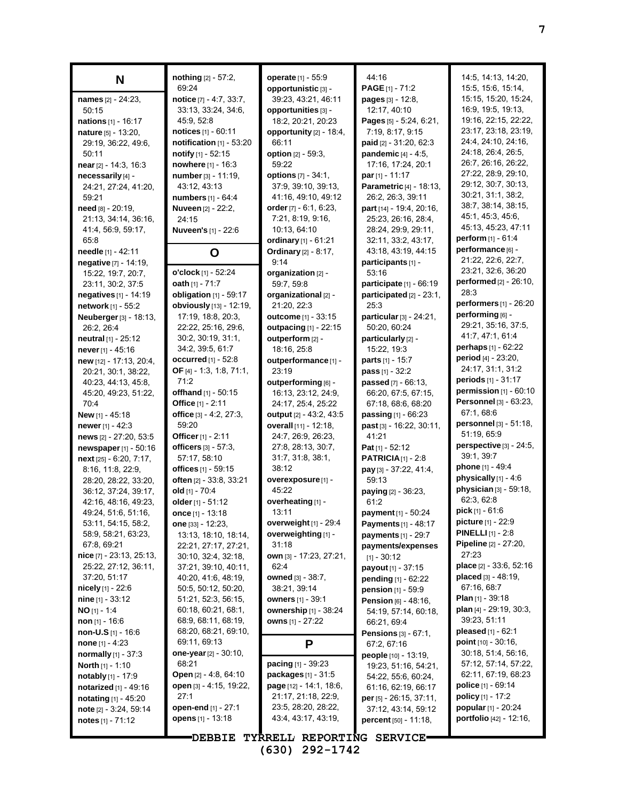| N                                           | nothing [2] - 57:2,<br>69.24                 | operate [1] - 55:9<br>opportunistic [3] - | 44:16<br><b>PAGE</b> $[1]$ - 71:2                               | 14:5, 14:13, 14:20,<br>15:5, 15:6, 15:14, |
|---------------------------------------------|----------------------------------------------|-------------------------------------------|-----------------------------------------------------------------|-------------------------------------------|
| names [2] - 24:23,                          | notice [7] - 4:7, 33:7,                      | 39:23, 43:21, 46:11                       | pages [3] - 12:8.                                               | 15:15, 15:20, 15:24,                      |
| 50:15                                       | 33:13, 33:24, 34:6,                          | opportunities [3] -                       | 12:17, 40:10                                                    | 16.9, 19.5, 19.13,                        |
| nations [1] - 16:17                         | 45.9, 52.8                                   | 18:2, 20:21, 20:23                        | Pages [5] - 5:24, 6:21,                                         | 19:16, 22:15, 22:22,                      |
| nature [5] - 13:20,                         | <b>notices</b> $[1] - 60:11$                 | opportunity [2] - 18:4,                   | 7:19, 8:17, 9:15                                                | 23:17, 23:18, 23:19,                      |
| 29:19, 36:22, 49:6,                         | notification $[1]$ - 53:20                   | 66:11                                     | paid [2] - 31:20, 62:3                                          | 24:4, 24:10, 24:16,                       |
| 50:11                                       | notify $[1] - 52:15$                         | option $[2] - 59.3$ ,                     | <b>pandemic</b> $[4] - 4:5$ ,                                   | 24:18, 26:4, 26:5,                        |
| near [2] - 14:3, 16:3                       | nowhere [1] - 16:3                           | 59:22                                     | 17:16, 17:24, 20:1                                              | 26:7, 26:16, 26:22,                       |
| necessarily [4] -                           | number [3] - 11:19,                          | options [7] - 34:1,                       | par $[1] - 11:17$                                               | 27:22, 28:9, 29:10,                       |
| 24:21, 27:24, 41:20,                        | 43:12, 43:13                                 | 37:9, 39:10, 39:13,                       | Parametric [4] - 18:13,                                         | 29:12, 30:7, 30:13,                       |
| 59:21                                       | <b>numbers</b> $[1] - 64.4$                  | 41:16, 49:10, 49:12                       | 26:2, 26:3, 39:11                                               | 30.21, 31:1, 38:2,                        |
| need [8] - 20:19,                           | <b>Nuveen [2] - 22:2,</b>                    | order $[7] - 6.1, 6.23$ ,                 | part [14] - 19:4, 20:16,                                        | 38:7, 38:14, 38:15,<br>45:1, 45:3, 45:6,  |
| 21:13, 34:14, 36:16,                        | 24:15                                        | 7:21, 8:19, 9:16,                         | 25:23, 26:16, 28:4,                                             | 45:13, 45:23, 47:11                       |
| 41:4, 56:9, 59:17,                          | <b>Nuveen's</b> [1] - 22:6                   | 10:13, 64:10                              | 28:24, 29:9, 29:11,                                             | <b>perform</b> $[1]$ - $61:4$             |
| 65.8                                        |                                              | ordinary [1] - 61:21                      | 32:11, 33:2, 43:17,                                             | performance [6] -                         |
| needle [1] - 42:11                          | O                                            | <b>Ordinary</b> [2] - 8:17,               | 43:18, 43:19, 44:15                                             | 21:22, 22:6, 22:7,                        |
| negative [7] - 14:19,                       | o'clock [1] - 52:24                          | 9:14                                      | participants [1] -<br>53:16                                     | 23:21, 32:6, 36:20                        |
| 15:22, 19:7, 20:7,                          | oath $[1] - 71:7$                            | organization [2] -<br>59:7, 59:8          |                                                                 | performed [2] - 26:10,                    |
| 23:11, 30:2, 37:5                           | obligation [1] - 59:17                       | organizational [2] -                      | <b>participate</b> $[1]$ - 66:19<br>participated $[2] - 23:1$ , | 28:3                                      |
| negatives [1] - 14:19<br>network [1] - 55:2 | obviously [13] - 12:19,                      | 21:20, 22:3                               | 25.3                                                            | <b>performers</b> [1] - 26:20             |
| Neuberger [3] - 18:13,                      | 17:19, 18:8, 20:3,                           | <b>outcome</b> [1] - 33:15                | particular [3] - 24:21,                                         | performing [6] -                          |
| 26:2, 26:4                                  | 22:22, 25:16, 29:6,                          | outpacing [1] - 22:15                     | 50:20, 60:24                                                    | 29:21, 35:16, 37:5,                       |
| neutral [1] - 25:12                         | 30.2, 30.19, 31.1,                           | outperform [2] -                          | particularly [2] -                                              | 41.7, 47.1, 61.4                          |
| never [1] - 45:16                           | 34:2, 39:5, 61:7                             | 18:16, 25:8                               | 15:22, 19:3                                                     | perhaps $[1] - 62:22$                     |
| new [12] - 17:13, 20:4,                     | occurred $[1]$ - 52:8                        | outperformance [1] -                      | <b>parts</b> $[1] - 15:7$                                       | period [4] - 23:20,                       |
| 20:21, 30:1, 38:22,                         | <b>OF</b> [4] - 1:3, 1:8, 71:1,              | 23:19                                     | <b>pass</b> $[1] - 32:2$                                        | 24:17, 31:1, 31:2                         |
| 40.23, 44.13, 45.8,                         | 71:2                                         | outperforming [6] -                       | <b>passed</b> $[7] - 66:13$ ,                                   | periods [1] - 31:17                       |
| 45:20, 49:23, 51:22,                        | offhand $[1] - 50:15$                        | 16:13, 23:12, 24:9,                       | 66:20, 67:5, 67:15,                                             | permission $[1] - 60:10$                  |
| 70:4                                        | Office [1] - 2:11                            | 24:17, 25:4, 25:22                        | 67:18, 68:6, 68:20                                              | Personnel [3] - 63:23,                    |
| <b>New</b> $[1]$ - 45:18                    | office $[3] - 4.2, 27.3$ ,                   | <b>output</b> [2] - 43:2, 43:5            | <b>passing</b> $[1]$ - 66:23                                    | 67:1, 68:6                                |
| <b>newer</b> $[1] - 42:3$                   | 59:20                                        | overall [11] - 12:18,                     | past [3] - 16:22, 30:11,                                        | personnel [3] - 51:18,                    |
| news [2] - 27:20, 53:5                      | Officer [1] - 2:11                           | 24:7, 26:9, 26:23,                        | 41:21                                                           | 51:19, 65:9                               |
| newspaper [1] - 50:16                       | officers $[3] - 57:3$ ,                      | 27:8, 28:13, 30:7,                        | <b>Pat</b> [1] - 52:12                                          | perspective [3] - 24:5,                   |
| next [25] - 6:20, 7:17,                     | 57:17, 58:10                                 | 31:7, 31:8, 38:1,                         | <b>PATRICIA</b> $[1]$ - 2:8                                     | 39:1, 39:7                                |
| 8:16, 11:8, 22:9,                           | <b>offices</b> [1] - 59:15                   | 38:12                                     | pay [3] - 37:22, 41:4,                                          | phone [1] - 49:4                          |
| 28:20, 28:22, 33:20,                        | often [2] - 33:8, 33:21                      | overexposure [1] -                        | 59:13                                                           | physically [1] - 4:6                      |
| 36:12, 37:24, 39:17,                        | old [1] - 70:4                               | 45.22                                     | <b>paying</b> $[2] - 36:23$ ,                                   | physician [3] - 59:18,<br>62:3, 62:8      |
| 42:16, 48:16, 49:23,                        | older [1] - 51:12                            | overheating [1] -                         | 61:2                                                            | $pick [1] - 61:6$                         |
| 49:24, 51:6, 51:16,                         | once $[1] - 13:18$                           | 13:11<br>overweight [1] - 29:4            | payment [1] - 50:24                                             | <b>picture</b> [1] - 22:9                 |
| 53:11, 54:15, 58:2,<br>58.9, 58.21, 63.23,  | one $[33] - 12:23$ ,                         | overweighting [1] -                       | Payments [1] - 48:17                                            | <b>PINELLI</b> [1] - 2:8                  |
| 67:8, 69:21                                 | 13:13, 18:10, 18:14,<br>22:21, 27:17, 27:21, | 31:18                                     | payments [1] - 29:7<br>payments/expenses                        | Pipeline [2] - 27:20,                     |
| $nice$ [7] - 23:13, 25:13,                  | 30:10, 32:4, 32:18,                          | own [3] - 17:23, 27:21,                   | $[1] - 30.12$                                                   | 27:23                                     |
| 25:22, 27:12, 36:11,                        | 37:21, 39:10, 40:11,                         | 62:4                                      | payout [1] - 37:15                                              | <b>place</b> $[2] - 33.6, 52.16$          |
| 37:20, 51:17                                | 40.20, 41.6, 48.19,                          | owned [3] - 38:7,                         | pending [1] - 62:22                                             | placed [3] - 48:19,                       |
| <b>nicely</b> $[1]$ - 22:6                  | 50:5, 50:12, 50:20,                          | 38.21, 39:14                              | <b>pension</b> $[1] - 59.9$                                     | 67:16, 68:7                               |
| $nine$ [1] - 33:12                          | 51:21, 52:3, 56:15,                          | owners [1] - 39:1                         | <b>Pension</b> $[6] - 48:16$ ,                                  | <b>Plan</b> $[1]$ - 39:18                 |
| $NO [1] - 1.4$                              | 60:18, 60:21, 68:1,                          | ownership [1] - 38:24                     | 54:19, 57:14, 60:18,                                            | plan [4] - 29:19, 30:3,                   |
| non $[1] - 16.6$                            | 68.9, 68.11, 68.19,                          | owns [1] - 27:22                          | 66:21, 69:4                                                     | 39:23, 51:11                              |
| non-U.S [1] - 16:6                          | 68:20, 68:21, 69:10,                         |                                           | <b>Pensions</b> $[3] - 67:1$ ,                                  | pleased [1] - 62:1                        |
| none $[1] - 4:23$                           | 69.11, 69.13                                 | P                                         | 67:2, 67:16                                                     | point [10] - 30:16,                       |
| <b>normally</b> $[1] - 37:3$                | one-year [2] - 30:10,                        |                                           | people [10] - 13:19,                                            | 30.18, 51:4, 56:16,                       |
| North [1] - 1:10                            | 68:21                                        | <b>pacing</b> $[1] - 39:23$               | 19:23, 51:16, 54:21,                                            | 57:12, 57:14, 57:22,                      |
| <b>notably</b> $[1] - 17.9$                 | Open [2] - 4:8, 64:10                        | <b>packages</b> $[1] - 31:5$              | 54:22, 55:6, 60:24,                                             | 62:11, 67:19, 68:23                       |
| <b>notarized</b> $[1] - 49:16$              | open [3] - 4:15, 19:22,                      | page [12] - 14:1, 18:6,                   | 61:16, 62:19, 66:17                                             | <b>police</b> [1] - 69:14                 |
| notating [1] - 45:20                        | 27:1                                         | 21:17, 21:18, 22:9,                       | per [5] - 26:15, 37:11,                                         | <b>policy</b> $[1] - 17:2$                |
| note [2] - 3:24, 59:14                      | open-end [1] - 27:1                          | 23:5, 28:20, 28:22,                       | 37:12, 43:14, 59:12                                             | popular [1] - 20:24                       |
| notes $[1] - 71:12$                         | opens [1] - 13:18                            | 43.4, 43.17, 43.19,                       | <b>percent</b> [50] - 11:18,                                    | portfolio [42] - 12:16,                   |
|                                             | <b>DEBBIE</b>                                | TYRRELL REPORTING SERVICE                 |                                                                 |                                           |

**7**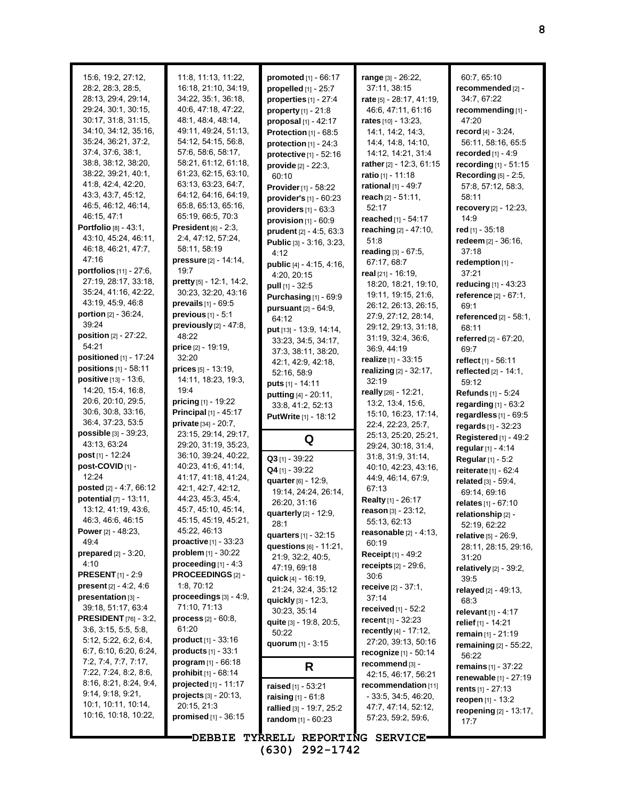| 15:6, 19:2, 27:12,             | 11:8, 11:13, 11:22,            | promoted [1] - 66:17             | range [3] - 26:22,                         | 60:7, 65:10                      |
|--------------------------------|--------------------------------|----------------------------------|--------------------------------------------|----------------------------------|
| 28:2, 28:3, 28:5,              | 16:18, 21:10, 34:19,           | propelled $[1]$ - $25:7$         | 37:11, 38:15                               | recommended [2] -                |
| 28:13, 29:4, 29:14,            | 34.22, 35:1, 36:18,            | properties $[1]$ - $27:4$        | rate [5] - 28:17, 41:19,                   | 34:7, 67:22                      |
| 29:24, 30:1, 30:15,            | 40.6, 47:18, 47:22,            | $property [1] - 21:8$            | 46.6, 47.11, 61.16                         | recommending [1] -               |
| 30:17, 31:8, 31:15,            | 48:1, 48:4, 48:14,             | proposal $[1] - 42:17$           | rates $[10] - 13:23$ ,                     | 47:20                            |
| 34:10, 34:12, 35:16,           | 49:11, 49:24, 51:13,           | Protection $[1]$ - $68:5$        | 14:1, 14:2, 14:3,                          | record $[4] - 3:24$ ,            |
| 35:24, 36:21, 37:2,            | 54:12, 54:15, 56:8,            | protection $[1] - 24:3$          | 14:4, 14:8, 14:10,                         | 56:11, 58:16, 65:5               |
| 37:4, 37:6, 38:1,              | 57:6, 58:6, 58:17,             | protective [1] - 52:16           | 14:12, 14:21, 31:4                         | recorded $[1] - 4.9$             |
| 38:8, 38:12, 38:20,            | 58:21, 61:12, 61:18,           | provide [2] - 22:3,              | rather [2] - 12:3, 61:15                   | recording [1] - 51:15            |
| 38:22, 39:21, 40:1,            | 61:23, 62:15, 63:10,           | 60:10                            | <b>ratio</b> [1] - 11:18                   | Recording [5] - 2:5,             |
| 41:8, 42:4, 42:20,             | 63.13, 63:23, 64:7,            | Provider [1] - 58:22             | rational [1] - 49:7                        | 57:8, 57:12, 58:3,               |
| 43.3, 43.7, 45.12,             | 64:12, 64:16, 64:19,           | provider's [1] - 60:23           | reach $[2] - 51:11$ ,                      | 58:11                            |
| 46:5, 46:12, 46:14,            | 65.8, 65.13, 65.16,            | providers $[1]$ - $63:3$         | 52:17                                      | recovery $[2] - 12:23$ ,         |
| 46:15, 47:1                    | 65:19, 66:5, 70:3              | provision $[1] - 60.9$           | reached [1] - 54:17                        | 14:9                             |
| Portfolio [8] - 43:1,          | President [6] - 2:3,           | prudent [2] - 4:5, 63:3          | reaching [2] - 47:10,                      | red [1] - 35:18                  |
| 43:10, 45:24, 46:11,           | 2:4, 47:12, 57:24,             | Public [3] - 3:16, 3:23,         | 51:8                                       | redeem [2] - 36:16,              |
| 46:18, 46:21, 47:7,            | 58:11, 58:19                   | 4:12                             | reading $[3] - 67.5$ ,                     | 37:18                            |
| 47:16                          | pressure [2] - 14:14,          | public [4] - 4:15, 4:16,         | 67:17, 68:7                                | redemption [1] -                 |
| portfolios [11] - 27:6,        | 19:7                           | 4:20, 20:15                      | real [21] - 16:19,                         | 37:21                            |
| 27:19, 28:17, 33:18,           | pretty [5] - 12:1, 14:2,       |                                  | 18:20, 18:21, 19:10,                       | reducing [1] - 43:23             |
| 35:24, 41:16, 42:22,           | 30:23, 32:20, 43:16            | pull [1] - 32:5                  | 19:11, 19:15, 21:6,                        | reference [2] - 67:1,            |
| 43:19, 45:9, 46:8              | prevails [1] - 69:5            | Purchasing $[1]$ - $69:9$        | 26:12, 26:13, 26:15,                       | 69:1                             |
| <b>portion</b> $[2] - 36:24$ , | previous $[1] - 5:1$           | pursuant [2] - 64:9,             | 27:9, 27:12, 28:14,                        | referenced $[2] - 58:1$ ,        |
| 39.24                          | previously $[2] - 47:8$ ,      | 64:12                            | 29:12, 29:13, 31:18,                       |                                  |
| position [2] - 27:22,          | 48:22                          | put [13] - 13.9, 14.14,          | 31:19, 32:4, 36:6,                         | 68:11                            |
| 54:21                          | price [2] - 19:19,             | 33.23, 34:5, 34:17,              |                                            | referred [2] - 67:20,            |
| positioned [1] - 17:24         | 32:20                          | 37:3, 38:11, 38:20,              | 36.9, 44.19                                | 69:7                             |
| positions [1] - 58:11          | prices [5] - 13:19,            | 42:1, 42:9, 42:18,               | realize [1] - 33:15                        | reflect <sub>[1]</sub> - 56:11   |
| positive [13] - 13:6,          | 14:11, 18:23, 19:3,            | 52:16, 58:9                      | realizing [2] - 32:17,                     | reflected $[2] - 14:1$ ,         |
| 14:20, 15:4, 16:8,             | 19:4                           | puts [1] - 14:11                 | 32:19                                      | 59:12                            |
| 20:6, 20:10, 29:5,             | <b>pricing</b> $[1]$ - 19:22   | putting [4] - 20:11,             | really [26] - 12:21,                       | <b>Refunds</b> [1] - 5:24        |
| 30:6, 30:8, 33:16,             | <b>Principal</b> $[1]$ - 45:17 | 33:8, 41:2, 52:13                | 13.2, 13.4, 15.6,                          | regarding $[1]$ - $63:2$         |
| 36.4, 37:23, 53:5              | private [34] - 20:7,           | <b>PutWrite</b> [1] - 18:12      | 15:10, 16:23, 17:14,                       | regardless $[1]$ - $69:5$        |
| possible [3] - 39:23,          | 23:15, 29:14, 29:17,           |                                  | 22.4, 22.23, 25.7,                         | regards [1] - 32:23              |
| 43:13, 63:24                   | 29:20, 31:19, 35:23,           | Q                                | 25:13, 25:20, 25:21,                       | Registered [1] - 49:2            |
| post [1] - 12:24               | 36:10, 39:24, 40:22,           |                                  | 29:24, 30:18, 31:4,                        | regular [1] - 4:14               |
| post-COVID [1] -               | 40:23, 41:6, 41:14,            | $Q3$ [1] - 39:22                 | 31:8, 31:9, 31:14,<br>40:10, 42:23, 43:16, | <b>Regular</b> [1] - 5:2         |
|                                |                                |                                  |                                            |                                  |
|                                |                                | Q4 [1] - 39:22                   |                                            | reiterate [1] - 62:4             |
| 12:24                          | 41:17, 41:18, 41:24,           | quarter [6] - 12:9,              | 44.9, 46.14, 67.9,                         | related [3] - 59:4.              |
| posted [2] - 4:7, 66:12        | 42:1, 42:7, 42:12,             | 19:14, 24:24, 26:14,             | 67:13                                      | 69:14, 69:16                     |
| potential [7] - 13:11,         | 44:23, 45:3, 45:4,             | 26:20, 31:16                     | Realty [1] - 26:17                         | relates [1] - 67:10              |
| 13:12, 41:19, 43:6,            | 45:7, 45:10, 45:14,            | quarterly [2] - 12:9,            | reason [3] - 23:12,                        | relationship [2] -               |
| 46:3, 46:6, 46:15              | 45:15, 45:19, 45:21,           | 28:1                             | 55:13, 62:13                               | 52:19, 62:22                     |
| <b>Power</b> $[2] - 48:23$ ,   | 45.22, 46:13                   | quarters $[1] - 32:15$           | reasonable $[2] - 4:13$ ,                  | relative [5] - 26:9,             |
| 49.4                           | proactive [1] - 33:23          | questions [6] - 11:21,           | 60:19                                      | 28:11, 28:15, 29:16,             |
| <b>prepared</b> $[2] - 3:20$ , | <b>problem</b> $[1]$ - 30:22   | 21:9, 32:2, 40:5,                | Receipt [1] - 49:2                         | 31:20                            |
| 4:10                           | proceeding $[1] - 4:3$         | 47:19, 69:18                     | receipts $[2] - 29.6$ .                    | relatively $[2]$ - 39:2,         |
| <b>PRESENT</b> [1] - 2:9       | PROCEEDINGS[2] -               | quick [4] - 16:19,               | 30:6                                       | 39:5                             |
| present $[2] - 4.2, 4.6$       | 1:8, 70:12                     | 21:24, 32:4, 35:12               | receive [2] - 37:1,                        | relayed [2] - 49:13,             |
| presentation [3] -             | proceedings $[3] - 4:9$ ,      | quickly [3] - 12:3,              | 37:14                                      | 68:3                             |
| 39:18, 51:17, 63:4             | 71:10, 71:13                   | 30:23, 35:14                     | <b>received</b> $[1] - 52:2$               | relevant $[1] - 4:17$            |
| <b>PRESIDENT</b> [76] - 3:2,   | $process [2] - 60:8,$          | quite [3] - 19:8, 20:5,          | recent $[1] - 32.23$                       | relief [1] - 14:21               |
| 3.6, 3.15, 5.5, 5.8,           | 61:20                          | 50:22                            | recently [4] - 17:12,                      | remain [1] - 21:19               |
| 5:12, 5:22, 6:2, 6:4,          | <b>product</b> $[1] - 33:16$   | quorum [1] - 3:15                | 27:20, 39:13, 50:16                        | remaining [2] - 55:22,           |
| 6:7, 6:10, 6:20, 6:24,         | products $[1]$ - 33:1          |                                  | recognize [1] - 50:14                      | 56:22                            |
| 7:2, 7:4, 7:7, 7:17,           | $program [1] - 66:18$          | R                                | recommend [3] -                            | remains [1] - 37:22              |
| 7:22, 7:24, 8:2, 8:6,          | <b>prohibit</b> [1] - 68:14    |                                  | 42:15, 46:17, 56:21                        | renewable [1] - 27:19            |
| 8:16, 8:21, 8:24, 9:4,         | projected [1] - 11:17          | raised [1] - 53:21               | recommendation [11]                        | rents $[1] - 27:13$              |
| 9.14, 9.18, 9.21,              | $projects_{[3]}$ - 20:13,      | <b>raising</b> $[1] - 61:8$      | - 33:5, 34:5, 46:20,                       | reopen [1] - 13:2                |
| 10:1, 10:11, 10:14,            | 20:15, 21:3                    | rallied [3] - 19:7, 25:2         | 47:7, 47:14, 52:12,                        | <b>reopening</b> $[2] - 13:17$ , |
| 10:16, 10:18, 10:22,           | promised $[1]$ - 36:15         | random [1] - 60:23               | 57:23, 59:2, 59:6,                         | 17:7                             |
|                                |                                | DEBBIE TYRRELL REPORTING SERVICE |                                            |                                  |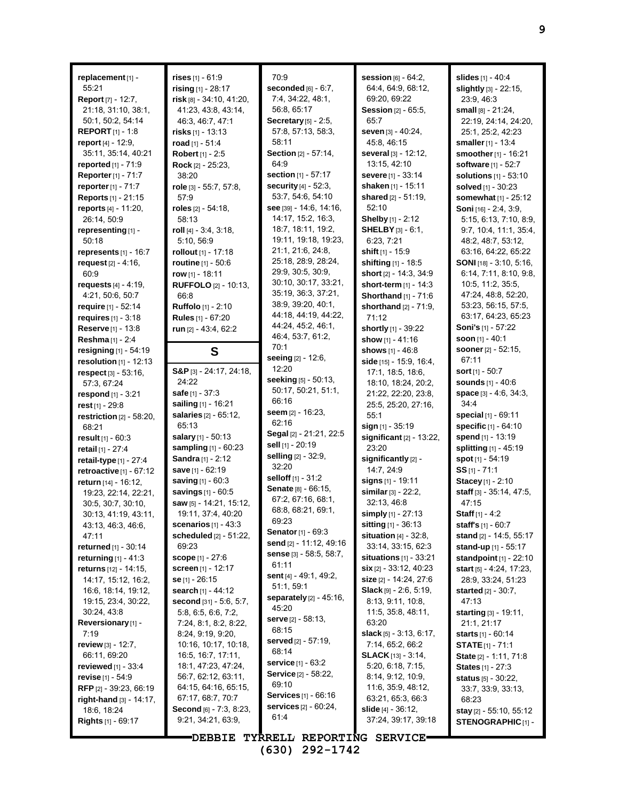| replacement [1] -                                 | rises [1] - 61:9                                 | 70:9                                      | <b>session</b> $[6] - 64:2$ ,                           | slides [1] - 40:4                               |
|---------------------------------------------------|--------------------------------------------------|-------------------------------------------|---------------------------------------------------------|-------------------------------------------------|
| 55:21                                             | rising $[1] - 28:17$                             | seconded $[6] - 6:7$ ,                    | 64:4, 64:9, 68:12,                                      | slightly [3] - 22:15,                           |
| Report [7] - 12:7,                                | risk [8] - 34:10, 41:20,                         | 7:4, 34:22, 48:1,                         | 69:20, 69:22                                            | 23:9, 46:3                                      |
| 21:18, 31:10, 38:1,                               | 41:23, 43:8, 43:14,                              | 56:8, 65:17                               | Session [2] - 65:5,                                     | small $[8] - 21:24$ ,                           |
| 50:1, 50:2, 54:14                                 | 46:3, 46:7, 47:1                                 | Secretary [5] - 2:5,                      | 65:7                                                    | 22.19, 24:14, 24:20,                            |
| <b>REPORT</b> [1] - 1:8                           | <b>risks</b> [1] - 13:13                         | 57:8, 57:13, 58:3,                        | seven [3] - 40:24,                                      | 25:1, 25:2, 42:23                               |
| report $[4] - 12:9$ ,<br>35:11, 35:14, 40:21      | road [1] - 51:4                                  | 58:11<br><b>Section</b> [2] - 57:14,      | 45:8, 46:15                                             | smaller [1] - 13:4                              |
| <b>reported</b> $[1] - 71.9$                      | Robert [1] - 2:5<br>Rock [2] - 25:23.            | 64.9                                      | several [3] - 12:12,<br>13:15, 42:10                    | smoother [1] - 16:21<br>software [1] - 52:7     |
| Reporter [1] - 71:7                               | 38:20                                            | section [1] - 57:17                       | severe [1] - 33:14                                      | <b>solutions</b> $[1] - 53:10$                  |
| reporter [1] - 71:7                               | role [3] - 55:7, 57:8,                           | <b>security</b> [4] - 52:3.               | shaken [1] - 15:11                                      | solved [1] - 30:23                              |
| Reports [1] - 21:15                               | 57:9                                             | 53:7, 54:6, 54:10                         | shared [2] - 51:19,                                     | somewhat [1] - 25:12                            |
| reports [4] - 11:20,                              | roles $[2]$ - 54:18,                             | see [39] - 14:6, 14:16,                   | 52:10                                                   | Soni [16] - 2:4, 3:9,                           |
| 26:14, 50:9                                       | 58:13                                            | 14:17, 15:2, 16:3,                        | Shelby [1] - 2:12                                       | 5:15, 6:13, 7:10, 8:9,                          |
| representing [1] -                                | roll $[4] - 3:4, 3:18,$                          | 18:7, 18:11, 19:2,                        | <b>SHELBY</b> $[3] - 6.1$ ,                             | 9:7, 10:4, 11:1, 35:4,                          |
| 50:18                                             | 5:10, 56:9                                       | 19:11, 19:18, 19:23,                      | 6:23, 7:21                                              | 48:2, 48:7, 53:12,                              |
| represents $[1]$ - 16:7                           | rollout [1] - 17:18                              | 21:1, 21:6, 24:8,                         | shift [1] - 15:9                                        | 63:16, 64:22, 65:22                             |
| request $[2] - 4:16$ ,                            | <b>routine</b> [1] - 50:6                        | 25:18, 28:9, 28:24,                       | shifting [1] - 18:5                                     | <b>SONI</b> [18] - $3:10, 5:16$ ,               |
| 60:9                                              | row $[1] - 18:11$                                | 29:9, 30:5, 30:9,                         | short [2] - 14:3, 34:9                                  | 6:14, 7:11, 8:10, 9:8,                          |
| requests $[4] - 4:19$ ,                           | <b>RUFFOLO</b> [2] - 10:13,                      | 30:10, 30:17, 33:21,                      | short-term [1] - 14:3                                   | 10:5, 11:2, 35:5,                               |
| 4:21, 50:6, 50:7                                  | 66:8                                             | 35:19, 36:3, 37:21,<br>38.9, 39.20, 40.1, | <b>Shorthand</b> [1] - 71:6                             | 47:24, 48:8, 52:20,                             |
| require [1] - 52:14                               | Ruffolo [1] - 2:10                               | 44:18, 44:19, 44:22,                      | shorthand $[2] - 71:9$ ,                                | 53:23, 56:15, 57:5,                             |
| requires $[1] - 3.18$                             | Rules [1] - 67:20                                | 44:24, 45:2, 46:1,                        | 71:12                                                   | 63:17, 64:23, 65:23<br>Soni's [1] - 57:22       |
| Reserve [1] - 13:8                                | run [2] - 43:4, 62:2                             | 46:4, 53:7, 61:2,                         | shortly [1] - 39:22                                     | soon $[1] - 40:1$                               |
| Reshma [1] - 2:4                                  |                                                  | 70:1                                      | show [1] - 41:16                                        | sooner [2] - 52:15,                             |
| resigning [1] - 54:19<br>resolution $[1]$ - 12:13 | S                                                | seeing [2] - 12:6,                        | shows [1] - 46:8<br>side [15] - 15.9, 16.4,             | 67.11                                           |
| $respect$ [3] - 53:16,                            | $S\&P_{[3]} - 24:17, 24:18,$                     | 12:20                                     | 17:1, 18:5, 18:6,                                       | <b>sort</b> $[1]$ - 50:7                        |
| 57:3, 67:24                                       | 24:22                                            | seeking [5] - 50:13,                      | 18:10, 18:24, 20:2,                                     | <b>sounds</b> $[1] - 40.6$                      |
| respond $[1] - 3:21$                              | safe [1] - 37:3                                  | 50:17, 50:21, 51:1,                       | 21:22, 22:20, 23:8,                                     | space $[3] - 4.6, 34.3,$                        |
| rest $[1] - 29.8$                                 | sailing [1] - 16:21                              | 66:16                                     | 25:5, 25:20, 27:16,                                     | 34:4                                            |
| restriction [2] - 58:20,                          | <b>salaries</b> $[2] - 65:12$ ,                  | seem $[2] - 16:23$ ,                      | 55:1                                                    | special [1] - 69:11                             |
| 68:21                                             | 65:13                                            | 62:16                                     | sign [1] - 35:19                                        | specific [1] - 64:10                            |
| <b>result</b> $[1] - 60:3$                        | salary [1] - 50:13                               | Segal [2] - 21:21, 22:5                   | significant $[2]$ - 13:22,                              | spend [1] - 13:19                               |
| retail [1] - 27:4                                 | sampling [1] - 60:23                             | <b>sell</b> [1] - 20:19                   | 23:20                                                   | splitting [1] - 45:19                           |
| retail-type [1] - 27:4                            | Sandra [1] - 2:12                                | selling [2] - 32:9,<br>32:20              | significantly [2] -                                     | spot [1] - 54:19                                |
| retroactive $[1] - 67:12$                         | save [1] - 62:19                                 | selloff [1] - 31:2                        | 14:7, 24:9                                              | $SS$ [1] - 71:1                                 |
| return [14] - 16:12,                              | saving [1] - 60:3                                | Senate [8] - 66:15,                       | signs [1] - 19:11                                       | Stacey [1] - 2:10                               |
| 19:23, 22:14, 22:21,                              | savings [1] - 60:5                               | 67:2, 67:16, 68:1,                        | similar [3] - 22:2,                                     | staff [3] - 35:14, 47:5,                        |
| 30:5, 30:7, 30:10,                                | saw [5] - 14:21, 15:12,                          | 68:8, 68:21, 69:1,                        | 32:13, 46:8                                             | 47:15                                           |
| 30:13, 41:19, 43:11,                              | 19:11, 37:4, 40:20                               | 69.23                                     | simply [1] - 27:13                                      | <b>Staff</b> $[1] - 4:2$                        |
| 43.13, 46.3, 46.6,<br>47:11                       | scenarios $[1] - 43:3$<br>scheduled [2] - 51:22, | <b>Senator</b> $[1] - 69:3$               | <b>sitting</b> $[1] - 36:13$<br>situation $[4]$ - 32:8, | staff's $[1] - 60:7$                            |
| returned [1] - 30:14                              | 69.23                                            | send [2] - 11:12, 49:16                   | 33:14, 33:15, 62:3                                      | stand [2] - 14:5, 55:17<br>stand-up [1] - 55:17 |
| <b>returning</b> $[1] - 41:3$                     | <b>scope</b> $[1] - 27:6$                        | sense $[3]$ - 58.5, 58.7,                 | situations [1] - 33:21                                  | standpoint $[1]$ - 22:10                        |
| <b>returns</b> [12] - 14:15,                      | <b>screen</b> $[1]$ - 12:17                      | 61:11                                     | $\sin$ [2] - 33:12, 40:23                               | start $[5] - 4.24$ , 17:23,                     |
| 14:17, 15:12, 16:2,                               | se [1] - 26:15                                   | sent $[4] - 49.1$ , 49.2,                 | size [2] - 14:24, 27:6                                  | 28:9, 33:24, 51:23                              |
| 16.6, 18:14, 19:12,                               | search [1] - 44:12                               | 51:1, 59:1                                | <b>Slack</b> $[9] - 2:6, 5:19$                          | <b>started</b> $[2] - 30:7$ ,                   |
| 19:15, 23:4, 30:22,                               | second [31] - 5:6, 5:7,                          | <b>separately</b> $[2] - 45:16$ ,         | 8:13, 9:11, 10:8,                                       | 47:13                                           |
| 30:24, 43:8                                       | 5.8, 6.5, 6.6, 7.2,                              | 45:20                                     | 11.5, 35.8, 48.11,                                      | starting [3] - 19:11,                           |
| Reversionary [1] -                                | 7:24, 8:1, 8:2, 8:22,                            | <b>serve</b> $[2] - 58:13$ ,              | 63:20                                                   | 21:1, 21:17                                     |
| 7:19                                              | 8:24, 9:19, 9:20,                                | 68:15                                     | <b>slack</b> $[5] - 3.13, 6.17,$                        | <b>starts</b> [1] - 60:14                       |
| review $[3] - 12:7$ ,                             | 10:16, 10:17, 10:18,                             | <b>served</b> [2] - 57:19,<br>68:14       | 7:14, 65:2, 66:2                                        | <b>STATE</b> $[1]$ - 71:1                       |
| 66:11, 69:20                                      | 16.5, 16.7, 17.11,                               | <b>service</b> $[1] - 63.2$               | <b>SLACK</b> $[13] - 3:14$                              | State [2] - 1:11, 71:8                          |
| reviewed $[1] - 33:4$                             | 18:1, 47:23, 47:24,                              | <b>Service</b> [2] - 58:22,               | 5:20, 6:18, 7:15,                                       | <b>States</b> [1] - 27:3                        |
| revise $[1] - 54.9$                               | 56:7, 62:12, 63:11,                              | 69:10                                     | 8.14, 9.12, 10.9,                                       | <b>status</b> $[5] - 30.22$ ,                   |
| RFP [2] - 39:23, 66:19                            | 64:15, 64:16, 65:15,<br>67:17, 68:7, 70:7        | <b>Services</b> $[1] - 66:16$             | 11.6, 35.9, 48.12,<br>63.21, 65.3, 66.3                 | 33.7, 33.9, 33.13,                              |
| right-hand $[3] - 14:17$ ,                        | <b>Second</b> [6] - 7:3, 8:23,                   | <b>services</b> $[2] - 60:24$ ,           | <b>slide</b> $[4] - 36.12$ ,                            | 68:23                                           |
| 18.6, 18.24<br><b>Rights</b> $[1]$ - 69:17        | 9:21, 34:21, 63:9,                               | 61:4                                      | 37:24, 39:17, 39:18                                     | stay [2] - 55:10, 55:12                         |
|                                                   |                                                  |                                           |                                                         | <b>STENOGRAPHIC [1] -</b>                       |
|                                                   |                                                  | DEBBIE TYRRELL REPORTING SERVICE          |                                                         |                                                 |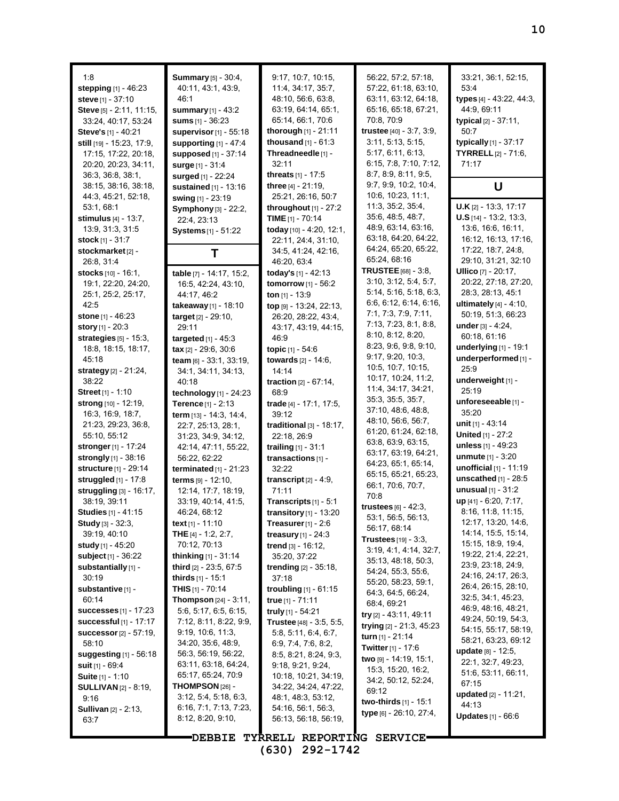1:8 **stepping** [1] - 46:23 **steve** [1] - 37:10 **Steve** [5] - 2:11, 11:15, 33:24, 40:17, 53:24 **Steve's** [1] - 40:21 **still** [19] - 15:23, 17:9, 17:15, 17:22, 20:18, 20:20, 20:23, 34:11, 36:3, 36:8, 38:1, 38:15, 38:16, 38:18, 44:3, 45:21, 52:18, 53:1, 68:1 **stimulus** [4] - 13:7, 13:9, 31:3, 31:5 **stock** [1] - 31:7 **stockmarket**[2] - 26:8, 31:4 **stocks** [10] - 16:1, 19:1, 22:20, 24:20, 25:1, 25:2, 25:17, 42:5 **stone** [1] - 46:23 **story** [1] - 20:3 **strategies** [5] - 15:3, 18:8, 18:15, 18:17, 45:18 **strategy** [2] - 21:24, 38:22 **Street** [1] - 1:10 **strong** [10] - 12:19, 16:3, 16:9, 18:7, 21:23, 29:23, 36:8, 55:10, 55:12 **stronger**[1] - 17:24 **strongly** [1] - 38:16 **structure** [1] - 29:14 **struggled** [1] - 17:8 **struggling** [3] - 16:17, 38:19, 39:11 **Studies** [1] - 41:15 **Study** [3] - 32:3, 39:19, 40:10 **study** [1] - 45:20 **subject** [1] - 36:22 **substantially** [1] - 30:19 **substantive** [1] - 60:14 **successes** [1] - 17:23 **successful** [1] - 17:17 **successor**[2] - 57:19, 58:10 **suggesting** [1] - 56:18 **suit** [1] - 69:4 **Suite** [1] - 1:10 **SULLIVAN** [2] - 8:19, 9:16 **Sullivan** [2] - 2:13, 63:7

**Summary** [5] - 30:4, 40:11, 43:1, 43:9, 46:1 **summary** [1] - 43:2 **sums** [1] - 36:23 **supervisor**[1] - 55:18 **supporting** [1] - 47:4 **supposed** [1] - 37:14 **surge** [1] - 31:4 **surged** [1] - 22:24 **sustained** [1] - 13:16 **swing** [1] - 23:19 **Symphony** [3] - 22:2, 22:4, 23:13 **Systems** [1] - 51:22 **T table** [7] - 14:17, 15:2, 16:5, 42:24, 43:10, 44:17, 46:2 **takeaway** [1] - 18:10 **target** [2] - 29:10, 29:11 **targeted** [1] - 45:3 **tax** [2] - 29:6, 30:6 **team** [6] - 33:1, 33:19, 34:1, 34:11, 34:13, 40:18 **technology** [1] - 24:23 **Terence** [1] - 2:13 **term** [13] - 14:3, 14:4, 22:7, 25:13, 28:1, 31:23, 34:9, 34:12, 42:14, 47:11, 55:22, 56:22, 62:22 **terminated** [1] - 21:23 **terms** [9] - 12:10, 12:14, 17:7, 18:19, 33:19, 40:14, 41:5, 46:24, 68:12 **text** [1] - 11:10 **THE** [4] - 1:2, 2:7, 70:12, 70:13 **thinking** [1] - 31:14 **third** [2] - 23:5, 67:5 **thirds** [1] - 15:1 **THIS** [1] - 70:14 **Thompson** [24] - 3:11, 5:6, 5:17, 6:5, 6:15, 7:12, 8:11, 8:22, 9:9, 9:19, 10:6, 11:3, 34:20, 35:6, 48:9, 56:3, 56:19, 56:22, 63:11, 63:18, 64:24, 65:17, 65:24, 70:9 **THOMPSON** [26] - 3:12, 5:4, 5:18, 6:3, 6:16, 7:1, 7:13, 7:23, 8:12, 8:20, 9:10,

9:17, 10:7, 10:15, 11:4, 34:17, 35:7, 48:10, 56:6, 63:8, 63:19, 64:14, 65:1, 65:14, 66:1, 70:6 **thorough** [1] - 21:11 **thousand** [1] - 61:3 **Threadneedle** [1] - 32:11 **threats** [1] - 17:5 **three** [4] - 21:19, 25:21, 26:16, 50:7 **throughout** [1] - 27:2 **TIME** [1] - 70:14 **today** [10] - 4:20, 12:1, 22:11, 24:4, 31:10, 34:5, 41:24, 42:16, 46:20, 63:4 **today's** [1] - 42:13 **tomorrow** [1] - 56:2 **ton** [1] - 13:9 **top** [9] - 13:24, 22:13, 26:20, 28:22, 43:4, 43:17, 43:19, 44:15, 46:9 **topic** [1] - 54:6 **towards** [2] - 14:6, 14:14 **traction** [2] - 67:14, 68:9 **trade** [4] - 17:1, 17:5, 39:12 **traditional** [3] - 18:17, 22:18, 26:9 **trailing** [1] - 31:1 **transactions** [1] - 32:22 **transcript** [2] - 4:9, 71:11 **Transcripts** [1] - 5:1 **transitory** [1] - 13:20 **Treasurer**[1] - 2:6 **treasury** [1] - 24:3 **trend** [3] - 16:12, 35:20, 37:22 **trending** [2] - 35:18, 37:18 **troubling** [1] - 61:15 **true** [1] - 71:11 **truly** [1] - 54:21 **Trustee** [48] - 3:5, 5:5, 5:8, 5:11, 6:4, 6:7, 6:9, 7:4, 7:6, 8:2, 8:5, 8:21, 8:24, 9:3, 9:18, 9:21, 9:24, 10:18, 10:21, 34:19, 34:22, 34:24, 47:22, 48:1, 48:3, 53:12, 54:16, 56:1, 56:3, 56:13, 56:18, 56:19,

56:22, 57:2, 57:18, 57:22, 61:18, 63:10, 63:11, 63:12, 64:18, 65:16, 65:18, 67:21, 70:8, 70:9 **trustee** [40] - 3:7, 3:9, 3:11, 5:13, 5:15, 5:17, 6:11, 6:13, 6:15, 7:8, 7:10, 7:12, 8:7, 8:9, 8:11, 9:5, 9:7, 9:9, 10:2, 10:4, 10:6, 10:23, 11:1, 11:3, 35:2, 35:4, 35:6, 48:5, 48:7, 48:9, 63:14, 63:16, 63:18, 64:20, 64:22, 64:24, 65:20, 65:22, 65:24, 68:16 **TRUSTEE**[68] - 3:8, 3:10, 3:12, 5:4, 5:7, 5:14, 5:16, 5:18, 6:3, 6:6, 6:12, 6:14, 6:16, 7:1, 7:3, 7:9, 7:11, 7:13, 7:23, 8:1, 8:8, 8:10, 8:12, 8:20, 8:23, 9:6, 9:8, 9:10, 9:17, 9:20, 10:3, 10:5, 10:7, 10:15, 10:17, 10:24, 11:2, 11:4, 34:17, 34:21, 35:3, 35:5, 35:7, 37:10, 48:6, 48:8, 48:10, 56:6, 56:7, 61:20, 61:24, 62:18, 63:8, 63:9, 63:15, 63:17, 63:19, 64:21, 64:23, 65:1, 65:14, 65:15, 65:21, 65:23, 66:1, 70:6, 70:7, 70:8 **trustees** [6] - 42:3, 53:1, 56:5, 56:13, 56:17, 68:14 **Trustees** [19] - 3:3, 3:19, 4:1, 4:14, 32:7, 35:13, 48:18, 50:3, 54:24, 55:3, 55:6, 55:20, 58:23, 59:1, 64:3, 64:5, 66:24, 68:4, 69:21 **try** [2] - 43:11, 49:11 **trying** [2] - 21:3, 45:23 **turn** [1] - 21:14 **Twitter**[1] - 17:6 **two** [9] - 14:19, 15:1, 15:3, 15:20, 16:2, 34:2, 50:12, 52:24, 69:12 **two-thirds** [1] - 15:1 **type** [6] - 26:10, 27:4,

33:21, 36:1, 52:15, 53:4 **types** [4] - 43:22, 44:3, 44:9, 69:11 **typical** [2] - 37:11, 50:7 **typically** [1] - 37:17 **TYRRELL** [2] - 71:6, 71:17 **U U.K** [2] - 13:3, 17:17 **U.S** [14] - 13:2, 13:3, 13:6, 16:6, 16:11, 16:12, 16:13, 17:16, 17:22, 18:7, 24:8, 29:10, 31:21, 32:10 **Ullico** [7] - 20:17, 20:22, 27:18, 27:20, 28:3, 28:13, 45:1 **ultimately** [4] - 4:10, 50:19, 51:3, 66:23 **under** [3] - 4:24, 60:18, 61:16 **underlying** [1] - 19:1 **underperformed** [1] - 25:9 **underweight** [1] - 25:19 **unforeseeable** [1] - 35:20 **unit** [1] - 43:14 **United** [1] - 27:2 **unless** [1] - 49:23 **unmute** [1] - 3:20 **unofficial** [1] - 11:19 **unscathed** [1] - 28:5 **unusual** [1] - 31:2 **up** [41] - 6:20, 7:17, 8:16, 11:8, 11:15, 12:17, 13:20, 14:6, 14:14, 15:5, 15:14, 15:15, 18:9, 19:4, 19:22, 21:4, 22:21, 23:9, 23:18, 24:9, 24:16, 24:17, 26:3, 26:4, 26:15, 28:10, 32:5, 34:1, 45:23, 46:9, 48:16, 48:21, 49:24, 50:19, 54:3, 54:15, 55:17, 58:19, 58:21, 63:23, 69:12 **update** [8] - 12:5, 22:1, 32:7, 49:23, 51:6, 53:11, 66:11, 67:15 **updated** [2] - 11:21, 44:13 **Updates** [1] - 66:6

**DEBBIE TYRRELL REPORTING SERVICE (630) 292-1742**